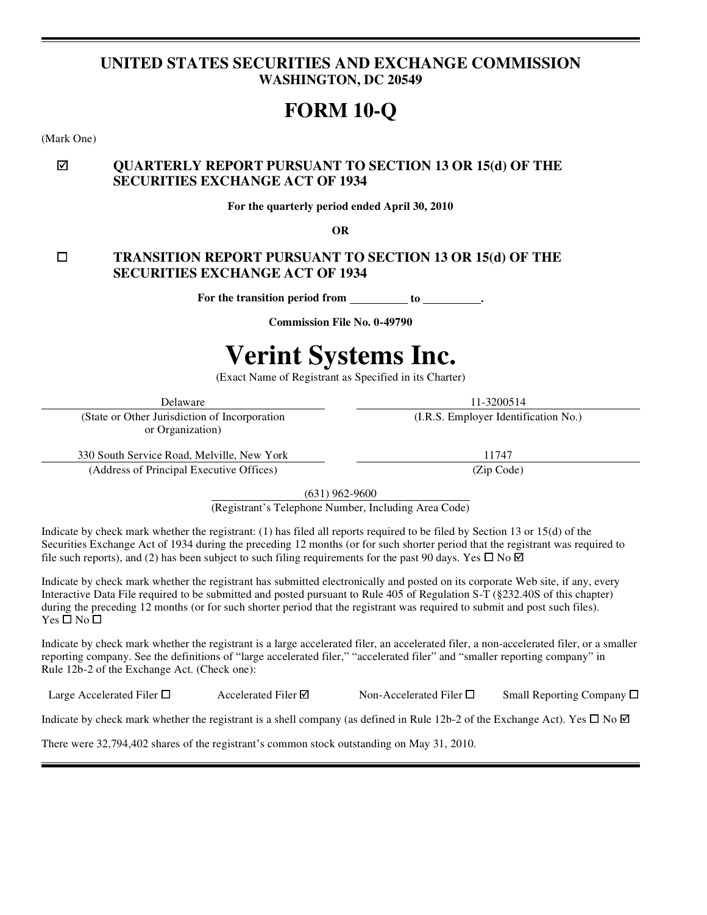# **UNITED STATES SECURITIES AND EXCHANGE COMMISSION WASHINGTON, DC 20549**

# **FORM 10-Q**

(Mark One)

# **QUARTERLY REPORT PURSUANT TO SECTION 13 OR 15(d) OF THE SECURITIES EXCHANGE ACT OF 1934**

**For the quarterly period ended April 30, 2010** 

**OR**

# **TRANSITION REPORT PURSUANT TO SECTION 13 OR 15(d) OF THE SECURITIES EXCHANGE ACT OF 1934**

For the transition period from \_\_\_\_\_\_\_\_\_\_ to \_\_\_\_\_\_\_\_\_\_.

**Commission File No. 0-49790**

# **Verint Systems Inc.**<br>(Exact Name of Registrant as Specified in its Charter)

Delaware 11-3200514

(State or Other Jurisdiction of Incorporation or Organization)

(I.R.S. Employer Identification No.)

330 South Service Road, Melville, New York 11747 (Address of Principal Executive Offices) (Zip Code)

(631) 962-9600

(Registrant's Telephone Number, Including Area Code)

Indicate by check mark whether the registrant: (1) has filed all reports required to be filed by Section 13 or 15(d) of the Securities Exchange Act of 1934 during the preceding 12 months (or for such shorter period that the registrant was required to file such reports), and (2) has been subject to such filing requirements for the past 90 days. Yes  $\Box$  No  $\Box$ 

Indicate by check mark whether the registrant has submitted electronically and posted on its corporate Web site, if any, every Interactive Data File required to be submitted and posted pursuant to Rule 405 of Regulation S-T (§232.40S of this chapter) during the preceding 12 months (or for such shorter period that the registrant was required to submit and post such files). Yes  $\square$  No  $\square$ 

Indicate by check mark whether the registrant is a large accelerated filer, an accelerated filer, a non-accelerated filer, or a smaller reporting company. See the definitions of "large accelerated filer," "accelerated filer" and "smaller reporting company" in Rule 12b-2 of the Exchange Act. (Check one):

Large Accelerated Filer  $\Box$  Accelerated Filer  $\boxtimes$ 

Non-Accelerated Filer  $\square$  Small Reporting Company  $\square$ 

Indicate by check mark whether the registrant is a shell company (as defined in Rule 12b-2 of the Exchange Act). Yes  $\Box$  No  $\Box$ 

There were 32,794,402 shares of the registrant's common stock outstanding on May 31, 2010.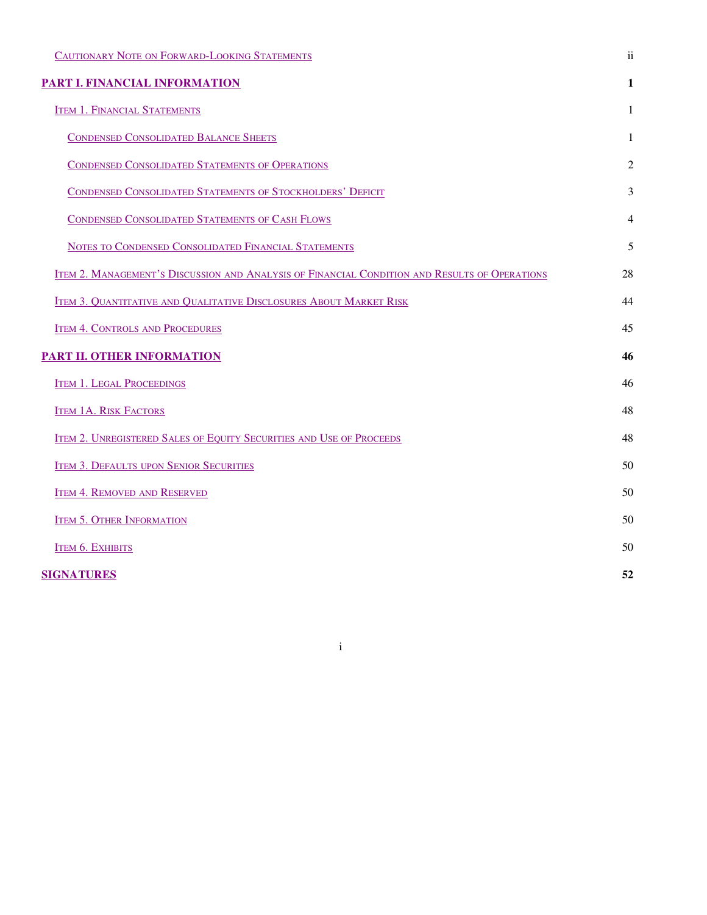| CAUTIONARY NOTE ON FORWARD-LOOKING STATEMENTS                                                 | $\ddot{\mathbf{i}}$ |
|-----------------------------------------------------------------------------------------------|---------------------|
| <b>PART I. FINANCIAL INFORMATION</b>                                                          | $\mathbf{1}$        |
| <b>ITEM 1. FINANCIAL STATEMENTS</b>                                                           | $\mathbf{1}$        |
| <b>CONDENSED CONSOLIDATED BALANCE SHEETS</b>                                                  | $\mathbf{1}$        |
| <b>CONDENSED CONSOLIDATED STATEMENTS OF OPERATIONS</b>                                        | 2                   |
| CONDENSED CONSOLIDATED STATEMENTS OF STOCKHOLDERS' DEFICIT                                    | 3                   |
| <b>CONDENSED CONSOLIDATED STATEMENTS OF CASH FLOWS</b>                                        | 4                   |
| NOTES TO CONDENSED CONSOLIDATED FINANCIAL STATEMENTS                                          | 5                   |
| ITEM 2. MANAGEMENT'S DISCUSSION AND ANALYSIS OF FINANCIAL CONDITION AND RESULTS OF OPERATIONS | 28                  |
| <b>ITEM 3. QUANTITATIVE AND QUALITATIVE DISCLOSURES ABOUT MARKET RISK</b>                     | 44                  |
| <b>ITEM 4. CONTROLS AND PROCEDURES</b>                                                        | 45                  |
| <b>PART II. OTHER INFORMATION</b>                                                             | 46                  |
| <b>ITEM 1. LEGAL PROCEEDINGS</b>                                                              | 46                  |
| <b>ITEM 1A. RISK FACTORS</b>                                                                  | 48                  |
| <b>ITEM 2. UNREGISTERED SALES OF EQUITY SECURITIES AND USE OF PROCEEDS</b>                    | 48                  |
| <b>ITEM 3. DEFAULTS UPON SENIOR SECURITIES</b>                                                | 50                  |
| <b>ITEM 4. REMOVED AND RESERVED</b>                                                           | 50                  |
| <b>ITEM 5. OTHER INFORMATION</b>                                                              | 50                  |
| <b>ITEM 6. EXHIBITS</b>                                                                       | 50                  |
| <b>SIGNATURES</b>                                                                             | 52                  |

i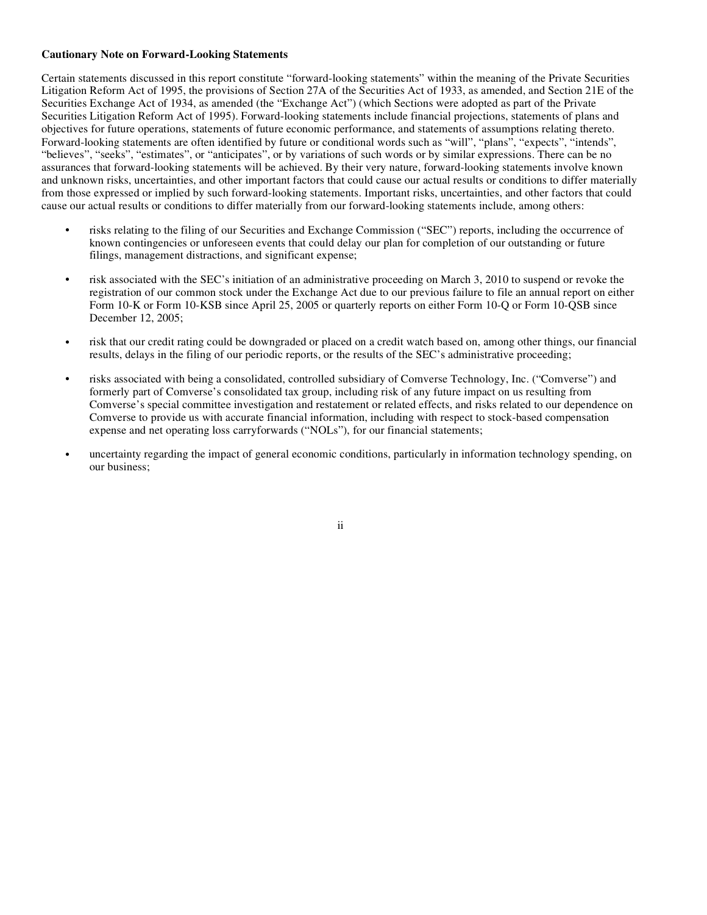#### **Cautionary Note on Forward-Looking Statements**

Certain statements discussed in this report constitute "forward-looking statements" within the meaning of the Private Securities Litigation Reform Act of 1995, the provisions of Section 27A of the Securities Act of 1933, as amended, and Section 21E of the Securities Exchange Act of 1934, as amended (the "Exchange Act") (which Sections were adopted as part of the Private Securities Litigation Reform Act of 1995). Forward-looking statements include financial projections, statements of plans and objectives for future operations, statements of future economic performance, and statements of assumptions relating thereto. Forward-looking statements are often identified by future or conditional words such as "will", "plans", "expects", "intends", "believes", "seeks", "estimates", or "anticipates", or by variations of such words or by similar expressions. There can be no assurances that forward-looking statements will be achieved. By their very nature, forward-looking statements involve known and unknown risks, uncertainties, and other important factors that could cause our actual results or conditions to differ materially from those expressed or implied by such forward-looking statements. Important risks, uncertainties, and other factors that could cause our actual results or conditions to differ materially from our forward-looking statements include, among others:

- **•** risks relating to the filing of our Securities and Exchange Commission ("SEC") reports, including the occurrence of known contingencies or unforeseen events that could delay our plan for completion of our outstanding or future filings, management distractions, and significant expense;
- **•** risk associated with the SEC's initiation of an administrative proceeding on March 3, 2010 to suspend or revoke the registration of our common stock under the Exchange Act due to our previous failure to file an annual report on either Form 10-K or Form 10-KSB since April 25, 2005 or quarterly reports on either Form 10-Q or Form 10-QSB since December 12, 2005;
- **•** risk that our credit rating could be downgraded or placed on a credit watch based on, among other things, our financial results, delays in the filing of our periodic reports, or the results of the SEC's administrative proceeding;
- **•** risks associated with being a consolidated, controlled subsidiary of Comverse Technology, Inc. ("Comverse") and formerly part of Comverse's consolidated tax group, including risk of any future impact on us resulting from Comverse's special committee investigation and restatement or related effects, and risks related to our dependence on Comverse to provide us with accurate financial information, including with respect to stock-based compensation expense and net operating loss carryforwards ("NOLs"), for our financial statements;
- **•** uncertainty regarding the impact of general economic conditions, particularly in information technology spending, on our business;

ii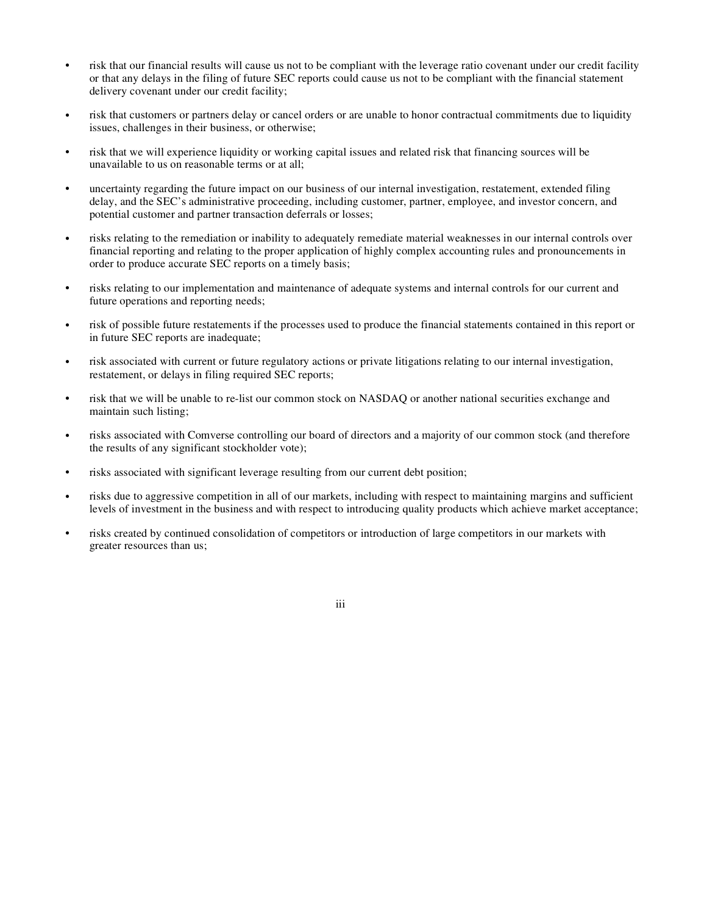- **•** risk that our financial results will cause us not to be compliant with the leverage ratio covenant under our credit facility or that any delays in the filing of future SEC reports could cause us not to be compliant with the financial statement delivery covenant under our credit facility;
- **•** risk that customers or partners delay or cancel orders or are unable to honor contractual commitments due to liquidity issues, challenges in their business, or otherwise;
- **•** risk that we will experience liquidity or working capital issues and related risk that financing sources will be unavailable to us on reasonable terms or at all;
- **•** uncertainty regarding the future impact on our business of our internal investigation, restatement, extended filing delay, and the SEC's administrative proceeding, including customer, partner, employee, and investor concern, and potential customer and partner transaction deferrals or losses;
- **•** risks relating to the remediation or inability to adequately remediate material weaknesses in our internal controls over financial reporting and relating to the proper application of highly complex accounting rules and pronouncements in order to produce accurate SEC reports on a timely basis;
- **•** risks relating to our implementation and maintenance of adequate systems and internal controls for our current and future operations and reporting needs;
- **•** risk of possible future restatements if the processes used to produce the financial statements contained in this report or in future SEC reports are inadequate;
- **•** risk associated with current or future regulatory actions or private litigations relating to our internal investigation, restatement, or delays in filing required SEC reports;
- **•** risk that we will be unable to re-list our common stock on NASDAQ or another national securities exchange and maintain such listing;
- risks associated with Comverse controlling our board of directors and a majority of our common stock (and therefore the results of any significant stockholder vote);
- risks associated with significant leverage resulting from our current debt position;
- **•** risks due to aggressive competition in all of our markets, including with respect to maintaining margins and sufficient levels of investment in the business and with respect to introducing quality products which achieve market acceptance;
- **•** risks created by continued consolidation of competitors or introduction of large competitors in our markets with greater resources than us;
	- iii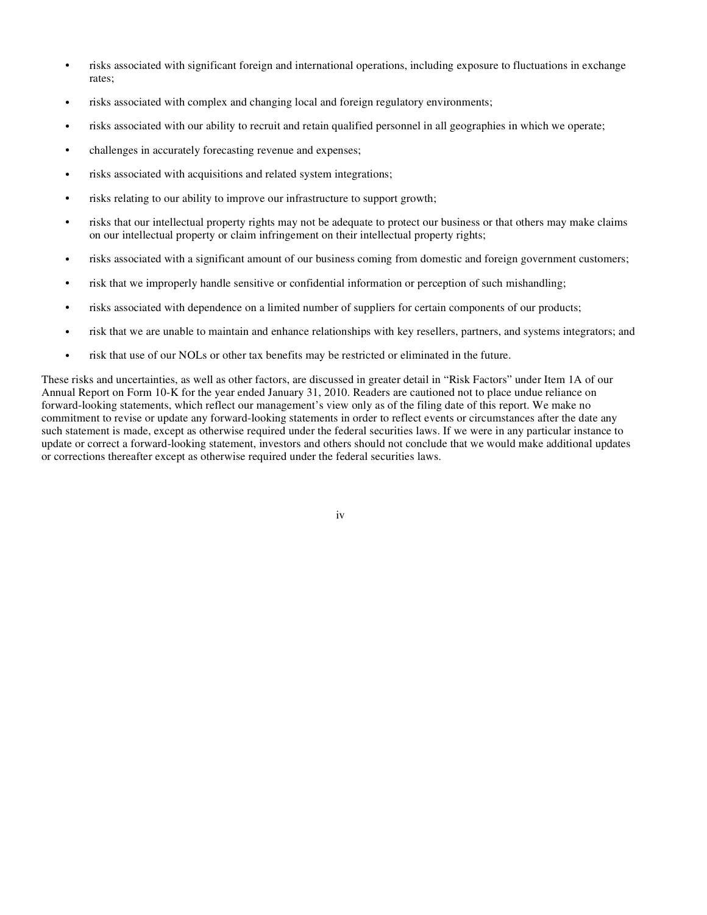- **•** risks associated with significant foreign and international operations, including exposure to fluctuations in exchange rates;
- **•** risks associated with complex and changing local and foreign regulatory environments;
- **•** risks associated with our ability to recruit and retain qualified personnel in all geographies in which we operate;
- **•** challenges in accurately forecasting revenue and expenses;
- **•** risks associated with acquisitions and related system integrations;
- **•** risks relating to our ability to improve our infrastructure to support growth;
- **•** risks that our intellectual property rights may not be adequate to protect our business or that others may make claims on our intellectual property or claim infringement on their intellectual property rights;
- **•** risks associated with a significant amount of our business coming from domestic and foreign government customers;
- **•** risk that we improperly handle sensitive or confidential information or perception of such mishandling;
- **•** risks associated with dependence on a limited number of suppliers for certain components of our products;
- **•** risk that we are unable to maintain and enhance relationships with key resellers, partners, and systems integrators; and
- **•** risk that use of our NOLs or other tax benefits may be restricted or eliminated in the future.

These risks and uncertainties, as well as other factors, are discussed in greater detail in "Risk Factors" under Item 1A of our Annual Report on Form 10-K for the year ended January 31, 2010. Readers are cautioned not to place undue reliance on forward-looking statements, which reflect our management's view only as of the filing date of this report. We make no commitment to revise or update any forward-looking statements in order to reflect events or circumstances after the date any such statement is made, except as otherwise required under the federal securities laws. If we were in any particular instance to update or correct a forward-looking statement, investors and others should not conclude that we would make additional updates or corrections thereafter except as otherwise required under the federal securities laws.

iv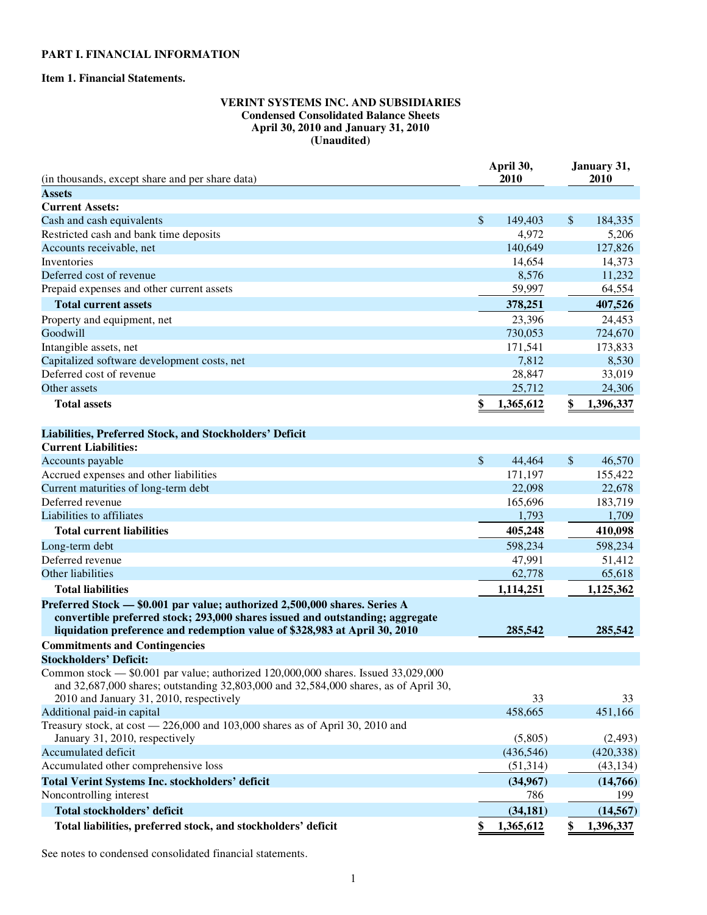### **PART I. FINANCIAL INFORMATION**

#### **Item 1. Financial Statements.**

#### **VERINT SYSTEMS INC. AND SUBSIDIARIES Condensed Consolidated Balance Sheets April 30, 2010 and January 31, 2010 (Unaudited)**

| (in thousands, except share and per share data)                                                                                                                            | April 30,<br>2010 | January 31,<br>2010 |            |  |
|----------------------------------------------------------------------------------------------------------------------------------------------------------------------------|-------------------|---------------------|------------|--|
| <b>Assets</b>                                                                                                                                                              |                   |                     |            |  |
| <b>Current Assets:</b>                                                                                                                                                     |                   |                     |            |  |
| Cash and cash equivalents                                                                                                                                                  | \$<br>149,403     | $\frac{1}{2}$       | 184,335    |  |
| Restricted cash and bank time deposits                                                                                                                                     | 4,972             |                     | 5,206      |  |
| Accounts receivable, net                                                                                                                                                   | 140,649           |                     | 127,826    |  |
| Inventories                                                                                                                                                                | 14,654            |                     | 14,373     |  |
| Deferred cost of revenue                                                                                                                                                   | 8,576             |                     | 11,232     |  |
| Prepaid expenses and other current assets                                                                                                                                  | 59,997            |                     | 64,554     |  |
| <b>Total current assets</b>                                                                                                                                                | 378,251           |                     | 407,526    |  |
| Property and equipment, net                                                                                                                                                | 23,396            |                     | 24,453     |  |
| Goodwill                                                                                                                                                                   | 730,053           |                     | 724,670    |  |
| Intangible assets, net                                                                                                                                                     | 171,541           |                     | 173,833    |  |
| Capitalized software development costs, net                                                                                                                                | 7,812             |                     | 8,530      |  |
| Deferred cost of revenue                                                                                                                                                   | 28,847            |                     | 33,019     |  |
| Other assets                                                                                                                                                               | 25,712            |                     | 24,306     |  |
| <b>Total assets</b>                                                                                                                                                        | \$<br>1,365,612   | \$                  | 1,396,337  |  |
| Liabilities, Preferred Stock, and Stockholders' Deficit                                                                                                                    |                   |                     |            |  |
| <b>Current Liabilities:</b>                                                                                                                                                |                   |                     |            |  |
|                                                                                                                                                                            | \$                | $\frac{1}{2}$       | 46,570     |  |
| Accounts payable<br>Accrued expenses and other liabilities                                                                                                                 | 44,464<br>171,197 |                     | 155,422    |  |
| Current maturities of long-term debt                                                                                                                                       | 22,098            |                     | 22,678     |  |
| Deferred revenue                                                                                                                                                           | 165,696           |                     | 183,719    |  |
| Liabilities to affiliates                                                                                                                                                  | 1,793             |                     | 1,709      |  |
|                                                                                                                                                                            |                   |                     |            |  |
| <b>Total current liabilities</b>                                                                                                                                           | 405,248           |                     | 410,098    |  |
| Long-term debt                                                                                                                                                             | 598,234           |                     | 598,234    |  |
| Deferred revenue                                                                                                                                                           | 47,991            |                     | 51,412     |  |
| Other liabilities                                                                                                                                                          | 62,778            |                     | 65,618     |  |
| <b>Total liabilities</b>                                                                                                                                                   | 1,114,251         |                     | 1,125,362  |  |
| Preferred Stock - \$0.001 par value; authorized 2,500,000 shares. Series A<br>convertible preferred stock; 293,000 shares issued and outstanding; aggregate                |                   |                     |            |  |
| liquidation preference and redemption value of \$328,983 at April 30, 2010                                                                                                 | 285,542           |                     | 285,542    |  |
| <b>Commitments and Contingencies</b>                                                                                                                                       |                   |                     |            |  |
| <b>Stockholders' Deficit:</b>                                                                                                                                              |                   |                     |            |  |
| Common stock — \$0.001 par value; authorized 120,000,000 shares. Issued 33,029,000<br>and 32,687,000 shares; outstanding 32,803,000 and 32,584,000 shares, as of April 30, |                   |                     |            |  |
| 2010 and January 31, 2010, respectively                                                                                                                                    | 33                |                     | 33         |  |
| Additional paid-in capital                                                                                                                                                 | 458,665           |                     | 451,166    |  |
| Treasury stock, at $\cos\theta - 226,000$ and 103,000 shares as of April 30, 2010 and<br>January 31, 2010, respectively                                                    | (5,805)           |                     | (2, 493)   |  |
| <b>Accumulated deficit</b>                                                                                                                                                 | (436, 546)        |                     | (420, 338) |  |
| Accumulated other comprehensive loss                                                                                                                                       | (51,314)          |                     | (43, 134)  |  |
| <b>Total Verint Systems Inc. stockholders' deficit</b>                                                                                                                     | (34,967)          |                     | (14,766)   |  |
| Noncontrolling interest                                                                                                                                                    | 786               |                     | 199        |  |
| <b>Total stockholders' deficit</b>                                                                                                                                         | (34, 181)         |                     | (14, 567)  |  |
| Total liabilities, preferred stock, and stockholders' deficit                                                                                                              | \$<br>1,365,612   | \$                  | 1,396,337  |  |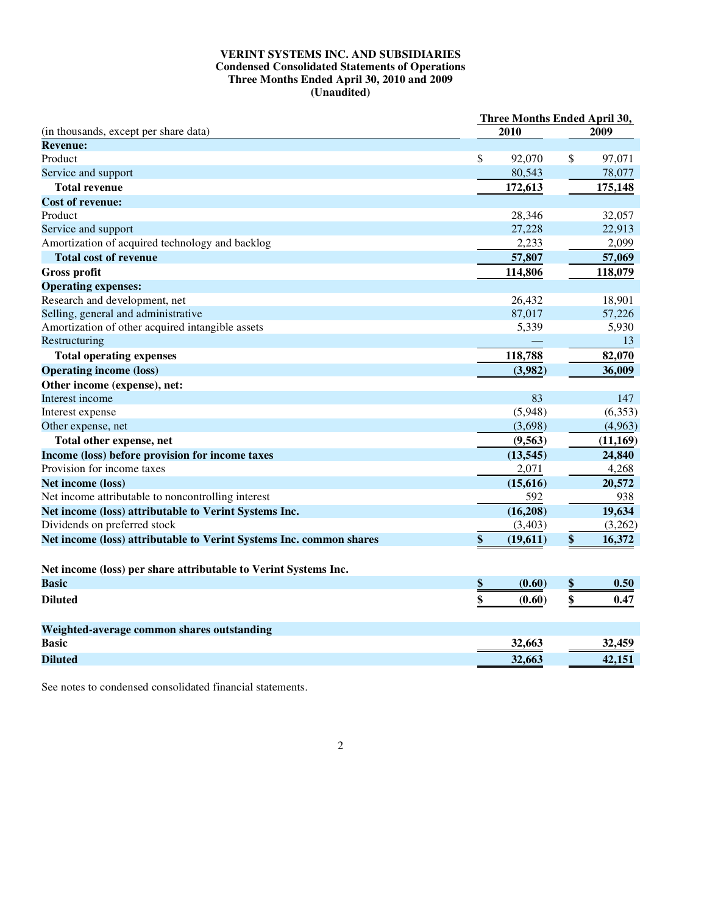#### **VERINT SYSTEMS INC. AND SUBSIDIARIES Condensed Consolidated Statements of Operations Three Months Ended April 30, 2010 and 2009 (Unaudited)**

|                                                                     |    | Three Months Ended April 30, |              |
|---------------------------------------------------------------------|----|------------------------------|--------------|
| (in thousands, except per share data)                               |    | 2010                         | 2009         |
| <b>Revenue:</b>                                                     |    |                              |              |
| Product                                                             | \$ | 92,070                       | \$<br>97,071 |
| Service and support                                                 |    | 80,543                       | 78,077       |
| <b>Total revenue</b>                                                |    | 172,613                      | 175,148      |
| <b>Cost of revenue:</b>                                             |    |                              |              |
| Product                                                             |    | 28,346                       | 32,057       |
| Service and support                                                 |    | 27,228                       | 22,913       |
| Amortization of acquired technology and backlog                     |    | 2,233                        | 2,099        |
| <b>Total cost of revenue</b>                                        |    | 57,807                       | 57,069       |
| <b>Gross profit</b>                                                 |    | 114,806                      | 118,079      |
| <b>Operating expenses:</b>                                          |    |                              |              |
| Research and development, net                                       |    | 26,432                       | 18,901       |
| Selling, general and administrative                                 |    | 87,017                       | 57,226       |
| Amortization of other acquired intangible assets                    |    | 5,339                        | 5,930        |
| Restructuring                                                       |    |                              | 13           |
| <b>Total operating expenses</b>                                     |    | 118,788                      | 82,070       |
| <b>Operating income (loss)</b>                                      |    | (3,982)                      | 36,009       |
| Other income (expense), net:                                        |    |                              |              |
| Interest income                                                     |    | 83                           | 147          |
| Interest expense                                                    |    | (5,948)                      | (6,353)      |
| Other expense, net                                                  |    | (3,698)                      | (4,963)      |
| Total other expense, net                                            |    | (9, 563)                     | (11, 169)    |
| Income (loss) before provision for income taxes                     |    | (13, 545)                    | 24,840       |
| Provision for income taxes                                          |    | 2,071                        | 4,268        |
| Net income (loss)                                                   |    | (15,616)                     | 20,572       |
| Net income attributable to noncontrolling interest                  |    | 592                          | 938          |
| Net income (loss) attributable to Verint Systems Inc.               |    | (16,208)                     | 19,634       |
| Dividends on preferred stock                                        |    | (3, 403)                     | (3,262)      |
| Net income (loss) attributable to Verint Systems Inc. common shares | \$ | (19,611)                     | \$<br>16,372 |
| Net income (loss) per share attributable to Verint Systems Inc.     |    |                              |              |
| <b>Basic</b>                                                        | \$ | (0.60)                       | \$<br>0.50   |
| <b>Diluted</b>                                                      | \$ | (0.60)                       | \$<br>0.47   |
| Weighted-average common shares outstanding                          |    |                              |              |
| <b>Basic</b>                                                        |    | 32,663                       | 32,459       |
| <b>Diluted</b>                                                      |    | 32,663                       | 42,151       |
|                                                                     |    |                              |              |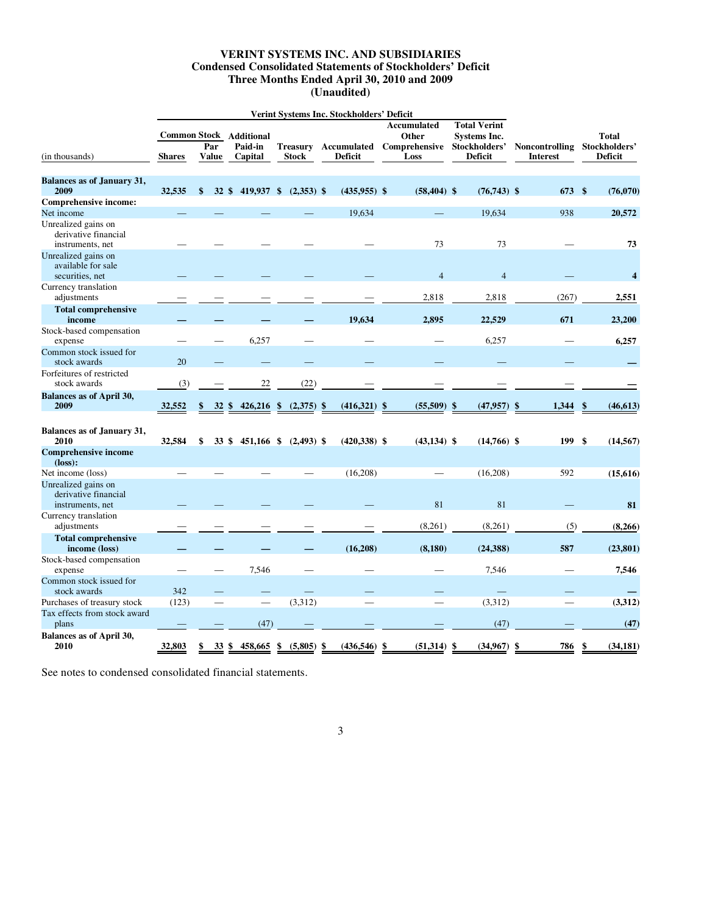#### **VERINT SYSTEMS INC. AND SUBSIDIARIES Condensed Consolidated Statements of Stockholders' Deficit Three Months Ended April 30, 2010 and 2009 (Unaudited)**

|                                                                 |               |       |                |                                |               | Verint Systems Inc. Stockholders' Deficit |                                    |                     |                              |                        |
|-----------------------------------------------------------------|---------------|-------|----------------|--------------------------------|---------------|-------------------------------------------|------------------------------------|---------------------|------------------------------|------------------------|
|                                                                 |               |       |                |                                |               |                                           | <b>Accumulated</b>                 | <b>Total Verint</b> |                              |                        |
|                                                                 |               |       |                | <b>Common Stock Additional</b> |               |                                           | Other                              | <b>Systems Inc.</b> |                              | <b>Total</b>           |
|                                                                 |               | Par   |                | Paid-in                        |               |                                           | Treasury Accumulated Comprehensive | Stockholders'       | Noncontrolling Stockholders' |                        |
| (in thousands)                                                  | <b>Shares</b> | Value |                | Capital                        | <b>Stock</b>  | Deficit                                   | Loss                               | Deficit             | <b>Interest</b>              | Deficit                |
| <b>Balances as of January 31,</b><br>2009                       | 32,535        | \$    | $32 \text{ s}$ | 419,937 \$                     | $(2,353)$ \$  | $(435,955)$ \$                            | $(58, 404)$ \$                     | $(76,743)$ \$       | 673S                         | (76,070)               |
| <b>Comprehensive income:</b>                                    |               |       |                |                                |               |                                           |                                    |                     |                              |                        |
| Net income                                                      |               |       |                |                                |               | 19,634                                    |                                    | 19,634              | 938                          | 20,572                 |
| Unrealized gains on<br>derivative financial<br>instruments, net |               |       |                |                                |               |                                           | 73                                 | 73                  |                              | 73                     |
| Unrealized gains on<br>available for sale                       |               |       |                |                                |               |                                           |                                    |                     |                              |                        |
| securities, net                                                 |               |       |                |                                |               |                                           | $\overline{4}$                     | $\overline{4}$      |                              | $\boldsymbol{\Lambda}$ |
| Currency translation<br>adjustments                             |               |       |                |                                |               |                                           | 2,818                              | 2,818               | (267)                        | 2,551                  |
|                                                                 |               |       |                |                                |               |                                           |                                    |                     |                              |                        |
| <b>Total comprehensive</b><br>income                            |               |       |                |                                |               | 19.634                                    | 2.895                              | 22,529              | 671                          | 23,200                 |
| Stock-based compensation                                        |               |       |                |                                |               |                                           |                                    |                     |                              |                        |
| expense                                                         |               |       |                | 6,257                          |               |                                           |                                    | 6,257               |                              | 6,257                  |
| Common stock issued for                                         |               |       |                |                                |               |                                           |                                    |                     |                              |                        |
| stock awards                                                    | 20            |       |                |                                |               |                                           |                                    |                     |                              |                        |
| Forfeitures of restricted                                       |               |       |                |                                |               |                                           |                                    |                     |                              |                        |
| stock awards                                                    | (3)           |       |                | 22                             | (22)          |                                           |                                    |                     |                              |                        |
| <b>Balances as of April 30,</b>                                 |               |       |                |                                |               |                                           |                                    |                     |                              |                        |
| 2009                                                            | 32,552        |       | 32             | 426,216                        | (2,375)<br>\$ | (416, 321)                                | (55.509)                           | (47, 957)           | 1.344                        | (46, 613)              |
| <b>Balances as of January 31,</b><br>2010                       | 32,584        | \$    |                | 33 \$ 451,166 \$               | $(2,493)$ \$  | $(420,338)$ \$                            | $(43, 134)$ \$                     | $(14.766)$ \$       | 199S                         | (14, 567)              |
| <b>Comprehensive income</b><br>$(loss):$                        |               |       |                |                                |               |                                           |                                    |                     |                              |                        |
| Net income (loss)                                               |               |       |                |                                |               | (16, 208)                                 |                                    | (16, 208)           | 592                          | (15,616)               |
| Unrealized gains on<br>derivative financial<br>instruments, net |               |       |                |                                |               |                                           | 81                                 | 81                  |                              | 81                     |
| Currency translation                                            |               |       |                |                                |               |                                           |                                    |                     |                              |                        |
| adjustments                                                     |               |       |                |                                |               |                                           | (8,261)                            | (8,261)             | (5)                          | (8,266)                |
| <b>Total comprehensive</b>                                      |               |       |                |                                |               |                                           |                                    |                     |                              |                        |
| income (loss)                                                   |               |       |                |                                |               | (16, 208)                                 | (8,180)                            | (24, 388)           | 587                          | (23, 801)              |
| Stock-based compensation                                        |               |       |                |                                |               |                                           |                                    |                     |                              |                        |
| expense                                                         |               |       |                | 7.546                          |               |                                           |                                    | 7,546               |                              | 7,546                  |
| Common stock issued for                                         |               |       |                |                                |               |                                           |                                    |                     |                              |                        |
| stock awards                                                    | 342           |       |                |                                |               |                                           |                                    |                     |                              |                        |
| Purchases of treasury stock                                     | (123)         |       |                | $\overline{\phantom{0}}$       | (3,312)       |                                           |                                    | (3,312)             |                              | (3,312)                |
| Tax effects from stock award<br>plans                           |               |       |                | (47)                           |               |                                           |                                    | (47)                |                              | (47)                   |
| Balances as of April 30,<br>2010                                | 32,803        |       | 33<br>\$       | 458,665                        | (5,805)<br>\$ | $(436,546)$ \$<br>\$                      | $(51,314)$ \$                      | $(34,967)$ \$       | 786                          | (34, 181)<br>S         |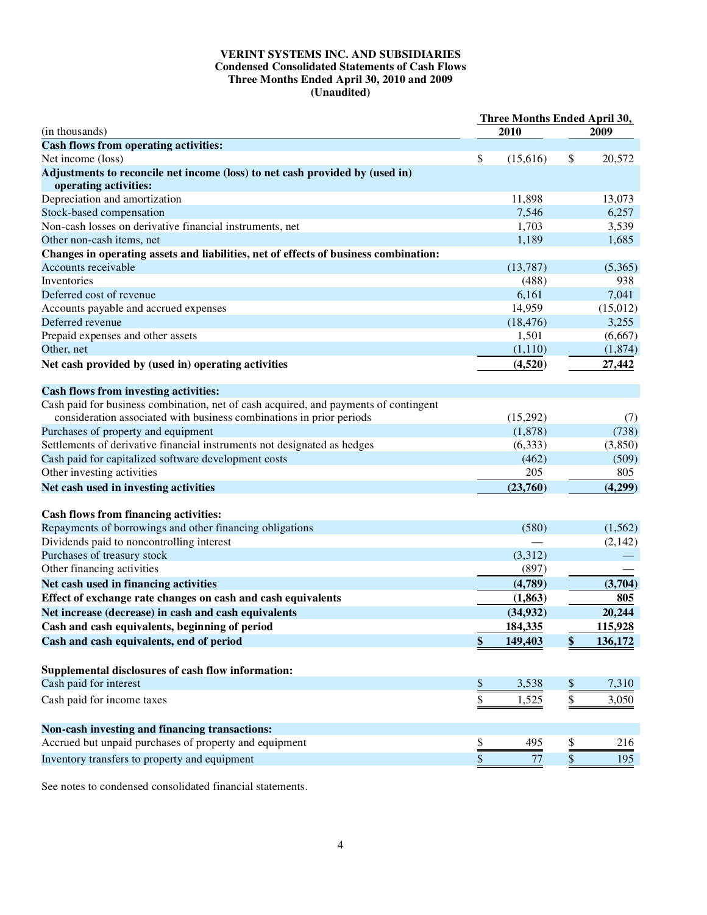#### **VERINT SYSTEMS INC. AND SUBSIDIARIES Condensed Consolidated Statements of Cash Flows Three Months Ended April 30, 2010 and 2009 (Unaudited)**

|                                                                                      | Three Months Ended April 30, |           |               |          |  |  |
|--------------------------------------------------------------------------------------|------------------------------|-----------|---------------|----------|--|--|
| (in thousands)                                                                       |                              | 2010      |               | 2009     |  |  |
| <b>Cash flows from operating activities:</b>                                         |                              |           |               |          |  |  |
| Net income (loss)                                                                    | \$                           | (15,616)  | \$            | 20,572   |  |  |
| Adjustments to reconcile net income (loss) to net cash provided by (used in)         |                              |           |               |          |  |  |
| operating activities:                                                                |                              |           |               |          |  |  |
| Depreciation and amortization                                                        |                              | 11,898    |               | 13,073   |  |  |
| Stock-based compensation                                                             |                              | 7,546     |               | 6,257    |  |  |
| Non-cash losses on derivative financial instruments, net                             |                              | 1,703     |               | 3,539    |  |  |
| Other non-cash items, net                                                            |                              | 1,189     |               | 1,685    |  |  |
| Changes in operating assets and liabilities, net of effects of business combination: |                              |           |               |          |  |  |
| Accounts receivable                                                                  |                              | (13,787)  |               | (5,365)  |  |  |
| <b>Inventories</b>                                                                   |                              | (488)     |               | 938      |  |  |
| Deferred cost of revenue                                                             |                              | 6,161     |               | 7,041    |  |  |
| Accounts payable and accrued expenses                                                |                              | 14,959    |               | (15,012) |  |  |
| Deferred revenue                                                                     |                              | (18, 476) |               | 3,255    |  |  |
| Prepaid expenses and other assets                                                    |                              | 1,501     |               | (6,667)  |  |  |
| Other, net                                                                           |                              | (1,110)   |               | (1,874)  |  |  |
| Net cash provided by (used in) operating activities                                  |                              | (4,520)   |               | 27,442   |  |  |
| <b>Cash flows from investing activities:</b>                                         |                              |           |               |          |  |  |
| Cash paid for business combination, net of cash acquired, and payments of contingent |                              |           |               |          |  |  |
| consideration associated with business combinations in prior periods                 |                              | (15,292)  |               | (7)      |  |  |
| Purchases of property and equipment                                                  |                              | (1,878)   |               | (738)    |  |  |
| Settlements of derivative financial instruments not designated as hedges             |                              | (6,333)   |               | (3,850)  |  |  |
| Cash paid for capitalized software development costs                                 |                              | (462)     |               | (509)    |  |  |
| Other investing activities                                                           |                              | 205       |               | 805      |  |  |
| Net cash used in investing activities                                                |                              | (23,760)  |               | (4,299)  |  |  |
|                                                                                      |                              |           |               |          |  |  |
| <b>Cash flows from financing activities:</b>                                         |                              |           |               |          |  |  |
| Repayments of borrowings and other financing obligations                             |                              | (580)     |               | (1,562)  |  |  |
| Dividends paid to noncontrolling interest                                            |                              |           |               | (2,142)  |  |  |
| Purchases of treasury stock                                                          |                              | (3,312)   |               |          |  |  |
| Other financing activities                                                           |                              | (897)     |               |          |  |  |
| Net cash used in financing activities                                                |                              | (4,789)   |               | (3,704)  |  |  |
| Effect of exchange rate changes on cash and cash equivalents                         |                              | (1, 863)  |               | 805      |  |  |
| Net increase (decrease) in cash and cash equivalents                                 |                              | (34,932)  |               | 20,244   |  |  |
| Cash and cash equivalents, beginning of period                                       |                              | 184.335   |               | 115.928  |  |  |
| Cash and cash equivalents, end of period                                             | \$                           | 149,403   | \$            | 136,172  |  |  |
|                                                                                      |                              |           |               |          |  |  |
| Supplemental disclosures of cash flow information:                                   |                              |           |               |          |  |  |
| Cash paid for interest                                                               | \$                           | 3,538     | $\frac{1}{2}$ | 7,310    |  |  |
| Cash paid for income taxes                                                           | \$                           | 1,525     | \$            | 3,050    |  |  |
|                                                                                      |                              |           |               |          |  |  |
| Non-cash investing and financing transactions:                                       |                              |           |               |          |  |  |
| Accrued but unpaid purchases of property and equipment                               | \$                           | 495       | $\frac{1}{2}$ | 216      |  |  |
| Inventory transfers to property and equipment                                        | $\$$                         | 77        | \$            | 195      |  |  |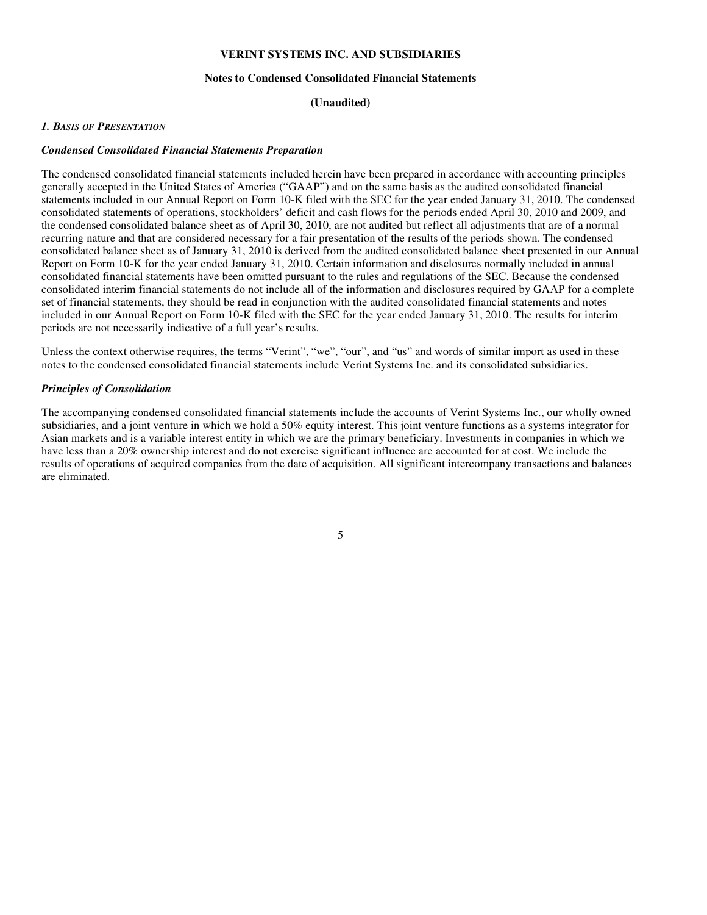#### **VERINT SYSTEMS INC. AND SUBSIDIARIES**

#### **Notes to Condensed Consolidated Financial Statements**

#### **(Unaudited)**

#### *1. BASIS OF PRESENTATION*

#### *Condensed Consolidated Financial Statements Preparation*

The condensed consolidated financial statements included herein have been prepared in accordance with accounting principles generally accepted in the United States of America ("GAAP") and on the same basis as the audited consolidated financial statements included in our Annual Report on Form 10-K filed with the SEC for the year ended January 31, 2010. The condensed consolidated statements of operations, stockholders' deficit and cash flows for the periods ended April 30, 2010 and 2009, and the condensed consolidated balance sheet as of April 30, 2010, are not audited but reflect all adjustments that are of a normal recurring nature and that are considered necessary for a fair presentation of the results of the periods shown. The condensed consolidated balance sheet as of January 31, 2010 is derived from the audited consolidated balance sheet presented in our Annual Report on Form 10-K for the year ended January 31, 2010. Certain information and disclosures normally included in annual consolidated financial statements have been omitted pursuant to the rules and regulations of the SEC. Because the condensed consolidated interim financial statements do not include all of the information and disclosures required by GAAP for a complete set of financial statements, they should be read in conjunction with the audited consolidated financial statements and notes included in our Annual Report on Form 10-K filed with the SEC for the year ended January 31, 2010. The results for interim periods are not necessarily indicative of a full year's results.

Unless the context otherwise requires, the terms "Verint", "we", "our", and "us" and words of similar import as used in these notes to the condensed consolidated financial statements include Verint Systems Inc. and its consolidated subsidiaries.

#### *Principles of Consolidation*

The accompanying condensed consolidated financial statements include the accounts of Verint Systems Inc., our wholly owned subsidiaries, and a joint venture in which we hold a 50% equity interest. This joint venture functions as a systems integrator for Asian markets and is a variable interest entity in which we are the primary beneficiary. Investments in companies in which we have less than a 20% ownership interest and do not exercise significant influence are accounted for at cost. We include the results of operations of acquired companies from the date of acquisition. All significant intercompany transactions and balances are eliminated.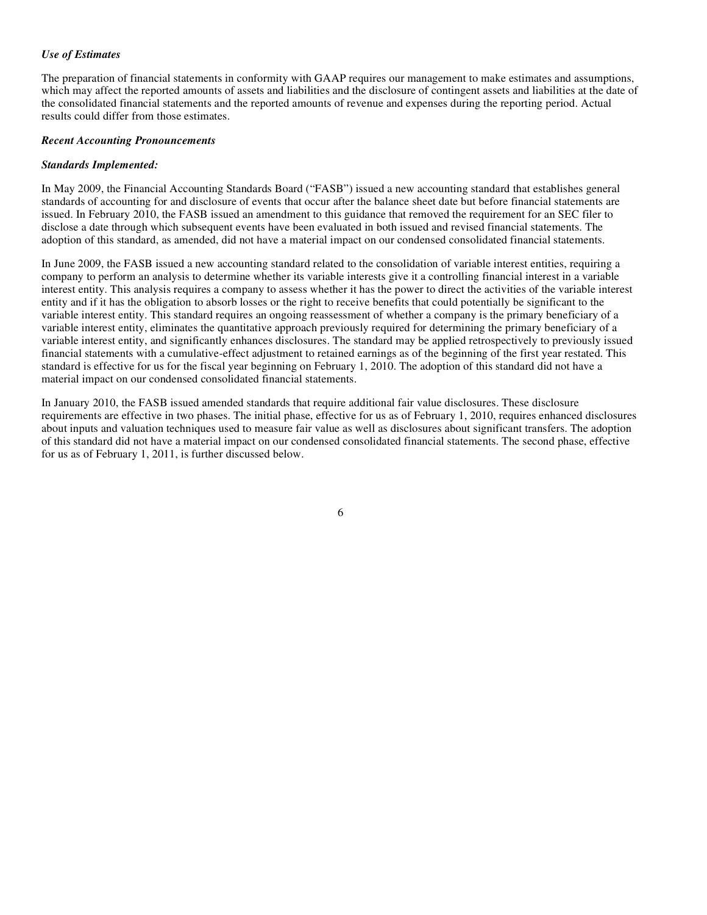#### *Use of Estimates*

The preparation of financial statements in conformity with GAAP requires our management to make estimates and assumptions, which may affect the reported amounts of assets and liabilities and the disclosure of contingent assets and liabilities at the date of the consolidated financial statements and the reported amounts of revenue and expenses during the reporting period. Actual results could differ from those estimates.

#### *Recent Accounting Pronouncements*

#### *Standards Implemented:*

In May 2009, the Financial Accounting Standards Board ("FASB") issued a new accounting standard that establishes general standards of accounting for and disclosure of events that occur after the balance sheet date but before financial statements are issued. In February 2010, the FASB issued an amendment to this guidance that removed the requirement for an SEC filer to disclose a date through which subsequent events have been evaluated in both issued and revised financial statements. The adoption of this standard, as amended, did not have a material impact on our condensed consolidated financial statements.

In June 2009, the FASB issued a new accounting standard related to the consolidation of variable interest entities, requiring a company to perform an analysis to determine whether its variable interests give it a controlling financial interest in a variable interest entity. This analysis requires a company to assess whether it has the power to direct the activities of the variable interest entity and if it has the obligation to absorb losses or the right to receive benefits that could potentially be significant to the variable interest entity. This standard requires an ongoing reassessment of whether a company is the primary beneficiary of a variable interest entity, eliminates the quantitative approach previously required for determining the primary beneficiary of a variable interest entity, and significantly enhances disclosures. The standard may be applied retrospectively to previously issued financial statements with a cumulative-effect adjustment to retained earnings as of the beginning of the first year restated. This standard is effective for us for the fiscal year beginning on February 1, 2010. The adoption of this standard did not have a material impact on our condensed consolidated financial statements.

In January 2010, the FASB issued amended standards that require additional fair value disclosures. These disclosure requirements are effective in two phases. The initial phase, effective for us as of February 1, 2010, requires enhanced disclosures about inputs and valuation techniques used to measure fair value as well as disclosures about significant transfers. The adoption of this standard did not have a material impact on our condensed consolidated financial statements. The second phase, effective for us as of February 1, 2011, is further discussed below.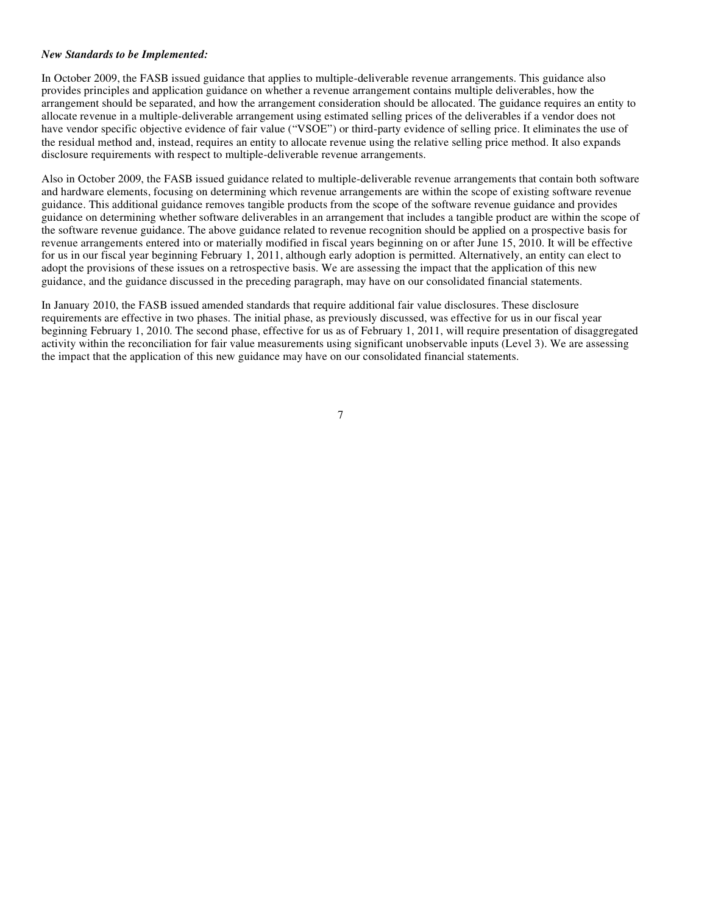#### *New Standards to be Implemented:*

In October 2009, the FASB issued guidance that applies to multiple-deliverable revenue arrangements. This guidance also provides principles and application guidance on whether a revenue arrangement contains multiple deliverables, how the arrangement should be separated, and how the arrangement consideration should be allocated. The guidance requires an entity to allocate revenue in a multiple-deliverable arrangement using estimated selling prices of the deliverables if a vendor does not have vendor specific objective evidence of fair value ("VSOE") or third-party evidence of selling price. It eliminates the use of the residual method and, instead, requires an entity to allocate revenue using the relative selling price method. It also expands disclosure requirements with respect to multiple-deliverable revenue arrangements.

Also in October 2009, the FASB issued guidance related to multiple-deliverable revenue arrangements that contain both software and hardware elements, focusing on determining which revenue arrangements are within the scope of existing software revenue guidance. This additional guidance removes tangible products from the scope of the software revenue guidance and provides guidance on determining whether software deliverables in an arrangement that includes a tangible product are within the scope of the software revenue guidance. The above guidance related to revenue recognition should be applied on a prospective basis for revenue arrangements entered into or materially modified in fiscal years beginning on or after June 15, 2010. It will be effective for us in our fiscal year beginning February 1, 2011, although early adoption is permitted. Alternatively, an entity can elect to adopt the provisions of these issues on a retrospective basis. We are assessing the impact that the application of this new guidance, and the guidance discussed in the preceding paragraph, may have on our consolidated financial statements.

In January 2010, the FASB issued amended standards that require additional fair value disclosures. These disclosure requirements are effective in two phases. The initial phase, as previously discussed, was effective for us in our fiscal year beginning February 1, 2010. The second phase, effective for us as of February 1, 2011, will require presentation of disaggregated activity within the reconciliation for fair value measurements using significant unobservable inputs (Level 3). We are assessing the impact that the application of this new guidance may have on our consolidated financial statements.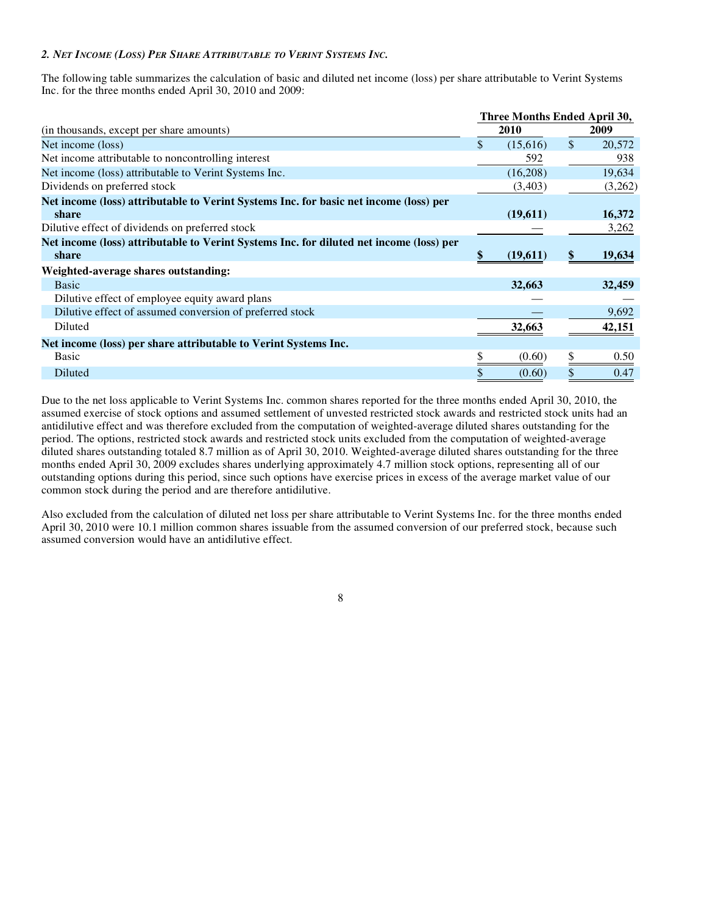#### *2. NET INCOME (LOSS) PER SHARE ATTRIBUTABLE TO VERINT SYSTEMS INC.*

The following table summarizes the calculation of basic and diluted net income (loss) per share attributable to Verint Systems Inc. for the three months ended April 30, 2010 and 2009:

|                                                                                         | Three Months Ended April 30, |          |         |         |  |  |
|-----------------------------------------------------------------------------------------|------------------------------|----------|---------|---------|--|--|
| (in thousands, except per share amounts)                                                |                              | 2010     |         | 2009    |  |  |
| Net income (loss)                                                                       | \$                           | (15,616) | $\sqrt$ | 20,572  |  |  |
| Net income attributable to noncontrolling interest                                      |                              | 592      |         | 938     |  |  |
| Net income (loss) attributable to Verint Systems Inc.                                   |                              | (16,208) |         | 19,634  |  |  |
| Dividends on preferred stock                                                            |                              | (3,403)  |         | (3,262) |  |  |
| Net income (loss) attributable to Verint Systems Inc. for basic net income (loss) per   |                              |          |         |         |  |  |
| share                                                                                   |                              | (19,611) |         | 16,372  |  |  |
| Dilutive effect of dividends on preferred stock                                         |                              |          |         | 3,262   |  |  |
| Net income (loss) attributable to Verint Systems Inc. for diluted net income (loss) per |                              |          |         |         |  |  |
| share                                                                                   |                              | (19,611) | \$      | 19,634  |  |  |
| Weighted-average shares outstanding:                                                    |                              |          |         |         |  |  |
| Basic                                                                                   |                              | 32,663   |         | 32,459  |  |  |
| Dilutive effect of employee equity award plans                                          |                              |          |         |         |  |  |
| Dilutive effect of assumed conversion of preferred stock                                |                              |          |         | 9,692   |  |  |
| Diluted                                                                                 |                              | 32,663   |         | 42,151  |  |  |
| Net income (loss) per share attributable to Verint Systems Inc.                         |                              |          |         |         |  |  |
| Basic                                                                                   |                              | (0.60)   | \$.     | 0.50    |  |  |
| Diluted                                                                                 |                              | (0.60)   |         | 0.47    |  |  |
|                                                                                         |                              |          |         |         |  |  |

Due to the net loss applicable to Verint Systems Inc. common shares reported for the three months ended April 30, 2010, the assumed exercise of stock options and assumed settlement of unvested restricted stock awards and restricted stock units had an antidilutive effect and was therefore excluded from the computation of weighted-average diluted shares outstanding for the period. The options, restricted stock awards and restricted stock units excluded from the computation of weighted-average diluted shares outstanding totaled 8.7 million as of April 30, 2010. Weighted-average diluted shares outstanding for the three months ended April 30, 2009 excludes shares underlying approximately 4.7 million stock options, representing all of our outstanding options during this period, since such options have exercise prices in excess of the average market value of our common stock during the period and are therefore antidilutive.

Also excluded from the calculation of diluted net loss per share attributable to Verint Systems Inc. for the three months ended April 30, 2010 were 10.1 million common shares issuable from the assumed conversion of our preferred stock, because such assumed conversion would have an antidilutive effect.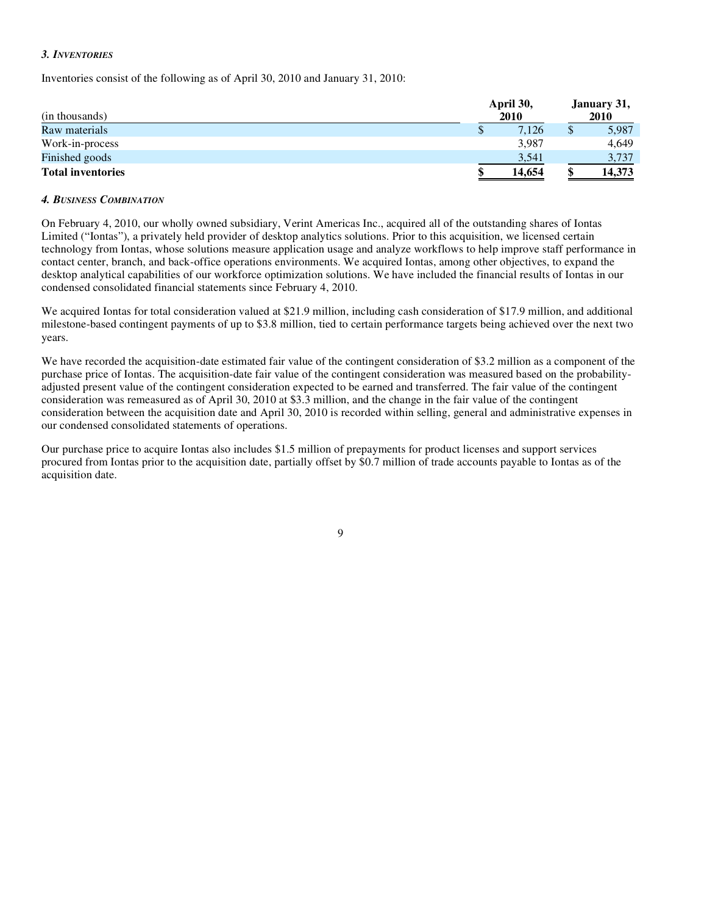#### *3. INVENTORIES*

Inventories consist of the following as of April 30, 2010 and January 31, 2010:

| (in thousands)           | April 30,<br>2010 |   | January 31,<br>2010 |  |  |  |
|--------------------------|-------------------|---|---------------------|--|--|--|
| Raw materials            | 7,126             | Φ | 5,987               |  |  |  |
| Work-in-process          | 3,987             |   | 4.649               |  |  |  |
| Finished goods           | 3,541             |   | 3,737               |  |  |  |
| <b>Total inventories</b> | 14.654            |   | 14,373              |  |  |  |

#### *4. BUSINESS COMBINATION*

On February 4, 2010, our wholly owned subsidiary, Verint Americas Inc., acquired all of the outstanding shares of Iontas Limited ("Iontas"), a privately held provider of desktop analytics solutions. Prior to this acquisition, we licensed certain technology from Iontas, whose solutions measure application usage and analyze workflows to help improve staff performance in contact center, branch, and back-office operations environments. We acquired Iontas, among other objectives, to expand the desktop analytical capabilities of our workforce optimization solutions. We have included the financial results of Iontas in our condensed consolidated financial statements since February 4, 2010.

We acquired Iontas for total consideration valued at \$21.9 million, including cash consideration of \$17.9 million, and additional milestone-based contingent payments of up to \$3.8 million, tied to certain performance targets being achieved over the next two years.

We have recorded the acquisition-date estimated fair value of the contingent consideration of \$3.2 million as a component of the purchase price of Iontas. The acquisition-date fair value of the contingent consideration was measured based on the probabilityadjusted present value of the contingent consideration expected to be earned and transferred. The fair value of the contingent consideration was remeasured as of April 30, 2010 at \$3.3 million, and the change in the fair value of the contingent consideration between the acquisition date and April 30, 2010 is recorded within selling, general and administrative expenses in our condensed consolidated statements of operations.

Our purchase price to acquire Iontas also includes \$1.5 million of prepayments for product licenses and support services procured from Iontas prior to the acquisition date, partially offset by \$0.7 million of trade accounts payable to Iontas as of the acquisition date.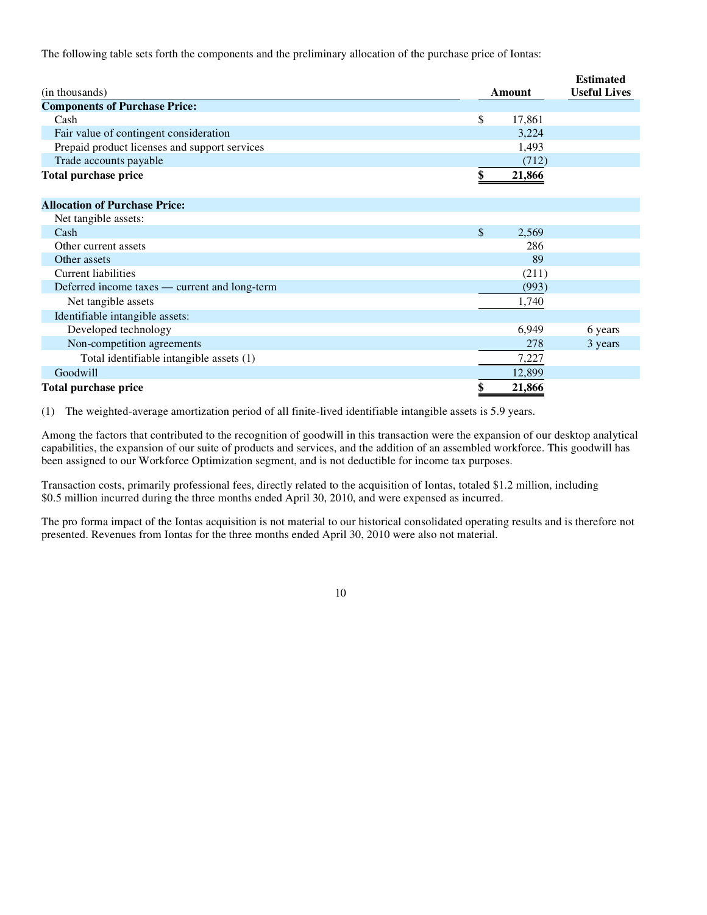The following table sets forth the components and the preliminary allocation of the purchase price of Iontas:

| (in thousands)                                | Amount |        | <b>Estimated</b><br><b>Useful Lives</b> |
|-----------------------------------------------|--------|--------|-----------------------------------------|
| <b>Components of Purchase Price:</b>          |        |        |                                         |
| Cash                                          | \$     | 17,861 |                                         |
| Fair value of contingent consideration        |        | 3,224  |                                         |
| Prepaid product licenses and support services |        | 1,493  |                                         |
| Trade accounts payable                        |        | (712)  |                                         |
| <b>Total purchase price</b>                   |        | 21,866 |                                         |
|                                               |        |        |                                         |
| <b>Allocation of Purchase Price:</b>          |        |        |                                         |
| Net tangible assets:                          |        |        |                                         |
| Cash                                          | \$     | 2,569  |                                         |
| Other current assets                          |        | 286    |                                         |
| Other assets                                  |        | 89     |                                         |
| Current liabilities                           |        | (211)  |                                         |
| Deferred income taxes — current and long-term |        | (993)  |                                         |
| Net tangible assets                           |        | 1,740  |                                         |
| Identifiable intangible assets:               |        |        |                                         |
| Developed technology                          |        | 6,949  | 6 years                                 |
| Non-competition agreements                    |        | 278    | 3 years                                 |
| Total identifiable intangible assets (1)      |        | 7,227  |                                         |
| Goodwill                                      |        | 12,899 |                                         |
| <b>Total purchase price</b>                   |        | 21,866 |                                         |

(1) The weighted-average amortization period of all finite-lived identifiable intangible assets is 5.9 years.

Among the factors that contributed to the recognition of goodwill in this transaction were the expansion of our desktop analytical capabilities, the expansion of our suite of products and services, and the addition of an assembled workforce. This goodwill has been assigned to our Workforce Optimization segment, and is not deductible for income tax purposes.

Transaction costs, primarily professional fees, directly related to the acquisition of Iontas, totaled \$1.2 million, including \$0.5 million incurred during the three months ended April 30, 2010, and were expensed as incurred.

The pro forma impact of the Iontas acquisition is not material to our historical consolidated operating results and is therefore not presented. Revenues from Iontas for the three months ended April 30, 2010 were also not material.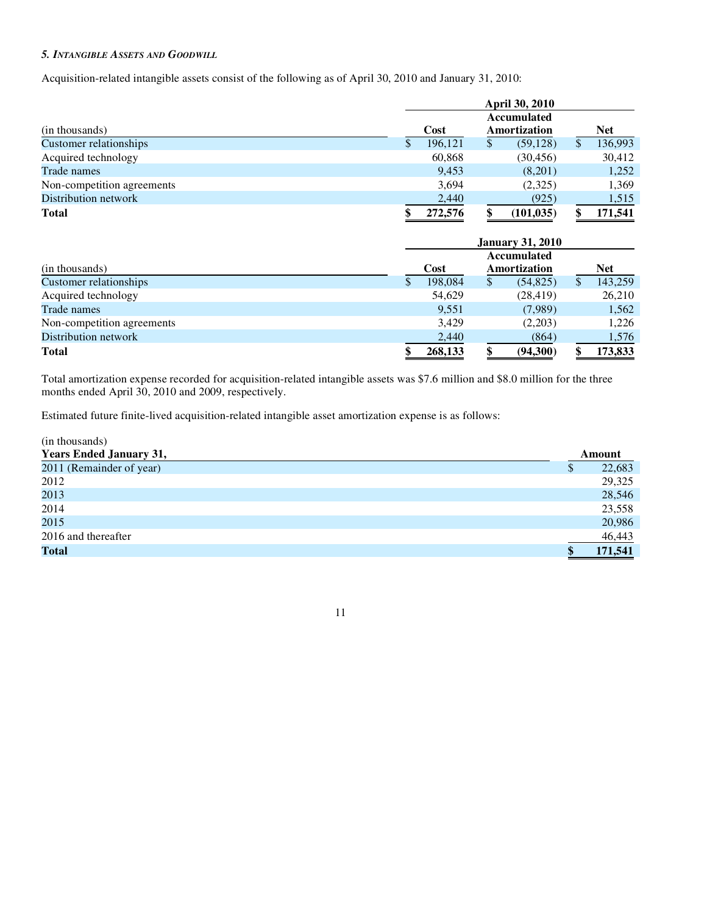#### *5. INTANGIBLE ASSETS AND GOODWILL*

Acquisition-related intangible assets consist of the following as of April 30, 2010 and January 31, 2010:

|                            |               | April 30, 2010 |              |                    |  |            |  |  |  |  |
|----------------------------|---------------|----------------|--------------|--------------------|--|------------|--|--|--|--|
|                            |               |                |              | <b>Accumulated</b> |  |            |  |  |  |  |
| (in thousands)             |               | Cost           | Amortization |                    |  | <b>Net</b> |  |  |  |  |
| Customer relationships     | <sup>\$</sup> | 196,121        | \$           | (59, 128)          |  | 136,993    |  |  |  |  |
| Acquired technology        |               | 60,868         |              | (30, 456)          |  | 30,412     |  |  |  |  |
| Trade names                |               | 9,453          |              | (8,201)            |  | 1,252      |  |  |  |  |
| Non-competition agreements |               | 3,694          |              | (2,325)            |  | 1,369      |  |  |  |  |
| Distribution network       |               | 2,440          |              | (925)              |  | 1,515      |  |  |  |  |
| <b>Total</b>               |               | 272,576        |              | (101, 035)         |  | 171,541    |  |  |  |  |

|                            | <b>January 31, 2010</b> |         |    |                    |  |            |  |  |
|----------------------------|-------------------------|---------|----|--------------------|--|------------|--|--|
|                            |                         |         |    | <b>Accumulated</b> |  |            |  |  |
| (in thousands)             |                         | Cost    |    | Amortization       |  | <b>Net</b> |  |  |
| Customer relationships     | \$                      | 198,084 | \$ | (54, 825)          |  | 143,259    |  |  |
| Acquired technology        |                         | 54,629  |    | (28, 419)          |  | 26,210     |  |  |
| Trade names                |                         | 9,551   |    | (7,989)            |  | 1,562      |  |  |
| Non-competition agreements |                         | 3,429   |    | (2,203)            |  | 1,226      |  |  |
| Distribution network       |                         | 2,440   |    | (864)              |  | 1,576      |  |  |
| <b>Total</b>               |                         | 268,133 |    | (94,300)           |  | 173,833    |  |  |

Total amortization expense recorded for acquisition-related intangible assets was \$7.6 million and \$8.0 million for the three months ended April 30, 2010 and 2009, respectively.

Estimated future finite-lived acquisition-related intangible asset amortization expense is as follows:

| (in thousands)                 |              |
|--------------------------------|--------------|
| <b>Years Ended January 31,</b> | Amount       |
| 2011 (Remainder of year)       | \$<br>22,683 |
| 2012                           | 29,325       |
| 2013                           | 28,546       |
| 2014                           | 23,558       |
| 2015                           | 20,986       |
| 2016 and thereafter            | 46,443       |
| <b>Total</b>                   | 171,541      |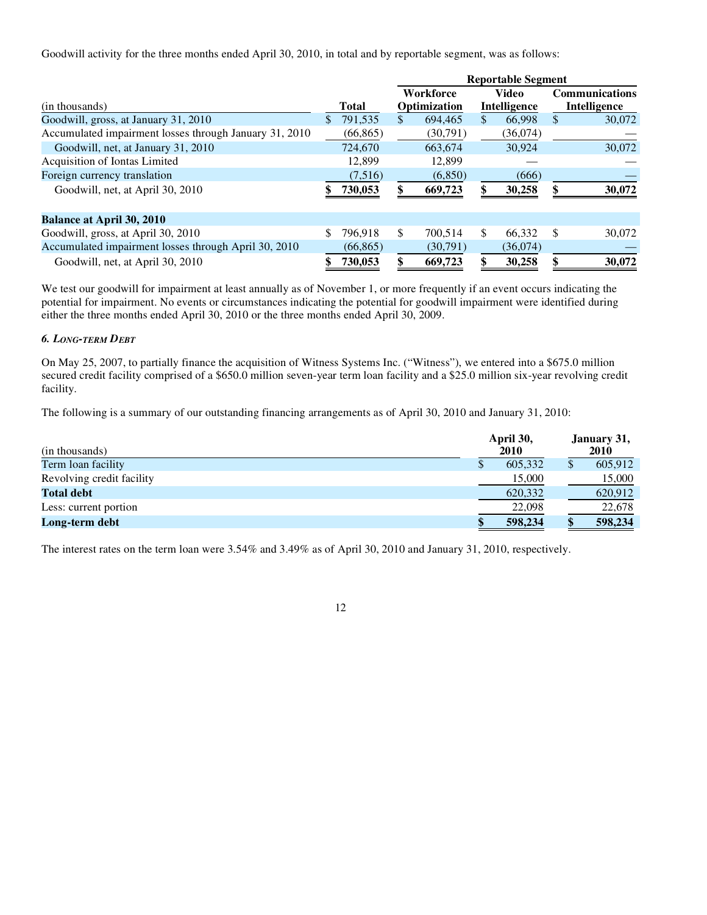Goodwill activity for the three months ended April 30, 2010, in total and by reportable segment, was as follows:

|                                                        | <b>Reportable Segment</b> |              |    |                           |    |                                     |     |                                |
|--------------------------------------------------------|---------------------------|--------------|----|---------------------------|----|-------------------------------------|-----|--------------------------------|
| (in thousands)                                         |                           | <b>Total</b> |    | Workforce<br>Optimization |    | <b>Video</b><br><b>Intelligence</b> |     | Communications<br>Intelligence |
| Goodwill, gross, at January 31, 2010                   |                           | 791,535      |    | 694,465                   | S  | 66,998                              | \$. | 30,072                         |
| Accumulated impairment losses through January 31, 2010 |                           | (66, 865)    |    | (30,791)                  |    | (36,074)                            |     |                                |
| Goodwill, net, at January 31, 2010                     |                           | 724,670      |    | 663,674                   |    | 30,924                              |     | 30,072                         |
| Acquisition of Iontas Limited                          |                           | 12.899       |    | 12.899                    |    |                                     |     |                                |
| Foreign currency translation                           |                           | (7,516)      |    | (6,850)                   |    | (666)                               |     |                                |
| Goodwill, net, at April 30, 2010                       |                           | 730,053      |    | 669,723                   |    | 30,258                              |     | 30,072                         |
| <b>Balance at April 30, 2010</b>                       |                           |              |    |                           |    |                                     |     |                                |
| Goodwill, gross, at April 30, 2010                     |                           | 796.918      | \$ | 700.514                   | \$ | 66.332                              | \$  | 30,072                         |
| Accumulated impairment losses through April 30, 2010   |                           | (66, 865)    |    | (30,791)                  |    | (36,074)                            |     |                                |
| Goodwill, net, at April 30, 2010                       |                           | 730.053      |    | 669,723                   |    | 30,258                              |     | 30,072                         |

We test our goodwill for impairment at least annually as of November 1, or more frequently if an event occurs indicating the potential for impairment. No events or circumstances indicating the potential for goodwill impairment were identified during either the three months ended April 30, 2010 or the three months ended April 30, 2009.

#### *6. LONG-TERM DEBT*

On May 25, 2007, to partially finance the acquisition of Witness Systems Inc. ("Witness"), we entered into a \$675.0 million secured credit facility comprised of a \$650.0 million seven-year term loan facility and a \$25.0 million six-year revolving credit facility.

The following is a summary of our outstanding financing arrangements as of April 30, 2010 and January 31, 2010:

| (in thousands)            |  | April 30,<br>2010 | January 31,<br>2010 |         |  |
|---------------------------|--|-------------------|---------------------|---------|--|
| Term loan facility        |  | 605.332           |                     | 605,912 |  |
| Revolving credit facility |  | 15,000            |                     | 15,000  |  |
| <b>Total debt</b>         |  | 620,332           |                     | 620,912 |  |
| Less: current portion     |  | 22,098            |                     | 22,678  |  |
| Long-term debt            |  | 598,234           |                     | 598,234 |  |

The interest rates on the term loan were 3.54% and 3.49% as of April 30, 2010 and January 31, 2010, respectively.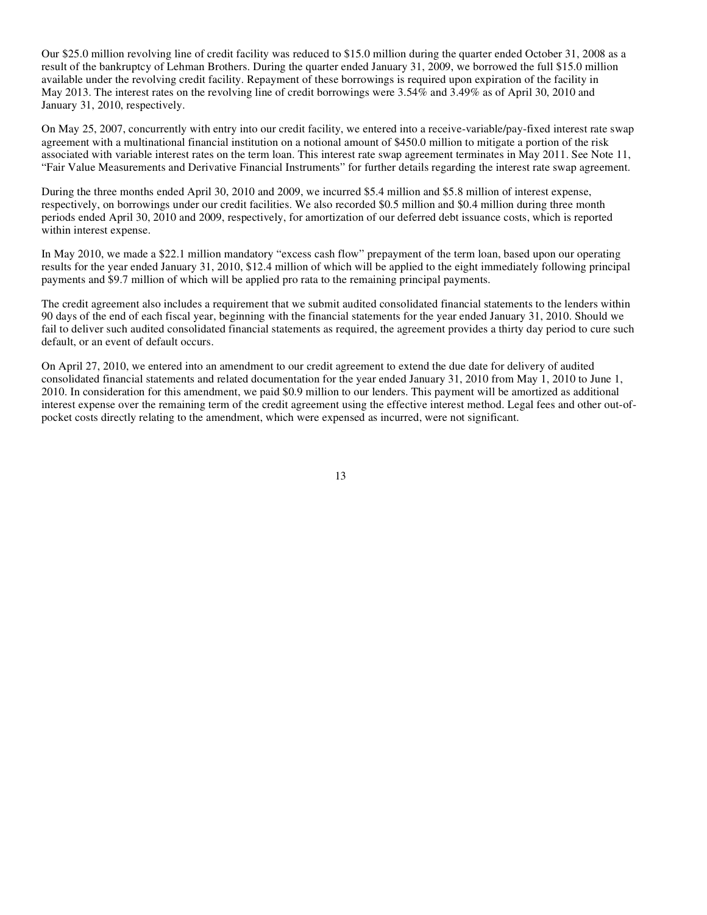Our \$25.0 million revolving line of credit facility was reduced to \$15.0 million during the quarter ended October 31, 2008 as a result of the bankruptcy of Lehman Brothers. During the quarter ended January 31, 2009, we borrowed the full \$15.0 million available under the revolving credit facility. Repayment of these borrowings is required upon expiration of the facility in May 2013. The interest rates on the revolving line of credit borrowings were 3.54% and 3.49% as of April 30, 2010 and January 31, 2010, respectively.

On May 25, 2007, concurrently with entry into our credit facility, we entered into a receive-variable/pay-fixed interest rate swap agreement with a multinational financial institution on a notional amount of \$450.0 million to mitigate a portion of the risk associated with variable interest rates on the term loan. This interest rate swap agreement terminates in May 2011. See Note 11, "Fair Value Measurements and Derivative Financial Instruments" for further details regarding the interest rate swap agreement.

During the three months ended April 30, 2010 and 2009, we incurred \$5.4 million and \$5.8 million of interest expense, respectively, on borrowings under our credit facilities. We also recorded \$0.5 million and \$0.4 million during three month periods ended April 30, 2010 and 2009, respectively, for amortization of our deferred debt issuance costs, which is reported within interest expense.

In May 2010, we made a \$22.1 million mandatory "excess cash flow" prepayment of the term loan, based upon our operating results for the year ended January 31, 2010, \$12.4 million of which will be applied to the eight immediately following principal payments and \$9.7 million of which will be applied pro rata to the remaining principal payments.

The credit agreement also includes a requirement that we submit audited consolidated financial statements to the lenders within 90 days of the end of each fiscal year, beginning with the financial statements for the year ended January 31, 2010. Should we fail to deliver such audited consolidated financial statements as required, the agreement provides a thirty day period to cure such default, or an event of default occurs.

On April 27, 2010, we entered into an amendment to our credit agreement to extend the due date for delivery of audited consolidated financial statements and related documentation for the year ended January 31, 2010 from May 1, 2010 to June 1, 2010. In consideration for this amendment, we paid \$0.9 million to our lenders. This payment will be amortized as additional interest expense over the remaining term of the credit agreement using the effective interest method. Legal fees and other out-ofpocket costs directly relating to the amendment, which were expensed as incurred, were not significant.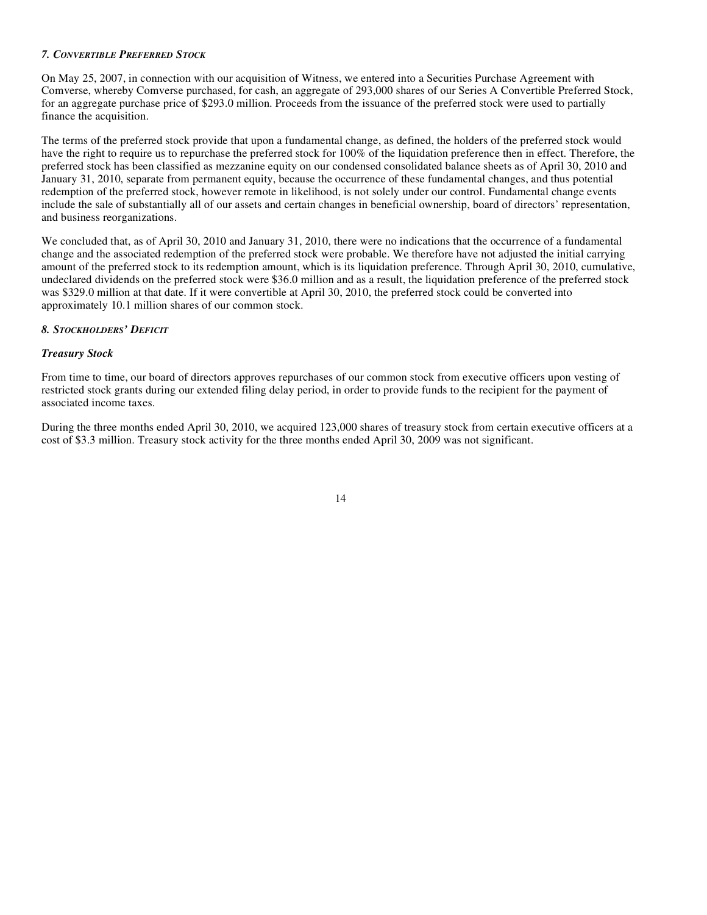#### *7. CONVERTIBLE PREFERRED STOCK*

On May 25, 2007, in connection with our acquisition of Witness, we entered into a Securities Purchase Agreement with Comverse, whereby Comverse purchased, for cash, an aggregate of 293,000 shares of our Series A Convertible Preferred Stock, for an aggregate purchase price of \$293.0 million. Proceeds from the issuance of the preferred stock were used to partially finance the acquisition.

The terms of the preferred stock provide that upon a fundamental change, as defined, the holders of the preferred stock would have the right to require us to repurchase the preferred stock for 100% of the liquidation preference then in effect. Therefore, the preferred stock has been classified as mezzanine equity on our condensed consolidated balance sheets as of April 30, 2010 and January 31, 2010, separate from permanent equity, because the occurrence of these fundamental changes, and thus potential redemption of the preferred stock, however remote in likelihood, is not solely under our control. Fundamental change events include the sale of substantially all of our assets and certain changes in beneficial ownership, board of directors' representation, and business reorganizations.

We concluded that, as of April 30, 2010 and January 31, 2010, there were no indications that the occurrence of a fundamental change and the associated redemption of the preferred stock were probable. We therefore have not adjusted the initial carrying amount of the preferred stock to its redemption amount, which is its liquidation preference. Through April 30, 2010, cumulative, undeclared dividends on the preferred stock were \$36.0 million and as a result, the liquidation preference of the preferred stock was \$329.0 million at that date. If it were convertible at April 30, 2010, the preferred stock could be converted into approximately 10.1 million shares of our common stock.

#### *8. STOCKHOLDERS' DEFICIT*

#### *Treasury Stock*

From time to time, our board of directors approves repurchases of our common stock from executive officers upon vesting of restricted stock grants during our extended filing delay period, in order to provide funds to the recipient for the payment of associated income taxes.

During the three months ended April 30, 2010, we acquired 123,000 shares of treasury stock from certain executive officers at a cost of \$3.3 million. Treasury stock activity for the three months ended April 30, 2009 was not significant.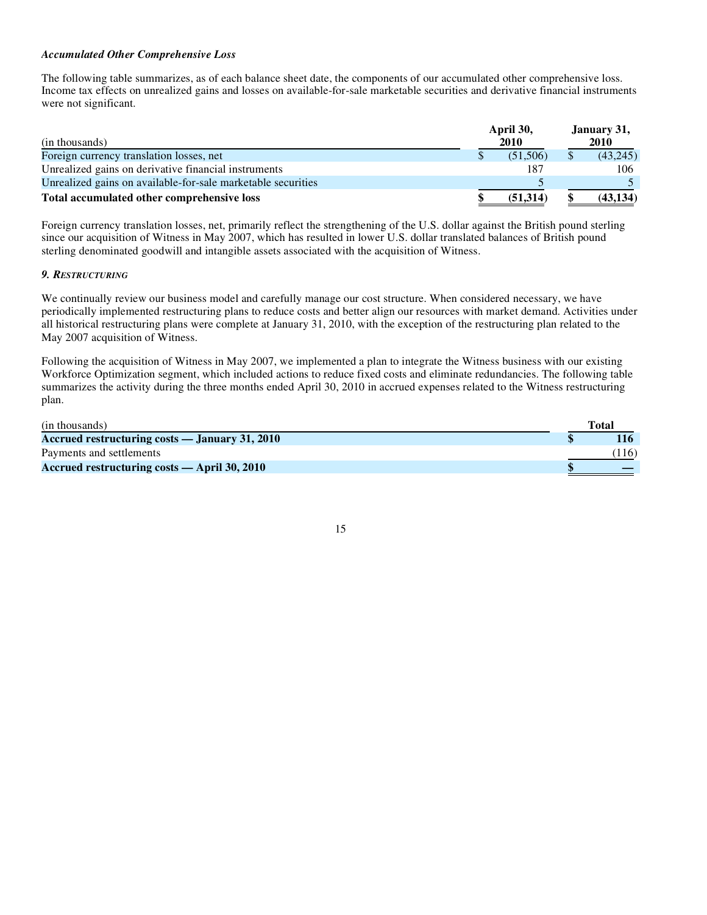#### *Accumulated Other Comprehensive Loss*

The following table summarizes, as of each balance sheet date, the components of our accumulated other comprehensive loss. Income tax effects on unrealized gains and losses on available-for-sale marketable securities and derivative financial instruments were not significant.

| (in thousands)                                               |  | April 30,<br>2010 | January 31,<br>2010 |           |  |
|--------------------------------------------------------------|--|-------------------|---------------------|-----------|--|
| Foreign currency translation losses, net                     |  | (51.506)          |                     | (43,245)  |  |
| Unrealized gains on derivative financial instruments         |  | 187               |                     | 106       |  |
| Unrealized gains on available-for-sale marketable securities |  |                   |                     |           |  |
| Total accumulated other comprehensive loss                   |  | (51.314)          | \$                  | (43, 134) |  |

Foreign currency translation losses, net, primarily reflect the strengthening of the U.S. dollar against the British pound sterling since our acquisition of Witness in May 2007, which has resulted in lower U.S. dollar translated balances of British pound sterling denominated goodwill and intangible assets associated with the acquisition of Witness.

#### *9. RESTRUCTURING*

We continually review our business model and carefully manage our cost structure. When considered necessary, we have periodically implemented restructuring plans to reduce costs and better align our resources with market demand. Activities under all historical restructuring plans were complete at January 31, 2010, with the exception of the restructuring plan related to the May 2007 acquisition of Witness.

Following the acquisition of Witness in May 2007, we implemented a plan to integrate the Witness business with our existing Workforce Optimization segment, which included actions to reduce fixed costs and eliminate redundancies. The following table summarizes the activity during the three months ended April 30, 2010 in accrued expenses related to the Witness restructuring plan.

| (in thousands)                                 | Total |
|------------------------------------------------|-------|
| Accrued restructuring costs — January 31, 2010 |       |
| Payments and settlements                       | (116) |
| Accrued restructuring costs — April 30, 2010   |       |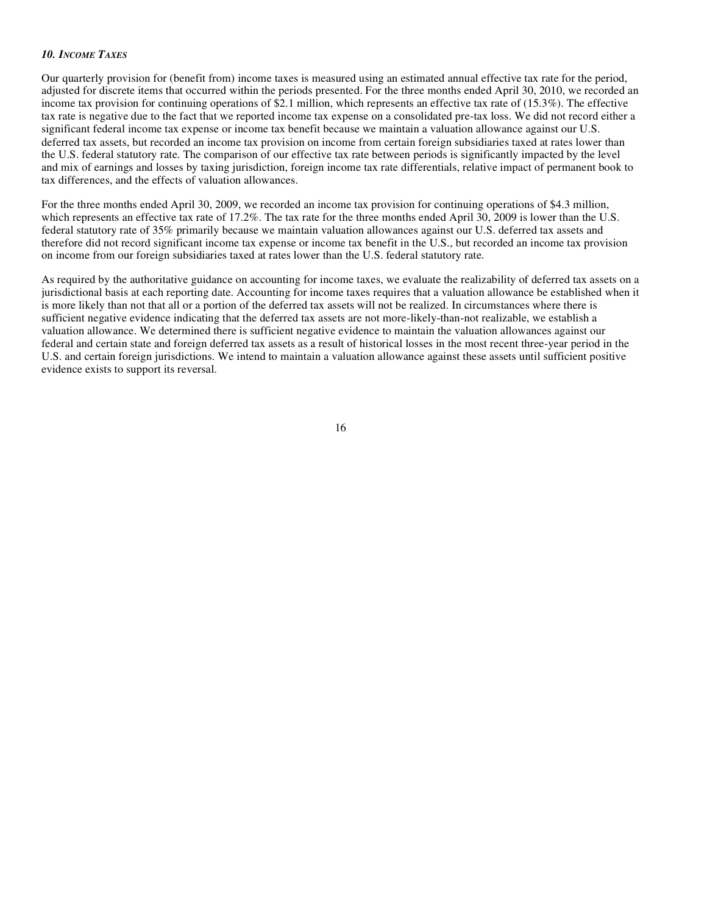#### *10. INCOME TAXES*

Our quarterly provision for (benefit from) income taxes is measured using an estimated annual effective tax rate for the period, adjusted for discrete items that occurred within the periods presented. For the three months ended April 30, 2010, we recorded an income tax provision for continuing operations of \$2.1 million, which represents an effective tax rate of (15.3%). The effective tax rate is negative due to the fact that we reported income tax expense on a consolidated pre-tax loss. We did not record either a significant federal income tax expense or income tax benefit because we maintain a valuation allowance against our U.S. deferred tax assets, but recorded an income tax provision on income from certain foreign subsidiaries taxed at rates lower than the U.S. federal statutory rate. The comparison of our effective tax rate between periods is significantly impacted by the level and mix of earnings and losses by taxing jurisdiction, foreign income tax rate differentials, relative impact of permanent book to tax differences, and the effects of valuation allowances.

For the three months ended April 30, 2009, we recorded an income tax provision for continuing operations of \$4.3 million, which represents an effective tax rate of 17.2%. The tax rate for the three months ended April 30, 2009 is lower than the U.S. federal statutory rate of 35% primarily because we maintain valuation allowances against our U.S. deferred tax assets and therefore did not record significant income tax expense or income tax benefit in the U.S., but recorded an income tax provision on income from our foreign subsidiaries taxed at rates lower than the U.S. federal statutory rate.

As required by the authoritative guidance on accounting for income taxes, we evaluate the realizability of deferred tax assets on a jurisdictional basis at each reporting date. Accounting for income taxes requires that a valuation allowance be established when it is more likely than not that all or a portion of the deferred tax assets will not be realized. In circumstances where there is sufficient negative evidence indicating that the deferred tax assets are not more-likely-than-not realizable, we establish a valuation allowance. We determined there is sufficient negative evidence to maintain the valuation allowances against our federal and certain state and foreign deferred tax assets as a result of historical losses in the most recent three-year period in the U.S. and certain foreign jurisdictions. We intend to maintain a valuation allowance against these assets until sufficient positive evidence exists to support its reversal.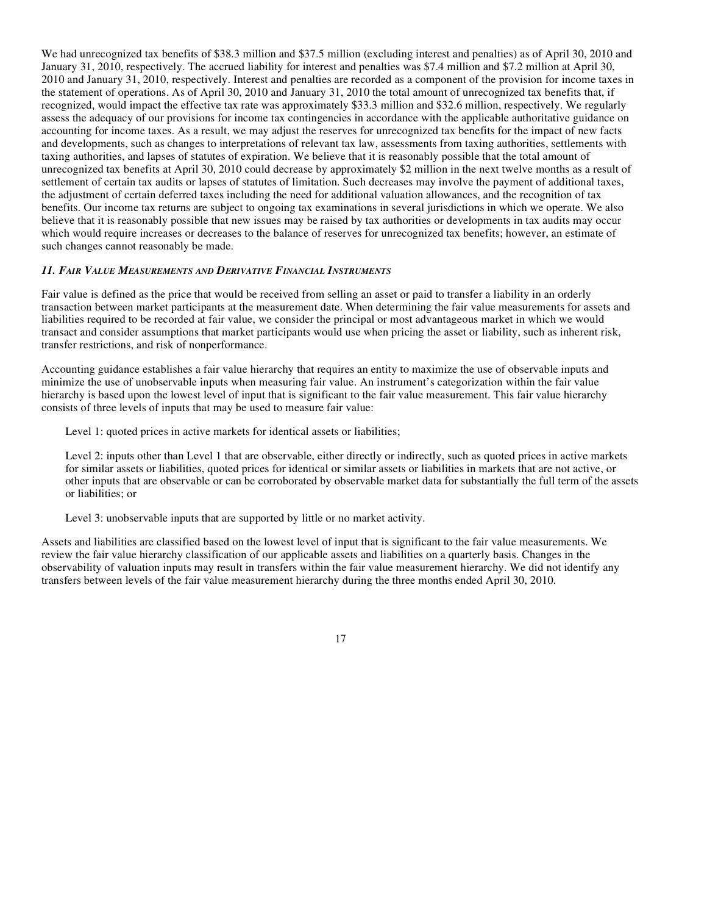We had unrecognized tax benefits of \$38.3 million and \$37.5 million (excluding interest and penalties) as of April 30, 2010 and January 31, 2010, respectively. The accrued liability for interest and penalties was \$7.4 million and \$7.2 million at April 30, 2010 and January 31, 2010, respectively. Interest and penalties are recorded as a component of the provision for income taxes in the statement of operations. As of April 30, 2010 and January 31, 2010 the total amount of unrecognized tax benefits that, if recognized, would impact the effective tax rate was approximately \$33.3 million and \$32.6 million, respectively. We regularly assess the adequacy of our provisions for income tax contingencies in accordance with the applicable authoritative guidance on accounting for income taxes. As a result, we may adjust the reserves for unrecognized tax benefits for the impact of new facts and developments, such as changes to interpretations of relevant tax law, assessments from taxing authorities, settlements with taxing authorities, and lapses of statutes of expiration. We believe that it is reasonably possible that the total amount of unrecognized tax benefits at April 30, 2010 could decrease by approximately \$2 million in the next twelve months as a result of settlement of certain tax audits or lapses of statutes of limitation. Such decreases may involve the payment of additional taxes, the adjustment of certain deferred taxes including the need for additional valuation allowances, and the recognition of tax benefits. Our income tax returns are subject to ongoing tax examinations in several jurisdictions in which we operate. We also believe that it is reasonably possible that new issues may be raised by tax authorities or developments in tax audits may occur which would require increases or decreases to the balance of reserves for unrecognized tax benefits; however, an estimate of such changes cannot reasonably be made.

#### *11. FAIR VALUE MEASUREMENTS AND DERIVATIVE FINANCIAL INSTRUMENTS*

Fair value is defined as the price that would be received from selling an asset or paid to transfer a liability in an orderly transaction between market participants at the measurement date. When determining the fair value measurements for assets and liabilities required to be recorded at fair value, we consider the principal or most advantageous market in which we would transact and consider assumptions that market participants would use when pricing the asset or liability, such as inherent risk, transfer restrictions, and risk of nonperformance.

Accounting guidance establishes a fair value hierarchy that requires an entity to maximize the use of observable inputs and minimize the use of unobservable inputs when measuring fair value. An instrument's categorization within the fair value hierarchy is based upon the lowest level of input that is significant to the fair value measurement. This fair value hierarchy consists of three levels of inputs that may be used to measure fair value:

Level 1: quoted prices in active markets for identical assets or liabilities;

Level 2: inputs other than Level 1 that are observable, either directly or indirectly, such as quoted prices in active markets for similar assets or liabilities, quoted prices for identical or similar assets or liabilities in markets that are not active, or other inputs that are observable or can be corroborated by observable market data for substantially the full term of the assets or liabilities; or

Level 3: unobservable inputs that are supported by little or no market activity.

Assets and liabilities are classified based on the lowest level of input that is significant to the fair value measurements. We review the fair value hierarchy classification of our applicable assets and liabilities on a quarterly basis. Changes in the observability of valuation inputs may result in transfers within the fair value measurement hierarchy. We did not identify any transfers between levels of the fair value measurement hierarchy during the three months ended April 30, 2010.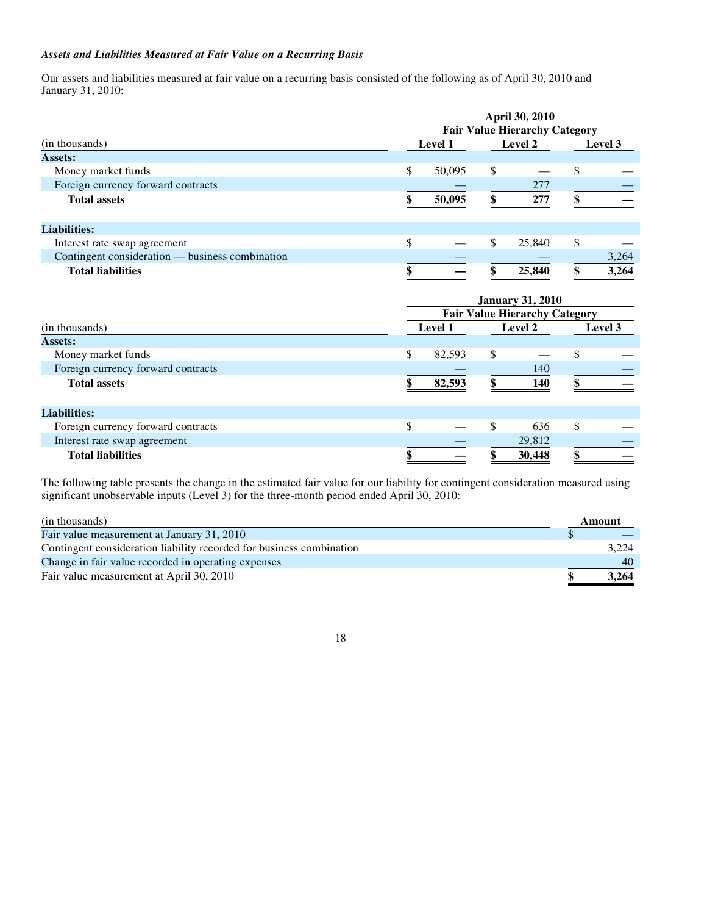#### *Assets and Liabilities Measured at Fair Value on a Recurring Basis*

Our assets and liabilities measured at fair value on a recurring basis consisted of the following as of April 30, 2010 and January 31, 2010:

|                                                 | <b>April 30, 2010</b> |         |    |                                      |    |         |  |  |
|-------------------------------------------------|-----------------------|---------|----|--------------------------------------|----|---------|--|--|
|                                                 |                       |         |    | <b>Fair Value Hierarchy Category</b> |    |         |  |  |
| (in thousands)                                  |                       | Level 1 |    | Level 2                              |    | Level 3 |  |  |
| <b>Assets:</b>                                  |                       |         |    |                                      |    |         |  |  |
| Money market funds                              | \$                    | 50,095  | \$ |                                      |    |         |  |  |
| Foreign currency forward contracts              |                       |         |    | 277                                  |    |         |  |  |
| <b>Total assets</b>                             |                       | 50,095  |    | 277                                  |    |         |  |  |
| <b>Liabilities:</b>                             |                       |         |    |                                      |    |         |  |  |
| Interest rate swap agreement                    | \$                    |         |    | 25,840                               | \$ |         |  |  |
| Contingent consideration — business combination |                       |         |    |                                      |    | 3,264   |  |  |
| <b>Total liabilities</b>                        |                       |         |    | 25,840                               |    | 3,264   |  |  |

|                                    | <b>January 31, 2010</b><br><b>Fair Value Hierarchy Category</b> |                |    |         |    |         |  |
|------------------------------------|-----------------------------------------------------------------|----------------|----|---------|----|---------|--|
| (in thousands)                     |                                                                 | <b>Level 1</b> |    | Level 2 |    | Level 3 |  |
| <b>Assets:</b>                     |                                                                 |                |    |         |    |         |  |
| Money market funds                 | \$                                                              | 82,593         | \$ |         | \$ |         |  |
| Foreign currency forward contracts |                                                                 |                |    | 140     |    |         |  |
| <b>Total assets</b>                |                                                                 | 82,593         |    | 140     |    |         |  |
| <b>Liabilities:</b>                |                                                                 |                |    |         |    |         |  |
| Foreign currency forward contracts | \$                                                              |                |    | 636     | \$ |         |  |
| Interest rate swap agreement       |                                                                 |                |    | 29,812  |    |         |  |
| <b>Total liabilities</b>           |                                                                 |                |    | 30,448  |    |         |  |

The following table presents the change in the estimated fair value for our liability for contingent consideration measured using significant unobservable inputs (Level 3) for the three-month period ended April 30, 2010:

| (in thousands)                                                       | Amount |
|----------------------------------------------------------------------|--------|
| Fair value measurement at January 31, 2010                           |        |
| Contingent consideration liability recorded for business combination | 3.224  |
| Change in fair value recorded in operating expenses                  | 40     |
| Fair value measurement at April 30, 2010                             | 3,264  |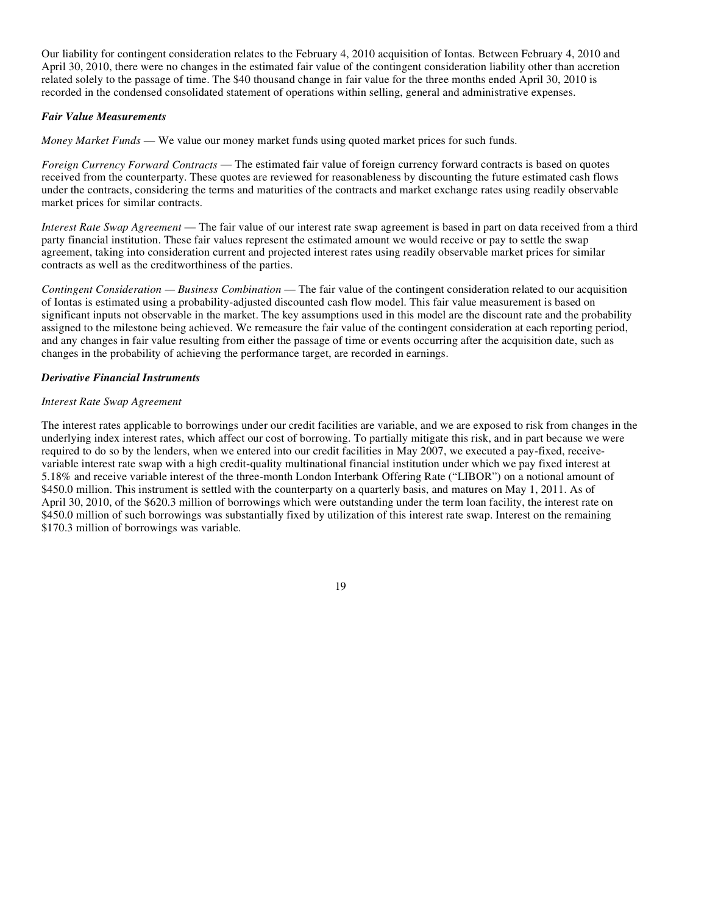Our liability for contingent consideration relates to the February 4, 2010 acquisition of Iontas. Between February 4, 2010 and April 30, 2010, there were no changes in the estimated fair value of the contingent consideration liability other than accretion related solely to the passage of time. The \$40 thousand change in fair value for the three months ended April 30, 2010 is recorded in the condensed consolidated statement of operations within selling, general and administrative expenses.

#### *Fair Value Measurements*

*Money Market Funds* — We value our money market funds using quoted market prices for such funds.

*Foreign Currency Forward Contracts* — The estimated fair value of foreign currency forward contracts is based on quotes received from the counterparty. These quotes are reviewed for reasonableness by discounting the future estimated cash flows under the contracts, considering the terms and maturities of the contracts and market exchange rates using readily observable market prices for similar contracts.

*Interest Rate Swap Agreement* — The fair value of our interest rate swap agreement is based in part on data received from a third party financial institution. These fair values represent the estimated amount we would receive or pay to settle the swap agreement, taking into consideration current and projected interest rates using readily observable market prices for similar contracts as well as the creditworthiness of the parties.

*Contingent Consideration — Business Combination* — The fair value of the contingent consideration related to our acquisition of Iontas is estimated using a probability-adjusted discounted cash flow model. This fair value measurement is based on significant inputs not observable in the market. The key assumptions used in this model are the discount rate and the probability assigned to the milestone being achieved. We remeasure the fair value of the contingent consideration at each reporting period, and any changes in fair value resulting from either the passage of time or events occurring after the acquisition date, such as changes in the probability of achieving the performance target, are recorded in earnings.

#### *Derivative Financial Instruments*

#### *Interest Rate Swap Agreement*

The interest rates applicable to borrowings under our credit facilities are variable, and we are exposed to risk from changes in the underlying index interest rates, which affect our cost of borrowing. To partially mitigate this risk, and in part because we were required to do so by the lenders, when we entered into our credit facilities in May 2007, we executed a pay-fixed, receivevariable interest rate swap with a high credit-quality multinational financial institution under which we pay fixed interest at 5.18% and receive variable interest of the three-month London Interbank Offering Rate ("LIBOR") on a notional amount of \$450.0 million. This instrument is settled with the counterparty on a quarterly basis, and matures on May 1, 2011. As of April 30, 2010, of the \$620.3 million of borrowings which were outstanding under the term loan facility, the interest rate on \$450.0 million of such borrowings was substantially fixed by utilization of this interest rate swap. Interest on the remaining \$170.3 million of borrowings was variable.

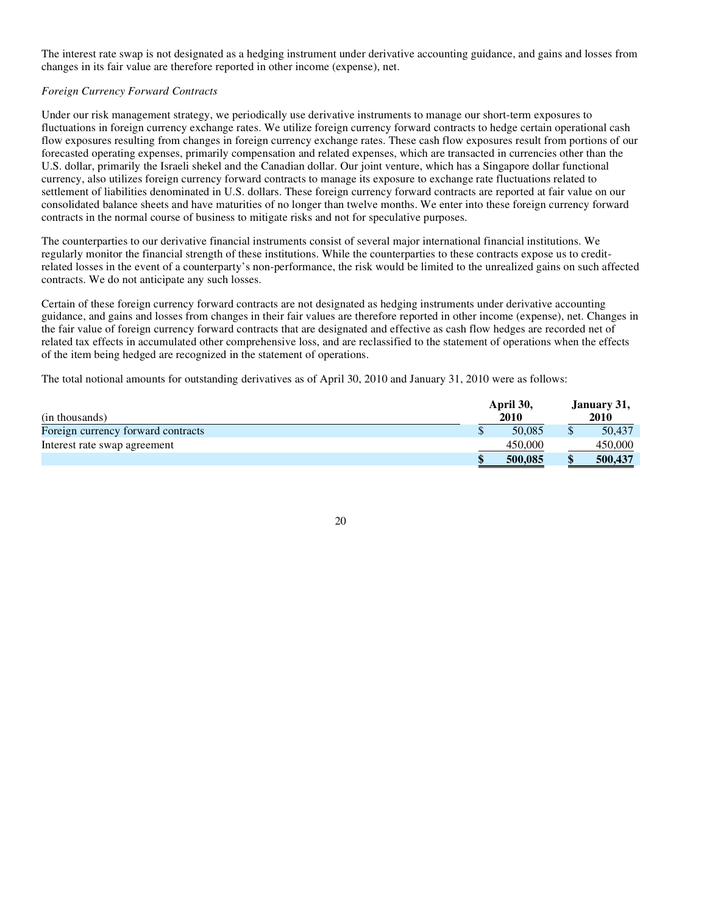The interest rate swap is not designated as a hedging instrument under derivative accounting guidance, and gains and losses from changes in its fair value are therefore reported in other income (expense), net.

#### *Foreign Currency Forward Contracts*

Under our risk management strategy, we periodically use derivative instruments to manage our short-term exposures to fluctuations in foreign currency exchange rates. We utilize foreign currency forward contracts to hedge certain operational cash flow exposures resulting from changes in foreign currency exchange rates. These cash flow exposures result from portions of our forecasted operating expenses, primarily compensation and related expenses, which are transacted in currencies other than the U.S. dollar, primarily the Israeli shekel and the Canadian dollar. Our joint venture, which has a Singapore dollar functional currency, also utilizes foreign currency forward contracts to manage its exposure to exchange rate fluctuations related to settlement of liabilities denominated in U.S. dollars. These foreign currency forward contracts are reported at fair value on our consolidated balance sheets and have maturities of no longer than twelve months. We enter into these foreign currency forward contracts in the normal course of business to mitigate risks and not for speculative purposes.

The counterparties to our derivative financial instruments consist of several major international financial institutions. We regularly monitor the financial strength of these institutions. While the counterparties to these contracts expose us to creditrelated losses in the event of a counterparty's non-performance, the risk would be limited to the unrealized gains on such affected contracts. We do not anticipate any such losses.

Certain of these foreign currency forward contracts are not designated as hedging instruments under derivative accounting guidance, and gains and losses from changes in their fair values are therefore reported in other income (expense), net. Changes in the fair value of foreign currency forward contracts that are designated and effective as cash flow hedges are recorded net of related tax effects in accumulated other comprehensive loss, and are reclassified to the statement of operations when the effects of the item being hedged are recognized in the statement of operations.

The total notional amounts for outstanding derivatives as of April 30, 2010 and January 31, 2010 were as follows:

| (in thousands)                     | April 30,<br>2010 | January 31,<br>2010    |
|------------------------------------|-------------------|------------------------|
| Foreign currency forward contracts |                   | 50,085<br>50.437<br>\$ |
| Interest rate swap agreement       |                   | 450,000<br>450,000     |
|                                    |                   | 500.085<br>500,437     |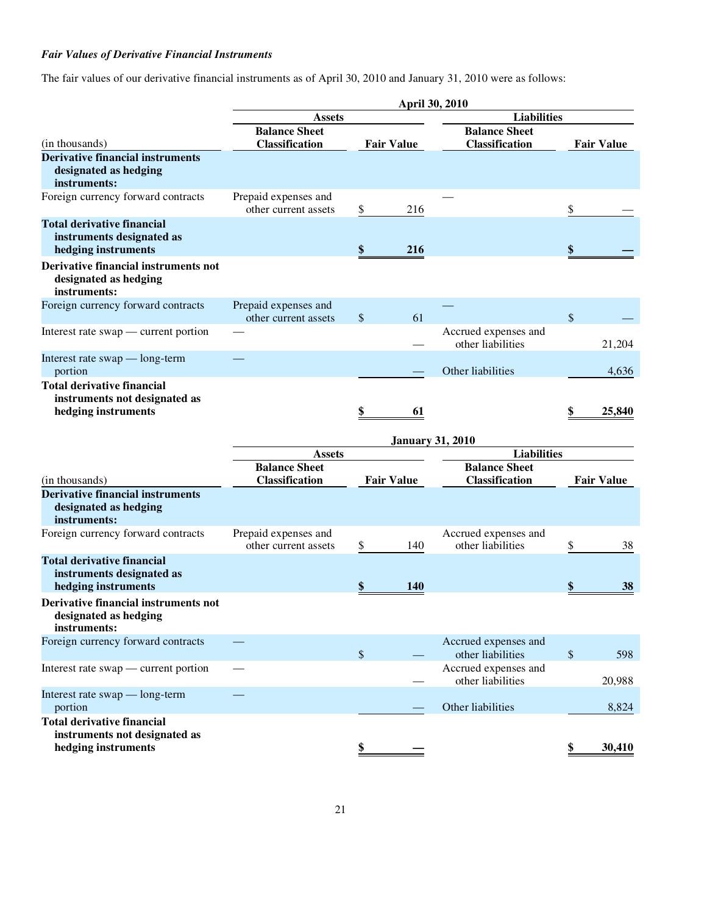# *Fair Values of Derivative Financial Instruments*

The fair values of our derivative financial instruments as of April 30, 2010 and January 31, 2010 were as follows:

|                                                                                           |                                               | April 30, 2010          |                                               |        |                   |
|-------------------------------------------------------------------------------------------|-----------------------------------------------|-------------------------|-----------------------------------------------|--------|-------------------|
|                                                                                           | <b>Assets</b>                                 |                         | <b>Liabilities</b>                            |        |                   |
| (in thousands)                                                                            | <b>Balance Sheet</b><br><b>Classification</b> | <b>Fair Value</b>       | <b>Balance Sheet</b><br><b>Classification</b> |        | <b>Fair Value</b> |
| <b>Derivative financial instruments</b><br>designated as hedging<br>instruments:          |                                               |                         |                                               |        |                   |
| Foreign currency forward contracts                                                        | Prepaid expenses and<br>other current assets  | \$<br>216               |                                               | \$     |                   |
| <b>Total derivative financial</b><br>instruments designated as<br>hedging instruments     |                                               | \$<br>216               |                                               | \$     |                   |
| Derivative financial instruments not<br>designated as hedging<br>instruments:             |                                               |                         |                                               |        |                   |
| Foreign currency forward contracts                                                        | Prepaid expenses and<br>other current assets  | \$<br>61                |                                               | \$     |                   |
| Interest rate swap — current portion                                                      |                                               |                         | Accrued expenses and<br>other liabilities     |        | 21,204            |
| Interest rate swap — long-term<br>portion                                                 |                                               |                         | Other liabilities                             |        | 4,636             |
| <b>Total derivative financial</b><br>instruments not designated as<br>hedging instruments |                                               | \$<br>61                |                                               | \$     | 25,840            |
|                                                                                           | <b>Assets</b>                                 | <b>January 31, 2010</b> | <b>Liabilities</b>                            |        |                   |
| (in thousands)                                                                            | <b>Balance Sheet</b><br><b>Classification</b> | <b>Fair Value</b>       | <b>Balance Sheet</b><br><b>Classification</b> |        | <b>Fair Value</b> |
| <b>Derivative financial instruments</b><br>designated as hedging<br>instruments:          |                                               |                         |                                               |        |                   |
| Foreign currency forward contracts                                                        | Prepaid expenses and<br>other current assets  | \$<br>140               | Accrued expenses and<br>other liabilities     | \$     | 38                |
| <b>Total derivative financial</b><br>instruments designated as<br>hedging instruments     |                                               | \$<br><b>140</b>        |                                               | \$     | 38                |
| Derivative financial instruments not<br>designated as hedging<br>instruments:             |                                               |                         |                                               |        |                   |
| Foreign currency forward contracts                                                        |                                               | \$                      | Accrued expenses and<br>other liabilities     | $\$\,$ | 598               |
| Interest rate swap — current portion                                                      |                                               |                         | Accrued expenses and<br>other liabilities     |        | 20,988            |
| Interest rate swap — long-term<br>portion                                                 |                                               |                         | Other liabilities                             |        | 8,824             |
| <b>Total derivative financial</b><br>instruments not designated as<br>hedging instruments |                                               | \$                      |                                               | \$     | 30,410            |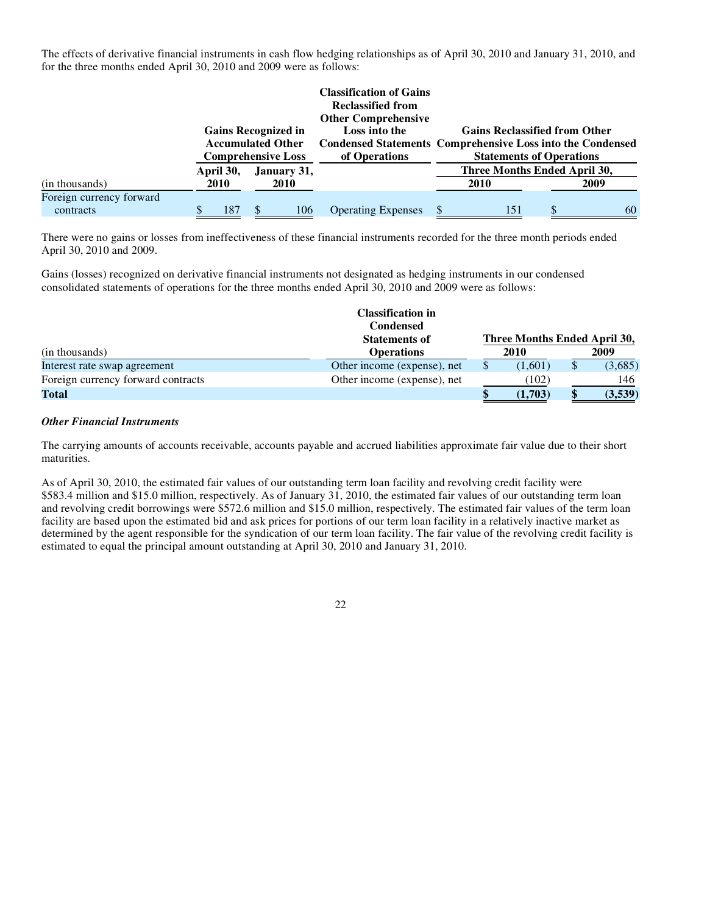The effects of derivative financial instruments in cash flow hedging relationships as of April 30, 2010 and January 31, 2010, and for the three months ended April 30, 2010 and 2009 were as follows:

|                          |                            |  |                           | <b>Classification of Gains</b><br><b>Reclassified from</b> |                                                                   |                                      |  |      |
|--------------------------|----------------------------|--|---------------------------|------------------------------------------------------------|-------------------------------------------------------------------|--------------------------------------|--|------|
|                          |                            |  |                           | <b>Other Comprehensive</b>                                 |                                                                   |                                      |  |      |
|                          | <b>Gains Recognized in</b> |  |                           | Loss into the                                              |                                                                   | <b>Gains Reclassified from Other</b> |  |      |
|                          | <b>Accumulated Other</b>   |  |                           |                                                            | <b>Condensed Statements Comprehensive Loss into the Condensed</b> |                                      |  |      |
|                          |                            |  | <b>Comprehensive Loss</b> | of Operations                                              | <b>Statements of Operations</b>                                   |                                      |  |      |
|                          | April 30,                  |  | January 31,               |                                                            |                                                                   | Three Months Ended April 30,         |  |      |
| (in thousands)           | <b>2010</b>                |  | <b>2010</b>               |                                                            |                                                                   | 2010                                 |  | 2009 |
| Foreign currency forward |                            |  |                           |                                                            |                                                                   |                                      |  |      |
| contracts                | 187                        |  | 106                       | <b>Operating Expenses</b>                                  |                                                                   | 151                                  |  | 60   |

There were no gains or losses from ineffectiveness of these financial instruments recorded for the three month periods ended April 30, 2010 and 2009.

Gains (losses) recognized on derivative financial instruments not designated as hedging instruments in our condensed consolidated statements of operations for the three months ended April 30, 2010 and 2009 were as follows:

|                                    | <b>Classification in</b>    |                              |         |
|------------------------------------|-----------------------------|------------------------------|---------|
|                                    | <b>Condensed</b>            |                              |         |
|                                    | <b>Statements of</b>        | Three Months Ended April 30, |         |
| (in thousands)                     | <b>Operations</b>           | 2010                         | 2009    |
| Interest rate swap agreement       | Other income (expense), net | (1,601)                      | (3,685) |
| Foreign currency forward contracts | Other income (expense), net | (102)                        | 146     |
| <b>Total</b>                       |                             | (1,703)                      | (3,539) |

#### *Other Financial Instruments*

The carrying amounts of accounts receivable, accounts payable and accrued liabilities approximate fair value due to their short maturities.

As of April 30, 2010, the estimated fair values of our outstanding term loan facility and revolving credit facility were \$583.4 million and \$15.0 million, respectively. As of January 31, 2010, the estimated fair values of our outstanding term loan and revolving credit borrowings were \$572.6 million and \$15.0 million, respectively. The estimated fair values of the term loan facility are based upon the estimated bid and ask prices for portions of our term loan facility in a relatively inactive market as determined by the agent responsible for the syndication of our term loan facility. The fair value of the revolving credit facility is estimated to equal the principal amount outstanding at April 30, 2010 and January 31, 2010.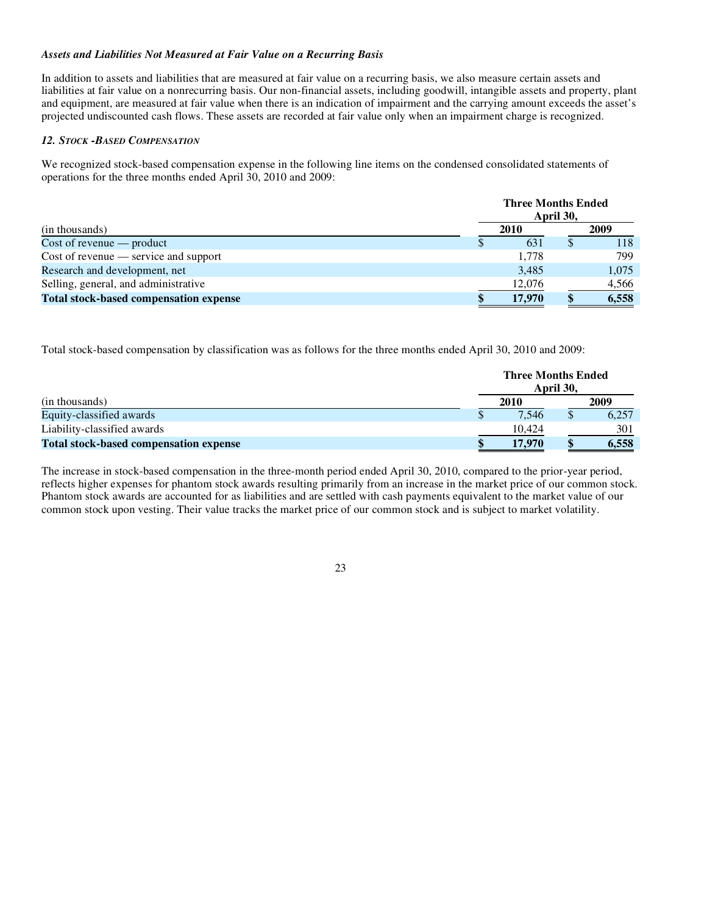#### *Assets and Liabilities Not Measured at Fair Value on a Recurring Basis*

In addition to assets and liabilities that are measured at fair value on a recurring basis, we also measure certain assets and liabilities at fair value on a nonrecurring basis. Our non-financial assets, including goodwill, intangible assets and property, plant and equipment, are measured at fair value when there is an indication of impairment and the carrying amount exceeds the asset's projected undiscounted cash flows. These assets are recorded at fair value only when an impairment charge is recognized.

#### *12. STOCK -BASED COMPENSATION*

We recognized stock-based compensation expense in the following line items on the condensed consolidated statements of operations for the three months ended April 30, 2010 and 2009:

|                                                           | <b>Three Months Ended</b><br>April 30, |        |               |       |  |  |
|-----------------------------------------------------------|----------------------------------------|--------|---------------|-------|--|--|
| (in thousands)                                            |                                        | 2010   |               | 2009  |  |  |
| $Cost of revenue \text{---} product$                      |                                        | 631    | <sup>\$</sup> | 118   |  |  |
| $Cost of revenue \text{ } \text{ } =$ service and support |                                        | 1,778  |               | 799   |  |  |
| Research and development, net                             |                                        | 3,485  |               | 1,075 |  |  |
| Selling, general, and administrative                      |                                        | 12,076 |               | 4,566 |  |  |
| <b>Total stock-based compensation expense</b>             |                                        | 17,970 |               | 6,558 |  |  |

Total stock-based compensation by classification was as follows for the three months ended April 30, 2010 and 2009:

|                                               | <b>Three Months Ended</b><br>April 30, |    |       |  |  |
|-----------------------------------------------|----------------------------------------|----|-------|--|--|
| (in thousands)                                | 2010                                   |    | 2009  |  |  |
| Equity-classified awards                      | 7.546                                  | \$ | 6,257 |  |  |
| Liability-classified awards                   | 10.424                                 |    | 301   |  |  |
| <b>Total stock-based compensation expense</b> | 17.970                                 |    | 6.558 |  |  |

The increase in stock-based compensation in the three-month period ended April 30, 2010, compared to the prior-year period, reflects higher expenses for phantom stock awards resulting primarily from an increase in the market price of our common stock. Phantom stock awards are accounted for as liabilities and are settled with cash payments equivalent to the market value of our common stock upon vesting. Their value tracks the market price of our common stock and is subject to market volatility.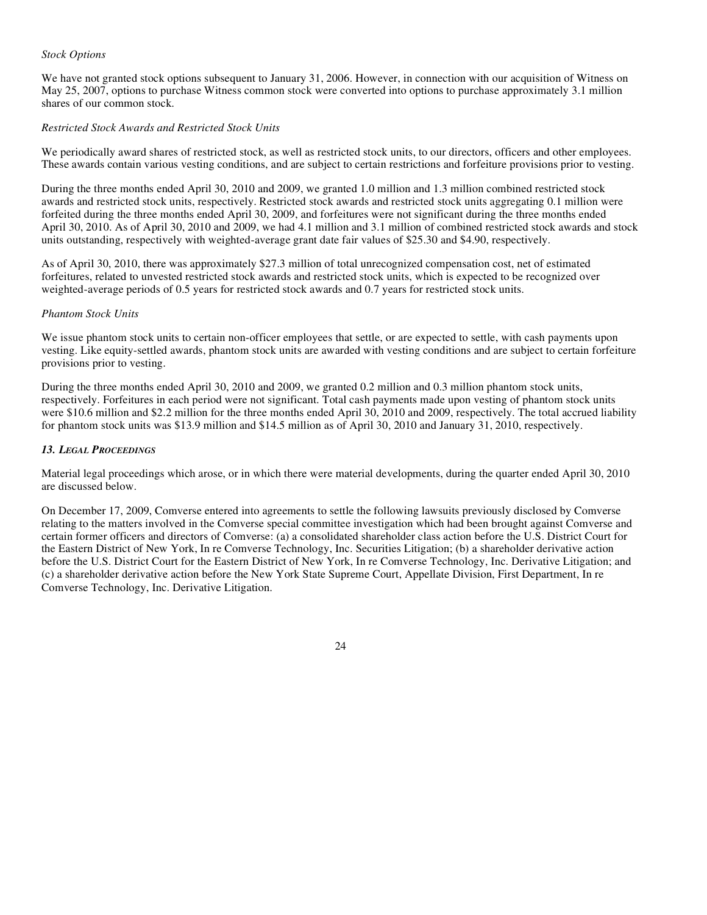#### *Stock Options*

We have not granted stock options subsequent to January 31, 2006. However, in connection with our acquisition of Witness on May 25, 2007, options to purchase Witness common stock were converted into options to purchase approximately 3.1 million shares of our common stock.

#### *Restricted Stock Awards and Restricted Stock Units*

We periodically award shares of restricted stock, as well as restricted stock units, to our directors, officers and other employees. These awards contain various vesting conditions, and are subject to certain restrictions and forfeiture provisions prior to vesting.

During the three months ended April 30, 2010 and 2009, we granted 1.0 million and 1.3 million combined restricted stock awards and restricted stock units, respectively. Restricted stock awards and restricted stock units aggregating 0.1 million were forfeited during the three months ended April 30, 2009, and forfeitures were not significant during the three months ended April 30, 2010. As of April 30, 2010 and 2009, we had 4.1 million and 3.1 million of combined restricted stock awards and stock units outstanding, respectively with weighted-average grant date fair values of \$25.30 and \$4.90, respectively.

As of April 30, 2010, there was approximately \$27.3 million of total unrecognized compensation cost, net of estimated forfeitures, related to unvested restricted stock awards and restricted stock units, which is expected to be recognized over weighted-average periods of 0.5 years for restricted stock awards and 0.7 years for restricted stock units.

#### *Phantom Stock Units*

We issue phantom stock units to certain non-officer employees that settle, or are expected to settle, with cash payments upon vesting. Like equity-settled awards, phantom stock units are awarded with vesting conditions and are subject to certain forfeiture provisions prior to vesting.

During the three months ended April 30, 2010 and 2009, we granted 0.2 million and 0.3 million phantom stock units, respectively. Forfeitures in each period were not significant. Total cash payments made upon vesting of phantom stock units were \$10.6 million and \$2.2 million for the three months ended April 30, 2010 and 2009, respectively. The total accrued liability for phantom stock units was \$13.9 million and \$14.5 million as of April 30, 2010 and January 31, 2010, respectively.

#### *13. LEGAL PROCEEDINGS*

Material legal proceedings which arose, or in which there were material developments, during the quarter ended April 30, 2010 are discussed below.

On December 17, 2009, Comverse entered into agreements to settle the following lawsuits previously disclosed by Comverse relating to the matters involved in the Comverse special committee investigation which had been brought against Comverse and certain former officers and directors of Comverse: (a) a consolidated shareholder class action before the U.S. District Court for the Eastern District of New York, In re Comverse Technology, Inc. Securities Litigation; (b) a shareholder derivative action before the U.S. District Court for the Eastern District of New York, In re Comverse Technology, Inc. Derivative Litigation; and (c) a shareholder derivative action before the New York State Supreme Court, Appellate Division, First Department, In re Comverse Technology, Inc. Derivative Litigation.

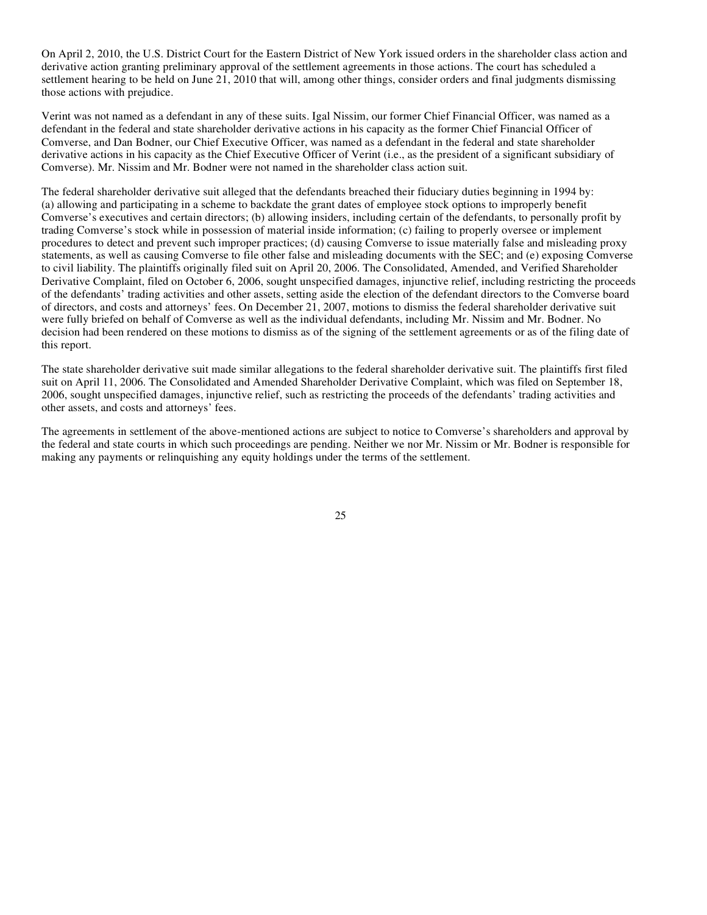On April 2, 2010, the U.S. District Court for the Eastern District of New York issued orders in the shareholder class action and derivative action granting preliminary approval of the settlement agreements in those actions. The court has scheduled a settlement hearing to be held on June 21, 2010 that will, among other things, consider orders and final judgments dismissing those actions with prejudice.

Verint was not named as a defendant in any of these suits. Igal Nissim, our former Chief Financial Officer, was named as a defendant in the federal and state shareholder derivative actions in his capacity as the former Chief Financial Officer of Comverse, and Dan Bodner, our Chief Executive Officer, was named as a defendant in the federal and state shareholder derivative actions in his capacity as the Chief Executive Officer of Verint (i.e., as the president of a significant subsidiary of Comverse). Mr. Nissim and Mr. Bodner were not named in the shareholder class action suit.

The federal shareholder derivative suit alleged that the defendants breached their fiduciary duties beginning in 1994 by: (a) allowing and participating in a scheme to backdate the grant dates of employee stock options to improperly benefit Comverse's executives and certain directors; (b) allowing insiders, including certain of the defendants, to personally profit by trading Comverse's stock while in possession of material inside information; (c) failing to properly oversee or implement procedures to detect and prevent such improper practices; (d) causing Comverse to issue materially false and misleading proxy statements, as well as causing Comverse to file other false and misleading documents with the SEC; and (e) exposing Comverse to civil liability. The plaintiffs originally filed suit on April 20, 2006. The Consolidated, Amended, and Verified Shareholder Derivative Complaint, filed on October 6, 2006, sought unspecified damages, injunctive relief, including restricting the proceeds of the defendants' trading activities and other assets, setting aside the election of the defendant directors to the Comverse board of directors, and costs and attorneys' fees. On December 21, 2007, motions to dismiss the federal shareholder derivative suit were fully briefed on behalf of Comverse as well as the individual defendants, including Mr. Nissim and Mr. Bodner. No decision had been rendered on these motions to dismiss as of the signing of the settlement agreements or as of the filing date of this report.

The state shareholder derivative suit made similar allegations to the federal shareholder derivative suit. The plaintiffs first filed suit on April 11, 2006. The Consolidated and Amended Shareholder Derivative Complaint, which was filed on September 18, 2006, sought unspecified damages, injunctive relief, such as restricting the proceeds of the defendants' trading activities and other assets, and costs and attorneys' fees.

The agreements in settlement of the above-mentioned actions are subject to notice to Comverse's shareholders and approval by the federal and state courts in which such proceedings are pending. Neither we nor Mr. Nissim or Mr. Bodner is responsible for making any payments or relinquishing any equity holdings under the terms of the settlement.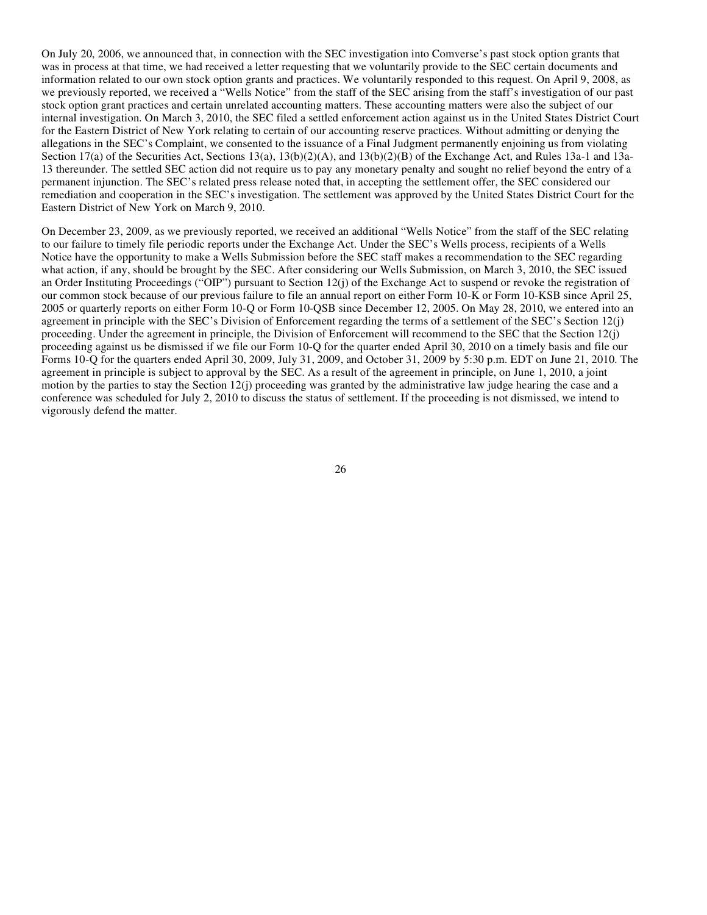On July 20, 2006, we announced that, in connection with the SEC investigation into Comverse's past stock option grants that was in process at that time, we had received a letter requesting that we voluntarily provide to the SEC certain documents and information related to our own stock option grants and practices. We voluntarily responded to this request. On April 9, 2008, as we previously reported, we received a "Wells Notice" from the staff of the SEC arising from the staff's investigation of our past stock option grant practices and certain unrelated accounting matters. These accounting matters were also the subject of our internal investigation. On March 3, 2010, the SEC filed a settled enforcement action against us in the United States District Court for the Eastern District of New York relating to certain of our accounting reserve practices. Without admitting or denying the allegations in the SEC's Complaint, we consented to the issuance of a Final Judgment permanently enjoining us from violating Section 17(a) of the Securities Act, Sections 13(a), 13(b)(2)(A), and 13(b)(2)(B) of the Exchange Act, and Rules 13a-1 and 13a-13 thereunder. The settled SEC action did not require us to pay any monetary penalty and sought no relief beyond the entry of a permanent injunction. The SEC's related press release noted that, in accepting the settlement offer, the SEC considered our remediation and cooperation in the SEC's investigation. The settlement was approved by the United States District Court for the Eastern District of New York on March 9, 2010.

On December 23, 2009, as we previously reported, we received an additional "Wells Notice" from the staff of the SEC relating to our failure to timely file periodic reports under the Exchange Act. Under the SEC's Wells process, recipients of a Wells Notice have the opportunity to make a Wells Submission before the SEC staff makes a recommendation to the SEC regarding what action, if any, should be brought by the SEC. After considering our Wells Submission, on March 3, 2010, the SEC issued an Order Instituting Proceedings ("OIP") pursuant to Section 12(j) of the Exchange Act to suspend or revoke the registration of our common stock because of our previous failure to file an annual report on either Form 10-K or Form 10-KSB since April 25, 2005 or quarterly reports on either Form 10-Q or Form 10-QSB since December 12, 2005. On May 28, 2010, we entered into an agreement in principle with the SEC's Division of Enforcement regarding the terms of a settlement of the SEC's Section 12(j) proceeding. Under the agreement in principle, the Division of Enforcement will recommend to the SEC that the Section 12(j) proceeding against us be dismissed if we file our Form 10-Q for the quarter ended April 30, 2010 on a timely basis and file our Forms 10-Q for the quarters ended April 30, 2009, July 31, 2009, and October 31, 2009 by 5:30 p.m. EDT on June 21, 2010. The agreement in principle is subject to approval by the SEC. As a result of the agreement in principle, on June 1, 2010, a joint motion by the parties to stay the Section 12(j) proceeding was granted by the administrative law judge hearing the case and a conference was scheduled for July 2, 2010 to discuss the status of settlement. If the proceeding is not dismissed, we intend to vigorously defend the matter.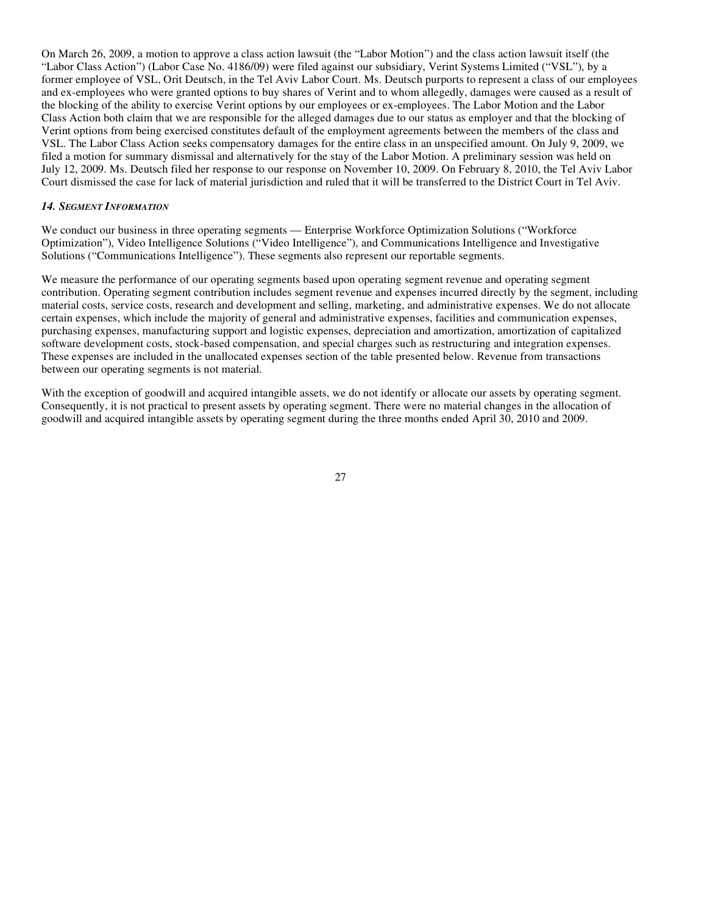On March 26, 2009, a motion to approve a class action lawsuit (the "Labor Motion") and the class action lawsuit itself (the "Labor Class Action") (Labor Case No. 4186/09) were filed against our subsidiary, Verint Systems Limited ("VSL"), by a former employee of VSL, Orit Deutsch, in the Tel Aviv Labor Court. Ms. Deutsch purports to represent a class of our employees and ex-employees who were granted options to buy shares of Verint and to whom allegedly, damages were caused as a result of the blocking of the ability to exercise Verint options by our employees or ex-employees. The Labor Motion and the Labor Class Action both claim that we are responsible for the alleged damages due to our status as employer and that the blocking of Verint options from being exercised constitutes default of the employment agreements between the members of the class and VSL. The Labor Class Action seeks compensatory damages for the entire class in an unspecified amount. On July 9, 2009, we filed a motion for summary dismissal and alternatively for the stay of the Labor Motion. A preliminary session was held on July 12, 2009. Ms. Deutsch filed her response to our response on November 10, 2009. On February 8, 2010, the Tel Aviv Labor Court dismissed the case for lack of material jurisdiction and ruled that it will be transferred to the District Court in Tel Aviv.

#### *14. SEGMENT INFORMATION*

We conduct our business in three operating segments — Enterprise Workforce Optimization Solutions ("Workforce" Optimization"), Video Intelligence Solutions ("Video Intelligence"), and Communications Intelligence and Investigative Solutions ("Communications Intelligence"). These segments also represent our reportable segments.

We measure the performance of our operating segments based upon operating segment revenue and operating segment contribution. Operating segment contribution includes segment revenue and expenses incurred directly by the segment, including material costs, service costs, research and development and selling, marketing, and administrative expenses. We do not allocate certain expenses, which include the majority of general and administrative expenses, facilities and communication expenses, purchasing expenses, manufacturing support and logistic expenses, depreciation and amortization, amortization of capitalized software development costs, stock-based compensation, and special charges such as restructuring and integration expenses. These expenses are included in the unallocated expenses section of the table presented below. Revenue from transactions between our operating segments is not material.

With the exception of goodwill and acquired intangible assets, we do not identify or allocate our assets by operating segment. Consequently, it is not practical to present assets by operating segment. There were no material changes in the allocation of goodwill and acquired intangible assets by operating segment during the three months ended April 30, 2010 and 2009.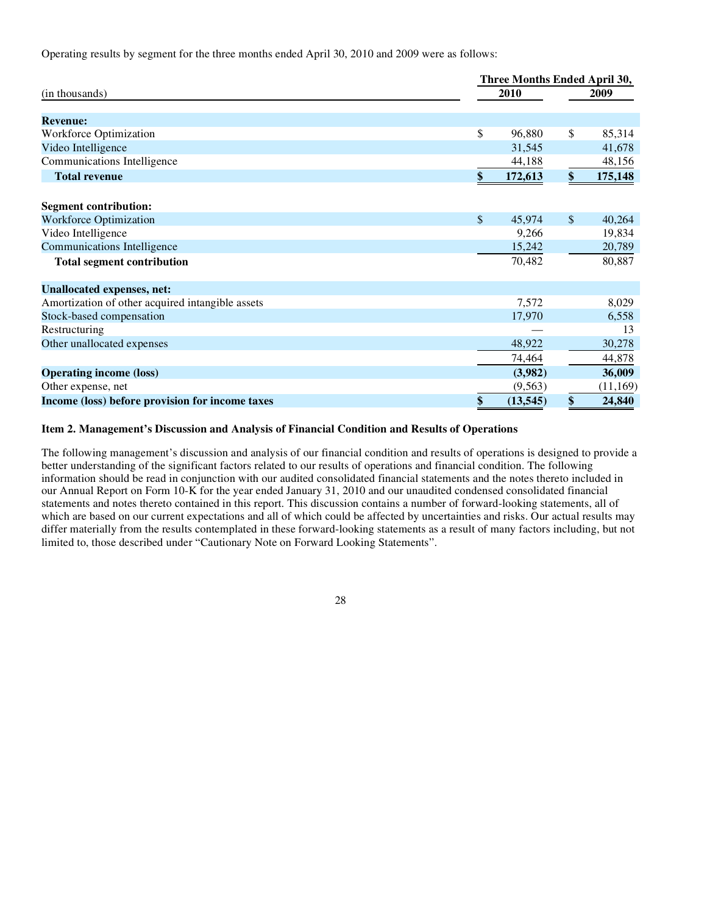Operating results by segment for the three months ended April 30, 2010 and 2009 were as follows:

|                                                  |    | Three Months Ended April 30, |              |           |  |  |  |
|--------------------------------------------------|----|------------------------------|--------------|-----------|--|--|--|
| (in thousands)                                   |    | 2010                         |              | 2009      |  |  |  |
| <b>Revenue:</b>                                  |    |                              |              |           |  |  |  |
|                                                  |    |                              |              |           |  |  |  |
| Workforce Optimization                           | \$ | 96,880                       | \$           | 85,314    |  |  |  |
| Video Intelligence                               |    | 31,545                       |              | 41,678    |  |  |  |
| Communications Intelligence                      |    | 44,188                       |              | 48,156    |  |  |  |
| <b>Total revenue</b>                             |    | 172,613                      | \$           | 175,148   |  |  |  |
| <b>Segment contribution:</b>                     |    |                              |              |           |  |  |  |
| <b>Workforce Optimization</b>                    | \$ | 45,974                       | $\mathbb{S}$ | 40,264    |  |  |  |
| Video Intelligence                               |    | 9,266                        |              | 19,834    |  |  |  |
| Communications Intelligence                      |    | 15,242                       |              | 20,789    |  |  |  |
| <b>Total segment contribution</b>                |    | 70,482                       |              | 80,887    |  |  |  |
| <b>Unallocated expenses, net:</b>                |    |                              |              |           |  |  |  |
| Amortization of other acquired intangible assets |    | 7,572                        |              | 8,029     |  |  |  |
| Stock-based compensation                         |    | 17,970                       |              | 6,558     |  |  |  |
| Restructuring                                    |    |                              |              | 13        |  |  |  |
| Other unallocated expenses                       |    | 48,922                       |              | 30,278    |  |  |  |
|                                                  |    | 74,464                       |              | 44,878    |  |  |  |
| <b>Operating income (loss)</b>                   |    | (3,982)                      |              | 36,009    |  |  |  |
| Other expense, net                               |    | (9, 563)                     |              | (11, 169) |  |  |  |
| Income (loss) before provision for income taxes  |    | (13, 545)                    | \$           | 24,840    |  |  |  |

#### **Item 2. Management's Discussion and Analysis of Financial Condition and Results of Operations**

The following management's discussion and analysis of our financial condition and results of operations is designed to provide a better understanding of the significant factors related to our results of operations and financial condition. The following information should be read in conjunction with our audited consolidated financial statements and the notes thereto included in our Annual Report on Form 10-K for the year ended January 31, 2010 and our unaudited condensed consolidated financial statements and notes thereto contained in this report. This discussion contains a number of forward-looking statements, all of which are based on our current expectations and all of which could be affected by uncertainties and risks. Our actual results may differ materially from the results contemplated in these forward-looking statements as a result of many factors including, but not limited to, those described under "Cautionary Note on Forward Looking Statements".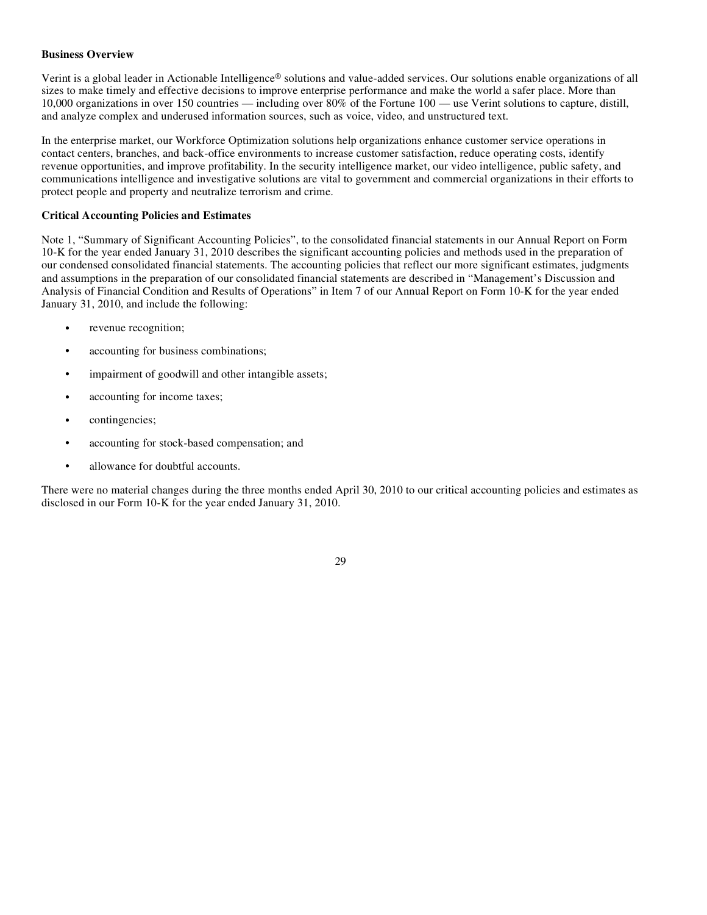#### **Business Overview**

Verint is a global leader in Actionable Intelligence® solutions and value-added services. Our solutions enable organizations of all sizes to make timely and effective decisions to improve enterprise performance and make the world a safer place. More than 10,000 organizations in over 150 countries — including over 80% of the Fortune 100 — use Verint solutions to capture, distill, and analyze complex and underused information sources, such as voice, video, and unstructured text.

In the enterprise market, our Workforce Optimization solutions help organizations enhance customer service operations in contact centers, branches, and back-office environments to increase customer satisfaction, reduce operating costs, identify revenue opportunities, and improve profitability. In the security intelligence market, our video intelligence, public safety, and communications intelligence and investigative solutions are vital to government and commercial organizations in their efforts to protect people and property and neutralize terrorism and crime.

#### **Critical Accounting Policies and Estimates**

Note 1, "Summary of Significant Accounting Policies", to the consolidated financial statements in our Annual Report on Form 10-K for the year ended January 31, 2010 describes the significant accounting policies and methods used in the preparation of our condensed consolidated financial statements. The accounting policies that reflect our more significant estimates, judgments and assumptions in the preparation of our consolidated financial statements are described in "Management's Discussion and Analysis of Financial Condition and Results of Operations" in Item 7 of our Annual Report on Form 10-K for the year ended January 31, 2010, and include the following:

- **•** revenue recognition;
- **•** accounting for business combinations;
- **•** impairment of goodwill and other intangible assets;
- **•** accounting for income taxes;
- contingencies;
- **•** accounting for stock-based compensation; and
- allowance for doubtful accounts.

There were no material changes during the three months ended April 30, 2010 to our critical accounting policies and estimates as disclosed in our Form 10-K for the year ended January 31, 2010.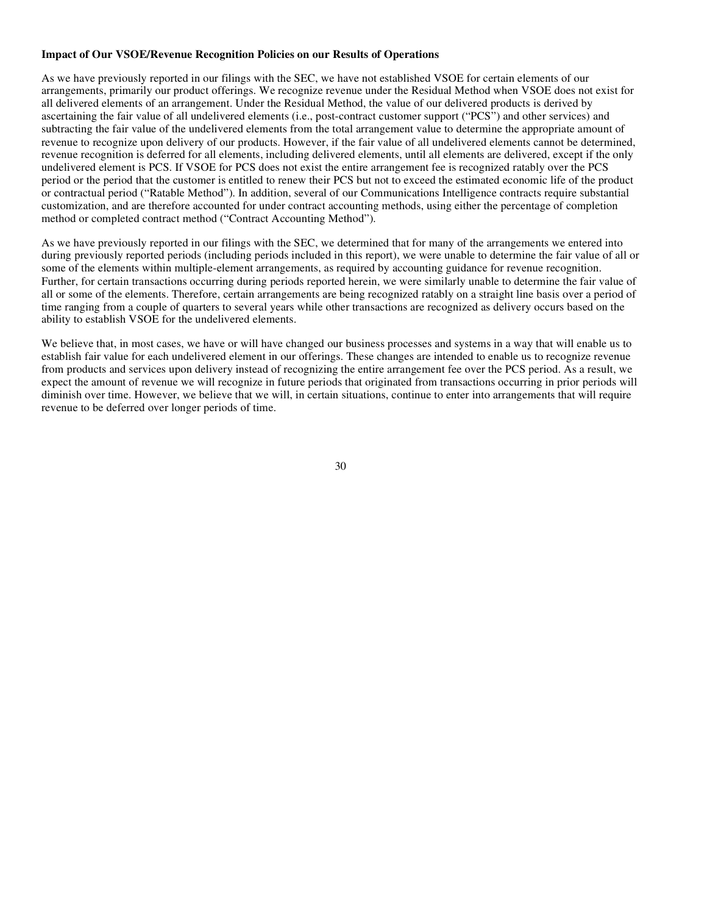#### **Impact of Our VSOE/Revenue Recognition Policies on our Results of Operations**

As we have previously reported in our filings with the SEC, we have not established VSOE for certain elements of our arrangements, primarily our product offerings. We recognize revenue under the Residual Method when VSOE does not exist for all delivered elements of an arrangement. Under the Residual Method, the value of our delivered products is derived by ascertaining the fair value of all undelivered elements (i.e., post-contract customer support ("PCS") and other services) and subtracting the fair value of the undelivered elements from the total arrangement value to determine the appropriate amount of revenue to recognize upon delivery of our products. However, if the fair value of all undelivered elements cannot be determined, revenue recognition is deferred for all elements, including delivered elements, until all elements are delivered, except if the only undelivered element is PCS. If VSOE for PCS does not exist the entire arrangement fee is recognized ratably over the PCS period or the period that the customer is entitled to renew their PCS but not to exceed the estimated economic life of the product or contractual period ("Ratable Method"). In addition, several of our Communications Intelligence contracts require substantial customization, and are therefore accounted for under contract accounting methods, using either the percentage of completion method or completed contract method ("Contract Accounting Method").

As we have previously reported in our filings with the SEC, we determined that for many of the arrangements we entered into during previously reported periods (including periods included in this report), we were unable to determine the fair value of all or some of the elements within multiple-element arrangements, as required by accounting guidance for revenue recognition. Further, for certain transactions occurring during periods reported herein, we were similarly unable to determine the fair value of all or some of the elements. Therefore, certain arrangements are being recognized ratably on a straight line basis over a period of time ranging from a couple of quarters to several years while other transactions are recognized as delivery occurs based on the ability to establish VSOE for the undelivered elements.

We believe that, in most cases, we have or will have changed our business processes and systems in a way that will enable us to establish fair value for each undelivered element in our offerings. These changes are intended to enable us to recognize revenue from products and services upon delivery instead of recognizing the entire arrangement fee over the PCS period. As a result, we expect the amount of revenue we will recognize in future periods that originated from transactions occurring in prior periods will diminish over time. However, we believe that we will, in certain situations, continue to enter into arrangements that will require revenue to be deferred over longer periods of time.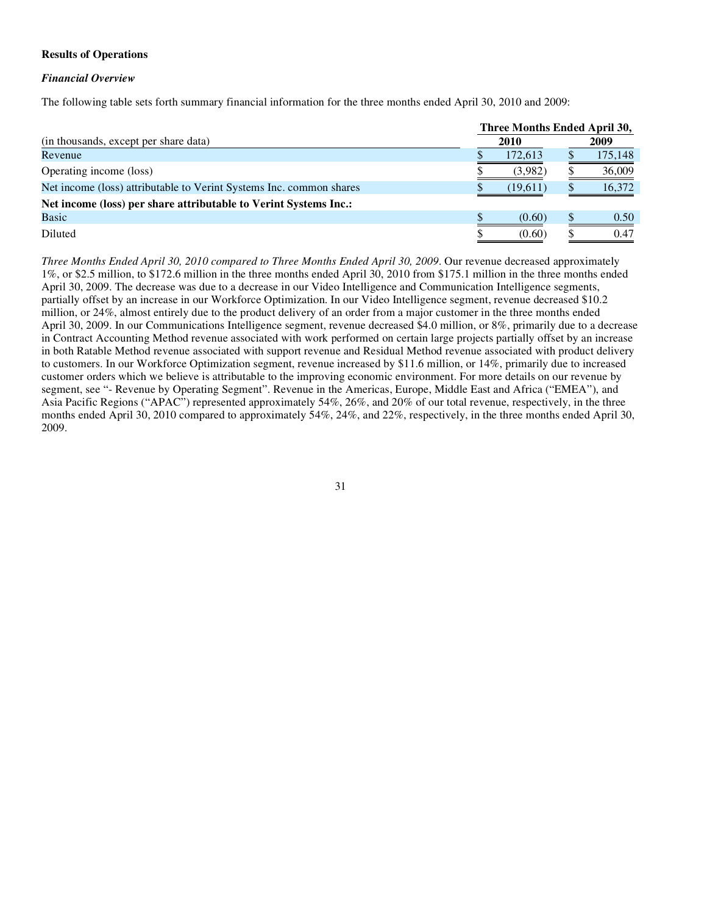#### **Results of Operations**

#### *Financial Overview*

The following table sets forth summary financial information for the three months ended April 30, 2010 and 2009:

|                                                                     | Three Months Ended April 30, |             |  |         |  |
|---------------------------------------------------------------------|------------------------------|-------------|--|---------|--|
| (in thousands, except per share data)                               |                              | <b>2010</b> |  | 2009    |  |
| Revenue                                                             |                              | 172,613     |  | 175,148 |  |
| Operating income (loss)                                             |                              | (3,982)     |  | 36,009  |  |
| Net income (loss) attributable to Verint Systems Inc. common shares |                              | (19,611)    |  | 16,372  |  |
| Net income (loss) per share attributable to Verint Systems Inc.:    |                              |             |  |         |  |
| Basic                                                               |                              | (0.60)      |  | 0.50    |  |
| Diluted                                                             |                              | (0.60)      |  | 0.47    |  |

*Three Months Ended April 30, 2010 compared to Three Months Ended April 30, 2009*. Our revenue decreased approximately 1%, or \$2.5 million, to \$172.6 million in the three months ended April 30, 2010 from \$175.1 million in the three months ended April 30, 2009. The decrease was due to a decrease in our Video Intelligence and Communication Intelligence segments, partially offset by an increase in our Workforce Optimization. In our Video Intelligence segment, revenue decreased \$10.2 million, or 24%, almost entirely due to the product delivery of an order from a major customer in the three months ended April 30, 2009. In our Communications Intelligence segment, revenue decreased \$4.0 million, or 8%, primarily due to a decrease in Contract Accounting Method revenue associated with work performed on certain large projects partially offset by an increase in both Ratable Method revenue associated with support revenue and Residual Method revenue associated with product delivery to customers. In our Workforce Optimization segment, revenue increased by \$11.6 million, or 14%, primarily due to increased customer orders which we believe is attributable to the improving economic environment. For more details on our revenue by segment, see "- Revenue by Operating Segment". Revenue in the Americas, Europe, Middle East and Africa ("EMEA"), and Asia Pacific Regions ("APAC") represented approximately 54%, 26%, and 20% of our total revenue, respectively, in the three months ended April 30, 2010 compared to approximately 54%, 24%, and 22%, respectively, in the three months ended April 30, 2009.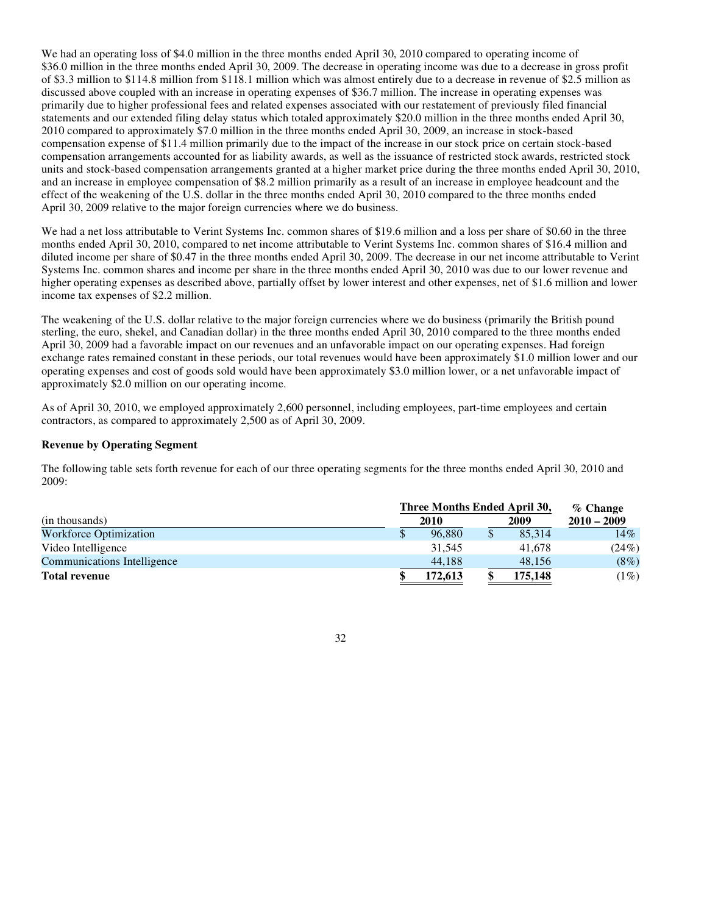We had an operating loss of \$4.0 million in the three months ended April 30, 2010 compared to operating income of \$36.0 million in the three months ended April 30, 2009. The decrease in operating income was due to a decrease in gross profit of \$3.3 million to \$114.8 million from \$118.1 million which was almost entirely due to a decrease in revenue of \$2.5 million as discussed above coupled with an increase in operating expenses of \$36.7 million. The increase in operating expenses was primarily due to higher professional fees and related expenses associated with our restatement of previously filed financial statements and our extended filing delay status which totaled approximately \$20.0 million in the three months ended April 30, 2010 compared to approximately \$7.0 million in the three months ended April 30, 2009, an increase in stock-based compensation expense of \$11.4 million primarily due to the impact of the increase in our stock price on certain stock-based compensation arrangements accounted for as liability awards, as well as the issuance of restricted stock awards, restricted stock units and stock-based compensation arrangements granted at a higher market price during the three months ended April 30, 2010, and an increase in employee compensation of \$8.2 million primarily as a result of an increase in employee headcount and the effect of the weakening of the U.S. dollar in the three months ended April 30, 2010 compared to the three months ended April 30, 2009 relative to the major foreign currencies where we do business.

We had a net loss attributable to Verint Systems Inc. common shares of \$19.6 million and a loss per share of \$0.60 in the three months ended April 30, 2010, compared to net income attributable to Verint Systems Inc. common shares of \$16.4 million and diluted income per share of \$0.47 in the three months ended April 30, 2009. The decrease in our net income attributable to Verint Systems Inc. common shares and income per share in the three months ended April 30, 2010 was due to our lower revenue and higher operating expenses as described above, partially offset by lower interest and other expenses, net of \$1.6 million and lower income tax expenses of \$2.2 million.

The weakening of the U.S. dollar relative to the major foreign currencies where we do business (primarily the British pound sterling, the euro, shekel, and Canadian dollar) in the three months ended April 30, 2010 compared to the three months ended April 30, 2009 had a favorable impact on our revenues and an unfavorable impact on our operating expenses. Had foreign exchange rates remained constant in these periods, our total revenues would have been approximately \$1.0 million lower and our operating expenses and cost of goods sold would have been approximately \$3.0 million lower, or a net unfavorable impact of approximately \$2.0 million on our operating income.

As of April 30, 2010, we employed approximately 2,600 personnel, including employees, part-time employees and certain contractors, as compared to approximately 2,500 as of April 30, 2009.

#### **Revenue by Operating Segment**

The following table sets forth revenue for each of our three operating segments for the three months ended April 30, 2010 and 2009:

| (in thousands)                     |  | Three Months Ended April 30, | $%$ Change |         |               |
|------------------------------------|--|------------------------------|------------|---------|---------------|
|                                    |  | 2010                         |            | 2009    | $2010 - 2009$ |
| <b>Workforce Optimization</b>      |  | 96,880                       | \$         | 85.314  | $14\%$        |
| Video Intelligence                 |  | 31.545                       |            | 41.678  | (24%)         |
| <b>Communications Intelligence</b> |  | 44.188                       |            | 48,156  | $(8\%)$       |
| <b>Total revenue</b>               |  | 172,613                      |            | 175,148 | (1%)          |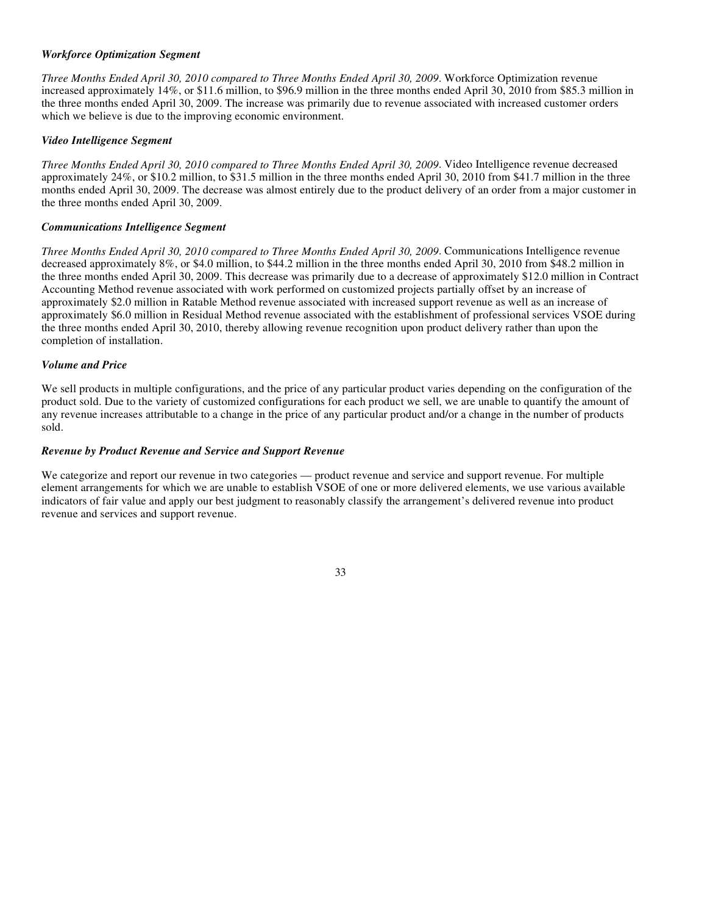#### *Workforce Optimization Segment*

*Three Months Ended April 30, 2010 compared to Three Months Ended April 30, 2009*. Workforce Optimization revenue increased approximately 14%, or \$11.6 million, to \$96.9 million in the three months ended April 30, 2010 from \$85.3 million in the three months ended April 30, 2009. The increase was primarily due to revenue associated with increased customer orders which we believe is due to the improving economic environment.

#### *Video Intelligence Segment*

*Three Months Ended April 30, 2010 compared to Three Months Ended April 30, 2009*. Video Intelligence revenue decreased approximately 24%, or \$10.2 million, to \$31.5 million in the three months ended April 30, 2010 from \$41.7 million in the three months ended April 30, 2009. The decrease was almost entirely due to the product delivery of an order from a major customer in the three months ended April 30, 2009.

#### *Communications Intelligence Segment*

*Three Months Ended April 30, 2010 compared to Three Months Ended April 30, 2009*. Communications Intelligence revenue decreased approximately 8%, or \$4.0 million, to \$44.2 million in the three months ended April 30, 2010 from \$48.2 million in the three months ended April 30, 2009. This decrease was primarily due to a decrease of approximately \$12.0 million in Contract Accounting Method revenue associated with work performed on customized projects partially offset by an increase of approximately \$2.0 million in Ratable Method revenue associated with increased support revenue as well as an increase of approximately \$6.0 million in Residual Method revenue associated with the establishment of professional services VSOE during the three months ended April 30, 2010, thereby allowing revenue recognition upon product delivery rather than upon the completion of installation.

#### *Volume and Price*

We sell products in multiple configurations, and the price of any particular product varies depending on the configuration of the product sold. Due to the variety of customized configurations for each product we sell, we are unable to quantify the amount of any revenue increases attributable to a change in the price of any particular product and/or a change in the number of products sold.

#### *Revenue by Product Revenue and Service and Support Revenue*

We categorize and report our revenue in two categories — product revenue and service and support revenue. For multiple element arrangements for which we are unable to establish VSOE of one or more delivered elements, we use various available indicators of fair value and apply our best judgment to reasonably classify the arrangement's delivered revenue into product revenue and services and support revenue.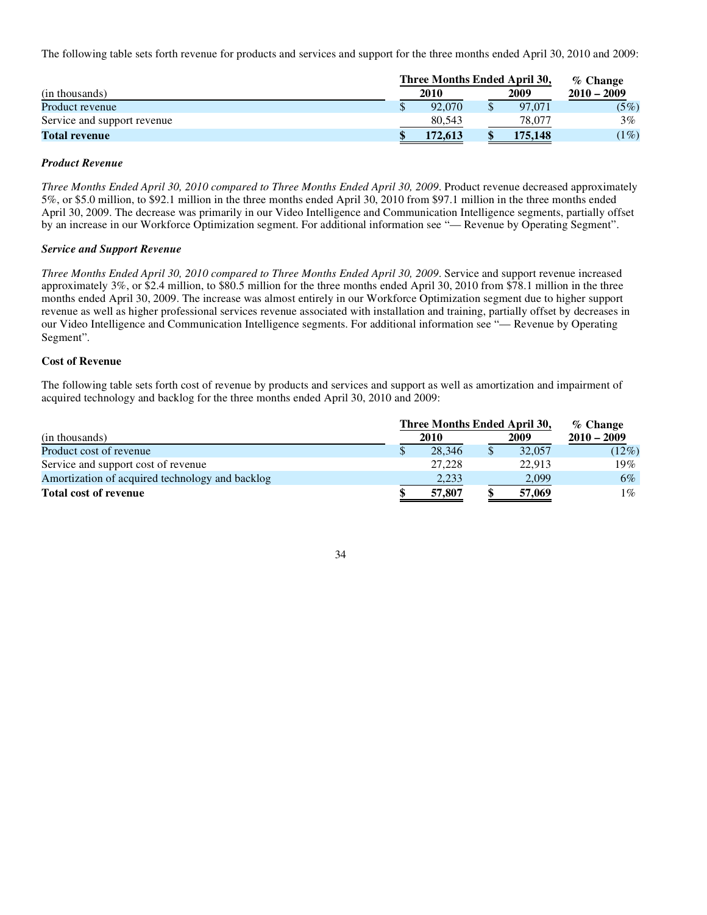The following table sets forth revenue for products and services and support for the three months ended April 30, 2010 and 2009:

| (in thousands)              |  | Three Months Ended April 30, | $%$ Change |               |
|-----------------------------|--|------------------------------|------------|---------------|
|                             |  | 2010                         | 2009       | $2010 - 2009$ |
| Product revenue             |  | 92,070                       | 97.071     | (5%)          |
| Service and support revenue |  | 80.543                       | 78,077     | $3\%$         |
| <b>Total revenue</b>        |  | 172,613                      | 175,148    | (1%)          |

#### *Product Revenue*

*Three Months Ended April 30, 2010 compared to Three Months Ended April 30, 2009*. Product revenue decreased approximately 5%, or \$5.0 million, to \$92.1 million in the three months ended April 30, 2010 from \$97.1 million in the three months ended April 30, 2009. The decrease was primarily in our Video Intelligence and Communication Intelligence segments, partially offset by an increase in our Workforce Optimization segment. For additional information see "— Revenue by Operating Segment".

#### *Service and Support Revenue*

*Three Months Ended April 30, 2010 compared to Three Months Ended April 30, 2009*. Service and support revenue increased approximately 3%, or \$2.4 million, to \$80.5 million for the three months ended April 30, 2010 from \$78.1 million in the three months ended April 30, 2009. The increase was almost entirely in our Workforce Optimization segment due to higher support revenue as well as higher professional services revenue associated with installation and training, partially offset by decreases in our Video Intelligence and Communication Intelligence segments. For additional information see "— Revenue by Operating Segment".

#### **Cost of Revenue**

The following table sets forth cost of revenue by products and services and support as well as amortization and impairment of acquired technology and backlog for the three months ended April 30, 2010 and 2009:

| (in thousands)                                  |  | Three Months Ended April 30, |    |        |               |  |
|-------------------------------------------------|--|------------------------------|----|--------|---------------|--|
|                                                 |  | 2010                         |    | 2009   | $2010 - 2009$ |  |
| Product cost of revenue                         |  | 28,346                       | \$ | 32,057 | $(12\%)$      |  |
| Service and support cost of revenue             |  | 27,228                       |    | 22,913 | $19\%$        |  |
| Amortization of acquired technology and backlog |  | 2,233                        |    | 2,099  | 6%            |  |
| <b>Total cost of revenue</b>                    |  | 57,807                       |    | 57,069 | 1%            |  |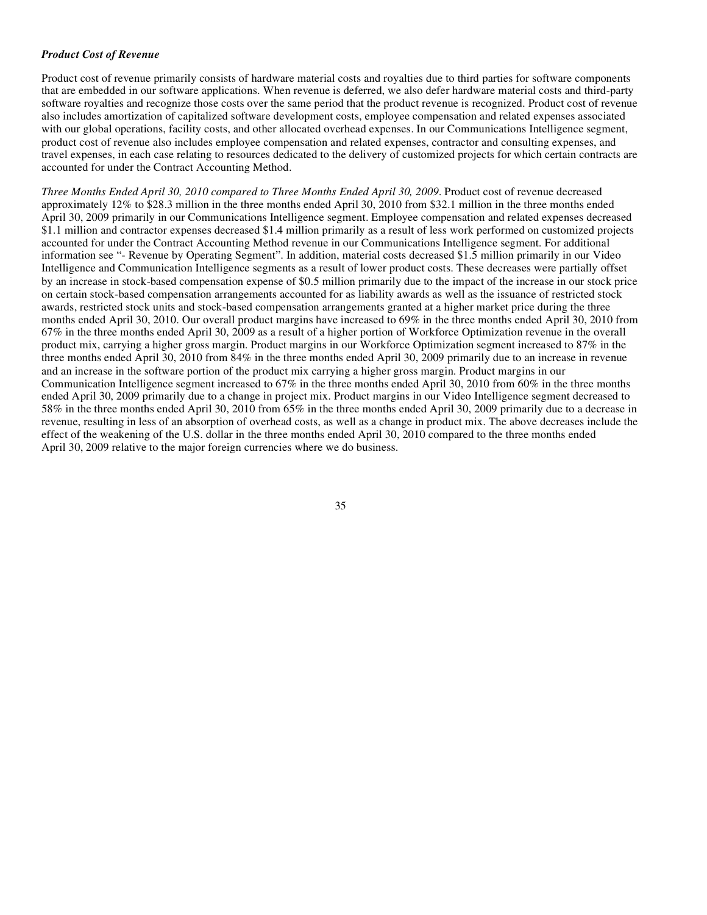#### *Product Cost of Revenue*

Product cost of revenue primarily consists of hardware material costs and royalties due to third parties for software components that are embedded in our software applications. When revenue is deferred, we also defer hardware material costs and third-party software royalties and recognize those costs over the same period that the product revenue is recognized. Product cost of revenue also includes amortization of capitalized software development costs, employee compensation and related expenses associated with our global operations, facility costs, and other allocated overhead expenses. In our Communications Intelligence segment, product cost of revenue also includes employee compensation and related expenses, contractor and consulting expenses, and travel expenses, in each case relating to resources dedicated to the delivery of customized projects for which certain contracts are accounted for under the Contract Accounting Method.

*Three Months Ended April 30, 2010 compared to Three Months Ended April 30, 2009*. Product cost of revenue decreased approximately 12% to \$28.3 million in the three months ended April 30, 2010 from \$32.1 million in the three months ended April 30, 2009 primarily in our Communications Intelligence segment. Employee compensation and related expenses decreased \$1.1 million and contractor expenses decreased \$1.4 million primarily as a result of less work performed on customized projects accounted for under the Contract Accounting Method revenue in our Communications Intelligence segment. For additional information see "- Revenue by Operating Segment". In addition, material costs decreased \$1.5 million primarily in our Video Intelligence and Communication Intelligence segments as a result of lower product costs. These decreases were partially offset by an increase in stock-based compensation expense of \$0.5 million primarily due to the impact of the increase in our stock price on certain stock-based compensation arrangements accounted for as liability awards as well as the issuance of restricted stock awards, restricted stock units and stock-based compensation arrangements granted at a higher market price during the three months ended April 30, 2010. Our overall product margins have increased to 69% in the three months ended April 30, 2010 from 67% in the three months ended April 30, 2009 as a result of a higher portion of Workforce Optimization revenue in the overall product mix, carrying a higher gross margin. Product margins in our Workforce Optimization segment increased to 87% in the three months ended April 30, 2010 from 84% in the three months ended April 30, 2009 primarily due to an increase in revenue and an increase in the software portion of the product mix carrying a higher gross margin. Product margins in our Communication Intelligence segment increased to 67% in the three months ended April 30, 2010 from 60% in the three months ended April 30, 2009 primarily due to a change in project mix. Product margins in our Video Intelligence segment decreased to 58% in the three months ended April 30, 2010 from 65% in the three months ended April 30, 2009 primarily due to a decrease in revenue, resulting in less of an absorption of overhead costs, as well as a change in product mix. The above decreases include the effect of the weakening of the U.S. dollar in the three months ended April 30, 2010 compared to the three months ended April 30, 2009 relative to the major foreign currencies where we do business.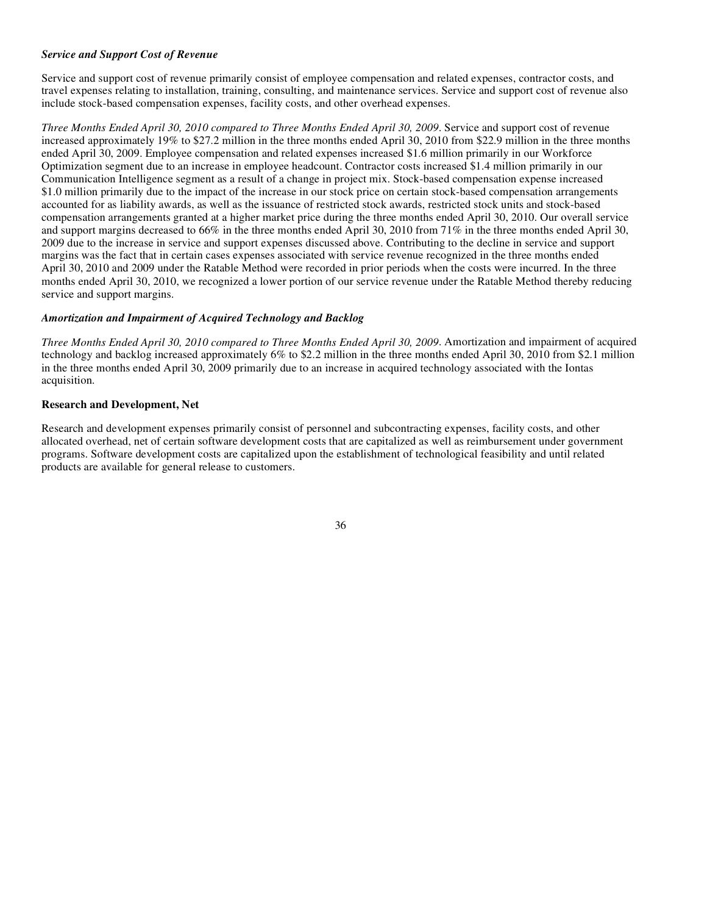#### *Service and Support Cost of Revenue*

Service and support cost of revenue primarily consist of employee compensation and related expenses, contractor costs, and travel expenses relating to installation, training, consulting, and maintenance services. Service and support cost of revenue also include stock-based compensation expenses, facility costs, and other overhead expenses.

*Three Months Ended April 30, 2010 compared to Three Months Ended April 30, 2009*. Service and support cost of revenue increased approximately 19% to \$27.2 million in the three months ended April 30, 2010 from \$22.9 million in the three months ended April 30, 2009. Employee compensation and related expenses increased \$1.6 million primarily in our Workforce Optimization segment due to an increase in employee headcount. Contractor costs increased \$1.4 million primarily in our Communication Intelligence segment as a result of a change in project mix. Stock-based compensation expense increased \$1.0 million primarily due to the impact of the increase in our stock price on certain stock-based compensation arrangements accounted for as liability awards, as well as the issuance of restricted stock awards, restricted stock units and stock-based compensation arrangements granted at a higher market price during the three months ended April 30, 2010. Our overall service and support margins decreased to 66% in the three months ended April 30, 2010 from 71% in the three months ended April 30, 2009 due to the increase in service and support expenses discussed above. Contributing to the decline in service and support margins was the fact that in certain cases expenses associated with service revenue recognized in the three months ended April 30, 2010 and 2009 under the Ratable Method were recorded in prior periods when the costs were incurred. In the three months ended April 30, 2010, we recognized a lower portion of our service revenue under the Ratable Method thereby reducing service and support margins.

#### *Amortization and Impairment of Acquired Technology and Backlog*

*Three Months Ended April 30, 2010 compared to Three Months Ended April 30, 2009*. Amortization and impairment of acquired technology and backlog increased approximately 6% to \$2.2 million in the three months ended April 30, 2010 from \$2.1 million in the three months ended April 30, 2009 primarily due to an increase in acquired technology associated with the Iontas acquisition.

#### **Research and Development, Net**

Research and development expenses primarily consist of personnel and subcontracting expenses, facility costs, and other allocated overhead, net of certain software development costs that are capitalized as well as reimbursement under government programs. Software development costs are capitalized upon the establishment of technological feasibility and until related products are available for general release to customers.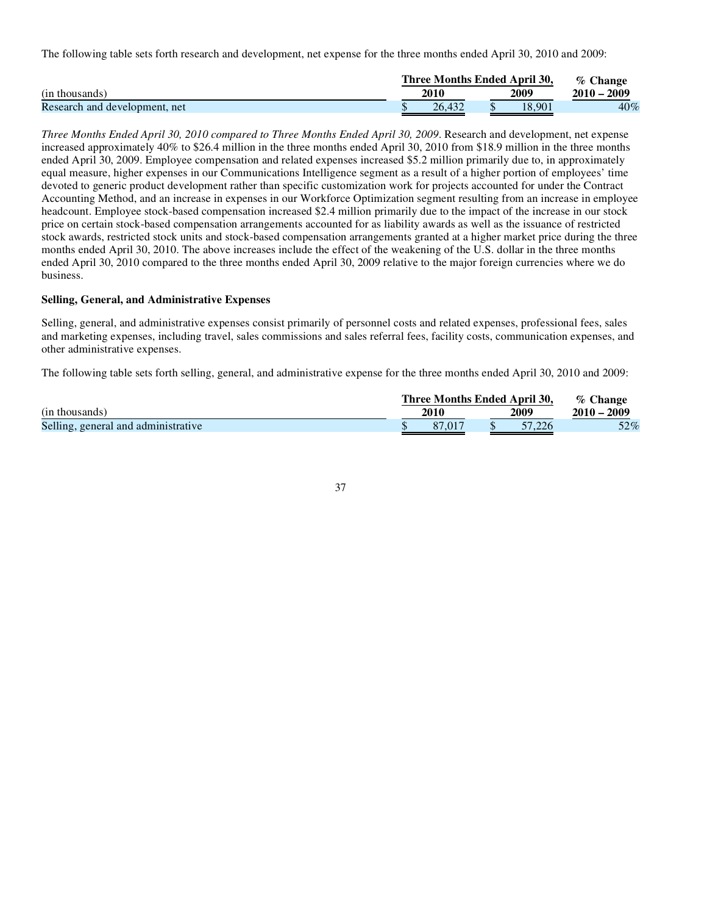The following table sets forth research and development, net expense for the three months ended April 30, 2010 and 2009:

|                               |      | Three Months Ended April 30. | $\%$ Change |        |               |
|-------------------------------|------|------------------------------|-------------|--------|---------------|
| (in thousands)                | 2010 |                              | 2009        |        | $2010 - 2009$ |
| Research and development, net |      | 26.432                       |             | 18.901 | 40%           |

*Three Months Ended April 30, 2010 compared to Three Months Ended April 30, 2009*. Research and development, net expense increased approximately 40% to \$26.4 million in the three months ended April 30, 2010 from \$18.9 million in the three months ended April 30, 2009. Employee compensation and related expenses increased \$5.2 million primarily due to, in approximately equal measure, higher expenses in our Communications Intelligence segment as a result of a higher portion of employees' time devoted to generic product development rather than specific customization work for projects accounted for under the Contract Accounting Method, and an increase in expenses in our Workforce Optimization segment resulting from an increase in employee headcount. Employee stock-based compensation increased \$2.4 million primarily due to the impact of the increase in our stock price on certain stock-based compensation arrangements accounted for as liability awards as well as the issuance of restricted stock awards, restricted stock units and stock-based compensation arrangements granted at a higher market price during the three months ended April 30, 2010. The above increases include the effect of the weakening of the U.S. dollar in the three months ended April 30, 2010 compared to the three months ended April 30, 2009 relative to the major foreign currencies where we do business.

#### **Selling, General, and Administrative Expenses**

Selling, general, and administrative expenses consist primarily of personnel costs and related expenses, professional fees, sales and marketing expenses, including travel, sales commissions and sales referral fees, facility costs, communication expenses, and other administrative expenses.

The following table sets forth selling, general, and administrative expense for the three months ended April 30, 2010 and 2009:

|                                     |  | Three Months Ended April 30, | $%$ Change |               |
|-------------------------------------|--|------------------------------|------------|---------------|
| (in thousands)                      |  | 2010                         | 2009       | $2010 - 2009$ |
| Selling, general and administrative |  | 87.017                       |            | 52%           |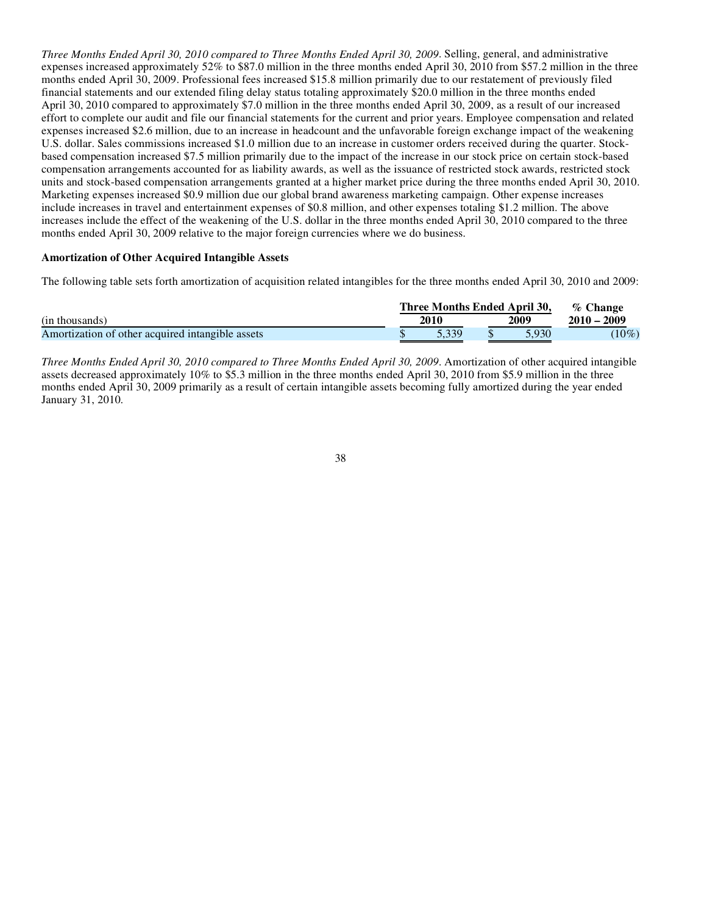*Three Months Ended April 30, 2010 compared to Three Months Ended April 30, 2009*. Selling, general, and administrative expenses increased approximately 52% to \$87.0 million in the three months ended April 30, 2010 from \$57.2 million in the three months ended April 30, 2009. Professional fees increased \$15.8 million primarily due to our restatement of previously filed financial statements and our extended filing delay status totaling approximately \$20.0 million in the three months ended April 30, 2010 compared to approximately \$7.0 million in the three months ended April 30, 2009, as a result of our increased effort to complete our audit and file our financial statements for the current and prior years. Employee compensation and related expenses increased \$2.6 million, due to an increase in headcount and the unfavorable foreign exchange impact of the weakening U.S. dollar. Sales commissions increased \$1.0 million due to an increase in customer orders received during the quarter. Stockbased compensation increased \$7.5 million primarily due to the impact of the increase in our stock price on certain stock-based compensation arrangements accounted for as liability awards, as well as the issuance of restricted stock awards, restricted stock units and stock-based compensation arrangements granted at a higher market price during the three months ended April 30, 2010. Marketing expenses increased \$0.9 million due our global brand awareness marketing campaign. Other expense increases include increases in travel and entertainment expenses of \$0.8 million, and other expenses totaling \$1.2 million. The above increases include the effect of the weakening of the U.S. dollar in the three months ended April 30, 2010 compared to the three months ended April 30, 2009 relative to the major foreign currencies where we do business.

#### **Amortization of Other Acquired Intangible Assets**

The following table sets forth amortization of acquisition related intangibles for the three months ended April 30, 2010 and 2009:

|                                                  |      | Three Months Ended April 30. |      |       |               |  |
|--------------------------------------------------|------|------------------------------|------|-------|---------------|--|
| (in thousands)                                   | 2010 |                              | 2009 |       | $2010 - 2009$ |  |
| Amortization of other acquired intangible assets |      | 5.339                        |      | 5.930 | $10\%)$       |  |

*Three Months Ended April 30, 2010 compared to Three Months Ended April 30, 2009*. Amortization of other acquired intangible assets decreased approximately 10% to \$5.3 million in the three months ended April 30, 2010 from \$5.9 million in the three months ended April 30, 2009 primarily as a result of certain intangible assets becoming fully amortized during the year ended January 31, 2010.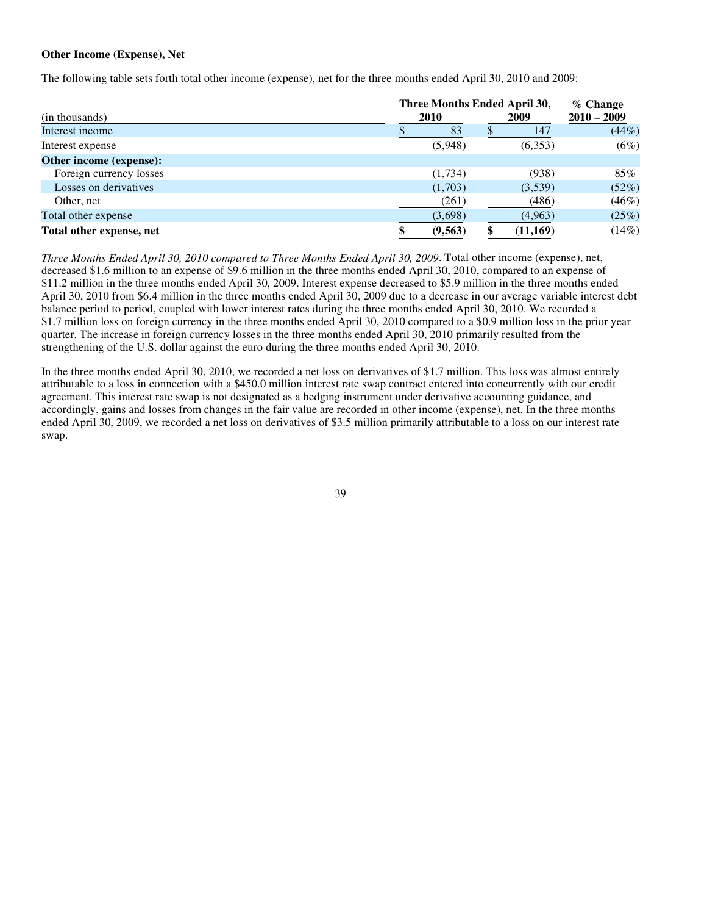#### **Other Income (Expense), Net**

The following table sets forth total other income (expense), net for the three months ended April 30, 2010 and 2009:

|                          |         | Three Months Ended April 30, |               |  |  |  |
|--------------------------|---------|------------------------------|---------------|--|--|--|
| (in thousands)           | 2010    | 2009                         | $2010 - 2009$ |  |  |  |
| Interest income          | 83      | 147                          | (44%)         |  |  |  |
| Interest expense         | (5,948) | (6,353)                      | $(6\%)$       |  |  |  |
| Other income (expense):  |         |                              |               |  |  |  |
| Foreign currency losses  | (1,734) | (938)                        | $85\%$        |  |  |  |
| Losses on derivatives    | (1,703) | (3,539)                      | (52%)         |  |  |  |
| Other, net               | (261)   | (486)                        | (46%)         |  |  |  |
| Total other expense      | (3,698) | (4,963)                      | (25%)         |  |  |  |
| Total other expense, net | (9,563) | (11,169)                     | (14%)         |  |  |  |

*Three Months Ended April 30, 2010 compared to Three Months Ended April 30, 2009*. Total other income (expense), net, decreased \$1.6 million to an expense of \$9.6 million in the three months ended April 30, 2010, compared to an expense of \$11.2 million in the three months ended April 30, 2009. Interest expense decreased to \$5.9 million in the three months ended April 30, 2010 from \$6.4 million in the three months ended April 30, 2009 due to a decrease in our average variable interest debt balance period to period, coupled with lower interest rates during the three months ended April 30, 2010. We recorded a \$1.7 million loss on foreign currency in the three months ended April 30, 2010 compared to a \$0.9 million loss in the prior year quarter. The increase in foreign currency losses in the three months ended April 30, 2010 primarily resulted from the strengthening of the U.S. dollar against the euro during the three months ended April 30, 2010.

In the three months ended April 30, 2010, we recorded a net loss on derivatives of \$1.7 million. This loss was almost entirely attributable to a loss in connection with a \$450.0 million interest rate swap contract entered into concurrently with our credit agreement. This interest rate swap is not designated as a hedging instrument under derivative accounting guidance, and accordingly, gains and losses from changes in the fair value are recorded in other income (expense), net. In the three months ended April 30, 2009, we recorded a net loss on derivatives of \$3.5 million primarily attributable to a loss on our interest rate swap.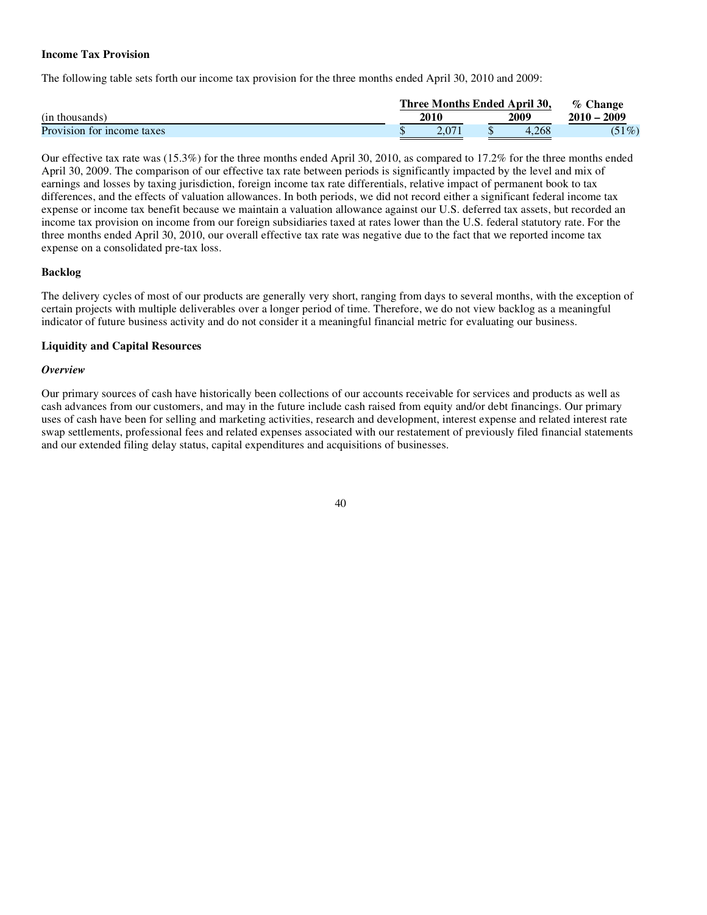#### **Income Tax Provision**

The following table sets forth our income tax provision for the three months ended April 30, 2010 and 2009:

|                            |  | Three Months Ended April 30. | $\%$ Change |               |
|----------------------------|--|------------------------------|-------------|---------------|
| (in thousands)             |  | 2010                         | 2009        | $2010 - 2009$ |
| Provision for income taxes |  | 2.071                        | 4.268       | $(51\%)$      |

Our effective tax rate was (15.3%) for the three months ended April 30, 2010, as compared to 17.2% for the three months ended April 30, 2009. The comparison of our effective tax rate between periods is significantly impacted by the level and mix of earnings and losses by taxing jurisdiction, foreign income tax rate differentials, relative impact of permanent book to tax differences, and the effects of valuation allowances. In both periods, we did not record either a significant federal income tax expense or income tax benefit because we maintain a valuation allowance against our U.S. deferred tax assets, but recorded an income tax provision on income from our foreign subsidiaries taxed at rates lower than the U.S. federal statutory rate. For the three months ended April 30, 2010, our overall effective tax rate was negative due to the fact that we reported income tax expense on a consolidated pre-tax loss.

#### **Backlog**

The delivery cycles of most of our products are generally very short, ranging from days to several months, with the exception of certain projects with multiple deliverables over a longer period of time. Therefore, we do not view backlog as a meaningful indicator of future business activity and do not consider it a meaningful financial metric for evaluating our business.

#### **Liquidity and Capital Resources**

#### *Overview*

Our primary sources of cash have historically been collections of our accounts receivable for services and products as well as cash advances from our customers, and may in the future include cash raised from equity and/or debt financings. Our primary uses of cash have been for selling and marketing activities, research and development, interest expense and related interest rate swap settlements, professional fees and related expenses associated with our restatement of previously filed financial statements and our extended filing delay status, capital expenditures and acquisitions of businesses.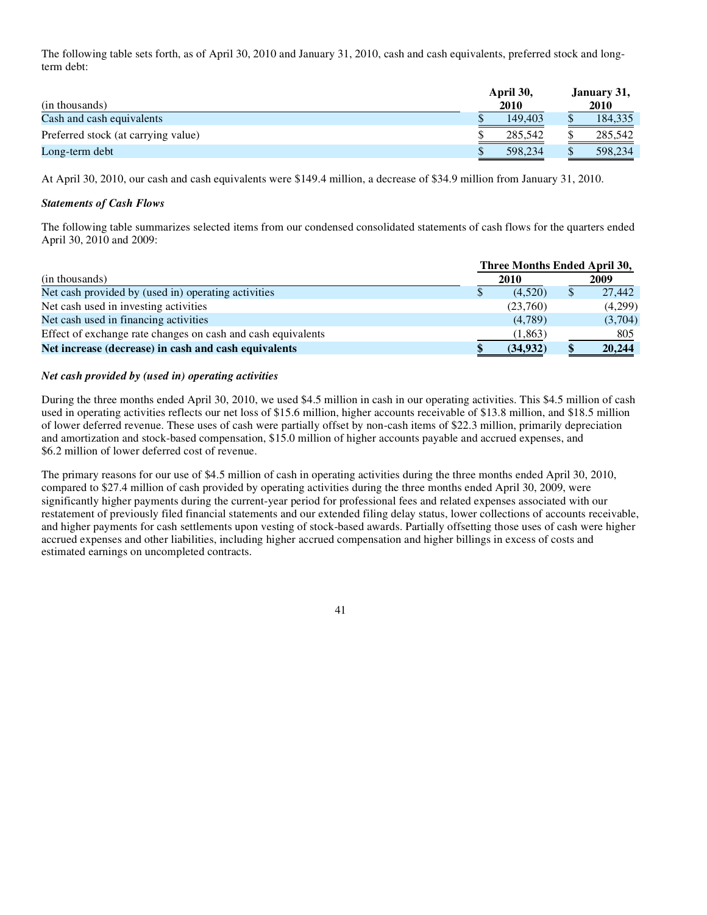The following table sets forth, as of April 30, 2010 and January 31, 2010, cash and cash equivalents, preferred stock and longterm debt:

| (in thousands)                      | April 30,<br>2010 | January 31,<br>2010 |  |  |
|-------------------------------------|-------------------|---------------------|--|--|
| Cash and cash equivalents           | 149,403           | 184.335             |  |  |
| Preferred stock (at carrying value) | 285,542           | 285,542             |  |  |
| Long-term debt                      | 598.234           | 598,234             |  |  |

At April 30, 2010, our cash and cash equivalents were \$149.4 million, a decrease of \$34.9 million from January 31, 2010.

#### *Statements of Cash Flows*

The following table summarizes selected items from our condensed consolidated statements of cash flows for the quarters ended April 30, 2010 and 2009:

|                                                              |  | Three Months Ended April 30, |              |         |  |  |  |
|--------------------------------------------------------------|--|------------------------------|--------------|---------|--|--|--|
| (in thousands)                                               |  | 2010                         | 2009         |         |  |  |  |
| Net cash provided by (used in) operating activities          |  | (4.520)                      | $\mathbb{S}$ | 27,442  |  |  |  |
| Net cash used in investing activities                        |  | (23,760)                     |              | (4,299) |  |  |  |
| Net cash used in financing activities                        |  | (4,789)                      |              | (3,704) |  |  |  |
| Effect of exchange rate changes on cash and cash equivalents |  | (1, 863)                     |              | 805     |  |  |  |
| Net increase (decrease) in cash and cash equivalents         |  | (34,932)                     | S            | 20,244  |  |  |  |

#### *Net cash provided by (used in) operating activities*

During the three months ended April 30, 2010, we used \$4.5 million in cash in our operating activities. This \$4.5 million of cash used in operating activities reflects our net loss of \$15.6 million, higher accounts receivable of \$13.8 million, and \$18.5 million of lower deferred revenue. These uses of cash were partially offset by non-cash items of \$22.3 million, primarily depreciation and amortization and stock-based compensation, \$15.0 million of higher accounts payable and accrued expenses, and \$6.2 million of lower deferred cost of revenue.

The primary reasons for our use of \$4.5 million of cash in operating activities during the three months ended April 30, 2010, compared to \$27.4 million of cash provided by operating activities during the three months ended April 30, 2009, were significantly higher payments during the current-year period for professional fees and related expenses associated with our restatement of previously filed financial statements and our extended filing delay status, lower collections of accounts receivable, and higher payments for cash settlements upon vesting of stock-based awards. Partially offsetting those uses of cash were higher accrued expenses and other liabilities, including higher accrued compensation and higher billings in excess of costs and estimated earnings on uncompleted contracts.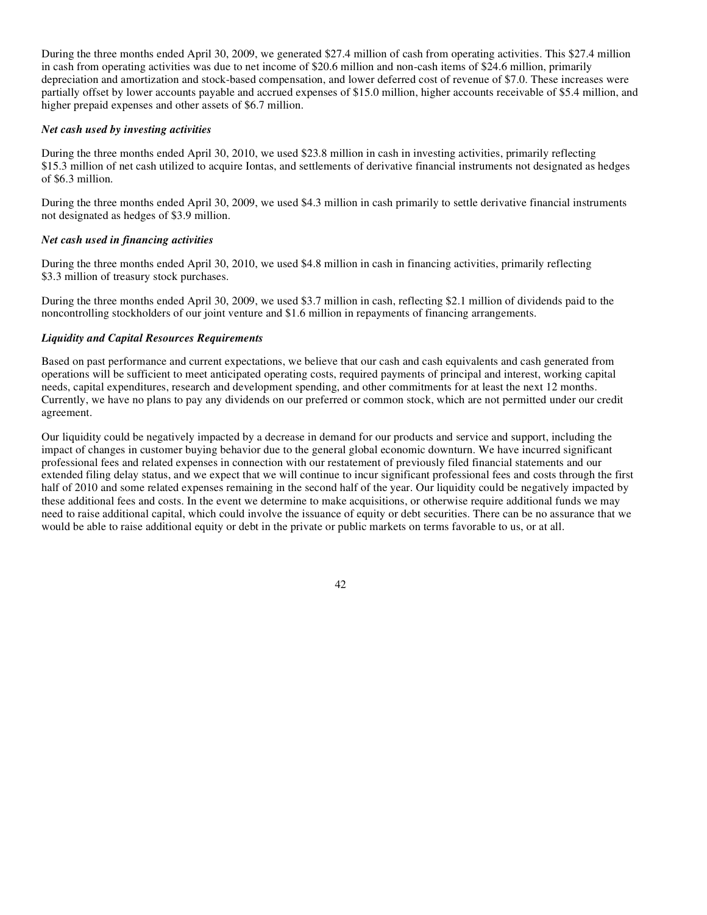During the three months ended April 30, 2009, we generated \$27.4 million of cash from operating activities. This \$27.4 million in cash from operating activities was due to net income of \$20.6 million and non-cash items of \$24.6 million, primarily depreciation and amortization and stock-based compensation, and lower deferred cost of revenue of \$7.0. These increases were partially offset by lower accounts payable and accrued expenses of \$15.0 million, higher accounts receivable of \$5.4 million, and higher prepaid expenses and other assets of \$6.7 million.

#### *Net cash used by investing activities*

During the three months ended April 30, 2010, we used \$23.8 million in cash in investing activities, primarily reflecting \$15.3 million of net cash utilized to acquire Iontas, and settlements of derivative financial instruments not designated as hedges of \$6.3 million.

During the three months ended April 30, 2009, we used \$4.3 million in cash primarily to settle derivative financial instruments not designated as hedges of \$3.9 million.

#### *Net cash used in financing activities*

During the three months ended April 30, 2010, we used \$4.8 million in cash in financing activities, primarily reflecting \$3.3 million of treasury stock purchases.

During the three months ended April 30, 2009, we used \$3.7 million in cash, reflecting \$2.1 million of dividends paid to the noncontrolling stockholders of our joint venture and \$1.6 million in repayments of financing arrangements.

#### *Liquidity and Capital Resources Requirements*

Based on past performance and current expectations, we believe that our cash and cash equivalents and cash generated from operations will be sufficient to meet anticipated operating costs, required payments of principal and interest, working capital needs, capital expenditures, research and development spending, and other commitments for at least the next 12 months. Currently, we have no plans to pay any dividends on our preferred or common stock, which are not permitted under our credit agreement.

Our liquidity could be negatively impacted by a decrease in demand for our products and service and support, including the impact of changes in customer buying behavior due to the general global economic downturn. We have incurred significant professional fees and related expenses in connection with our restatement of previously filed financial statements and our extended filing delay status, and we expect that we will continue to incur significant professional fees and costs through the first half of 2010 and some related expenses remaining in the second half of the year. Our liquidity could be negatively impacted by these additional fees and costs. In the event we determine to make acquisitions, or otherwise require additional funds we may need to raise additional capital, which could involve the issuance of equity or debt securities. There can be no assurance that we would be able to raise additional equity or debt in the private or public markets on terms favorable to us, or at all.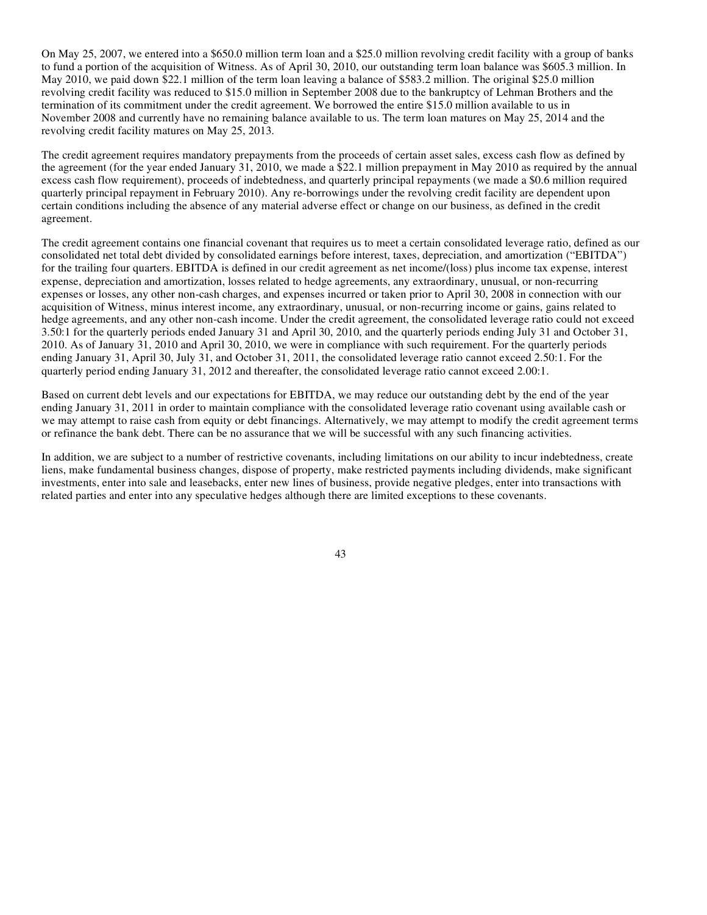On May 25, 2007, we entered into a \$650.0 million term loan and a \$25.0 million revolving credit facility with a group of banks to fund a portion of the acquisition of Witness. As of April 30, 2010, our outstanding term loan balance was \$605.3 million. In May 2010, we paid down \$22.1 million of the term loan leaving a balance of \$583.2 million. The original \$25.0 million revolving credit facility was reduced to \$15.0 million in September 2008 due to the bankruptcy of Lehman Brothers and the termination of its commitment under the credit agreement. We borrowed the entire \$15.0 million available to us in November 2008 and currently have no remaining balance available to us. The term loan matures on May 25, 2014 and the revolving credit facility matures on May 25, 2013.

The credit agreement requires mandatory prepayments from the proceeds of certain asset sales, excess cash flow as defined by the agreement (for the year ended January 31, 2010, we made a \$22.1 million prepayment in May 2010 as required by the annual excess cash flow requirement), proceeds of indebtedness, and quarterly principal repayments (we made a \$0.6 million required quarterly principal repayment in February 2010). Any re-borrowings under the revolving credit facility are dependent upon certain conditions including the absence of any material adverse effect or change on our business, as defined in the credit agreement.

The credit agreement contains one financial covenant that requires us to meet a certain consolidated leverage ratio, defined as our consolidated net total debt divided by consolidated earnings before interest, taxes, depreciation, and amortization ("EBITDA") for the trailing four quarters. EBITDA is defined in our credit agreement as net income/(loss) plus income tax expense, interest expense, depreciation and amortization, losses related to hedge agreements, any extraordinary, unusual, or non-recurring expenses or losses, any other non-cash charges, and expenses incurred or taken prior to April 30, 2008 in connection with our acquisition of Witness, minus interest income, any extraordinary, unusual, or non-recurring income or gains, gains related to hedge agreements, and any other non-cash income. Under the credit agreement, the consolidated leverage ratio could not exceed 3.50:1 for the quarterly periods ended January 31 and April 30, 2010, and the quarterly periods ending July 31 and October 31, 2010. As of January 31, 2010 and April 30, 2010, we were in compliance with such requirement. For the quarterly periods ending January 31, April 30, July 31, and October 31, 2011, the consolidated leverage ratio cannot exceed 2.50:1. For the quarterly period ending January 31, 2012 and thereafter, the consolidated leverage ratio cannot exceed 2.00:1.

Based on current debt levels and our expectations for EBITDA, we may reduce our outstanding debt by the end of the year ending January 31, 2011 in order to maintain compliance with the consolidated leverage ratio covenant using available cash or we may attempt to raise cash from equity or debt financings. Alternatively, we may attempt to modify the credit agreement terms or refinance the bank debt. There can be no assurance that we will be successful with any such financing activities.

In addition, we are subject to a number of restrictive covenants, including limitations on our ability to incur indebtedness, create liens, make fundamental business changes, dispose of property, make restricted payments including dividends, make significant investments, enter into sale and leasebacks, enter new lines of business, provide negative pledges, enter into transactions with related parties and enter into any speculative hedges although there are limited exceptions to these covenants.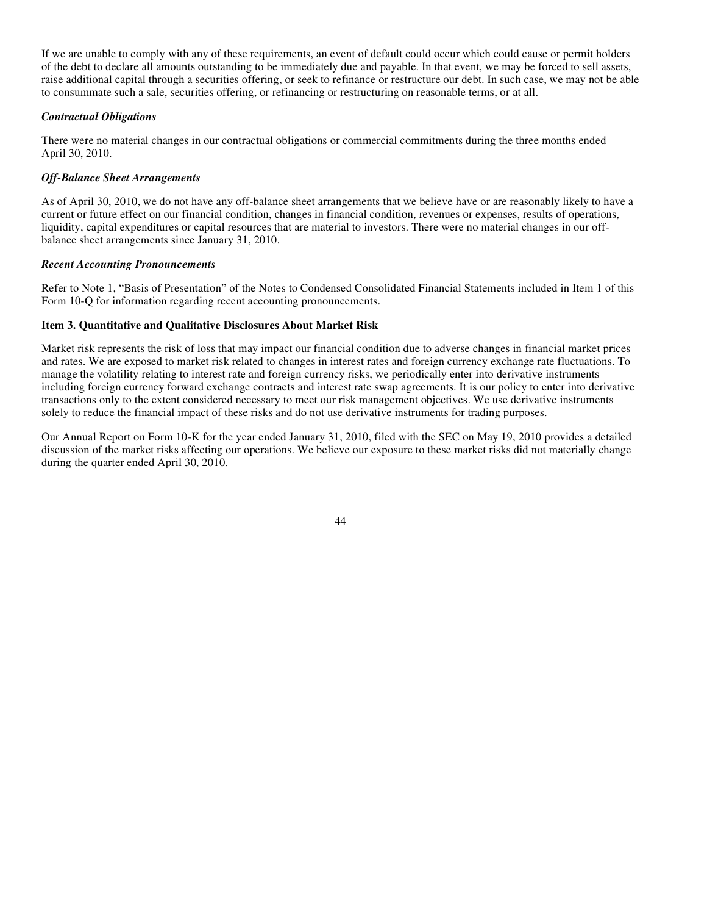If we are unable to comply with any of these requirements, an event of default could occur which could cause or permit holders of the debt to declare all amounts outstanding to be immediately due and payable. In that event, we may be forced to sell assets, raise additional capital through a securities offering, or seek to refinance or restructure our debt. In such case, we may not be able to consummate such a sale, securities offering, or refinancing or restructuring on reasonable terms, or at all.

#### *Contractual Obligations*

There were no material changes in our contractual obligations or commercial commitments during the three months ended April 30, 2010.

#### *Off-Balance Sheet Arrangements*

As of April 30, 2010, we do not have any off-balance sheet arrangements that we believe have or are reasonably likely to have a current or future effect on our financial condition, changes in financial condition, revenues or expenses, results of operations, liquidity, capital expenditures or capital resources that are material to investors. There were no material changes in our offbalance sheet arrangements since January 31, 2010.

#### *Recent Accounting Pronouncements*

Refer to Note 1, "Basis of Presentation" of the Notes to Condensed Consolidated Financial Statements included in Item 1 of this Form 10-Q for information regarding recent accounting pronouncements.

#### **Item 3. Quantitative and Qualitative Disclosures About Market Risk**

Market risk represents the risk of loss that may impact our financial condition due to adverse changes in financial market prices and rates. We are exposed to market risk related to changes in interest rates and foreign currency exchange rate fluctuations. To manage the volatility relating to interest rate and foreign currency risks, we periodically enter into derivative instruments including foreign currency forward exchange contracts and interest rate swap agreements. It is our policy to enter into derivative transactions only to the extent considered necessary to meet our risk management objectives. We use derivative instruments solely to reduce the financial impact of these risks and do not use derivative instruments for trading purposes.

Our Annual Report on Form 10-K for the year ended January 31, 2010, filed with the SEC on May 19, 2010 provides a detailed discussion of the market risks affecting our operations. We believe our exposure to these market risks did not materially change during the quarter ended April 30, 2010.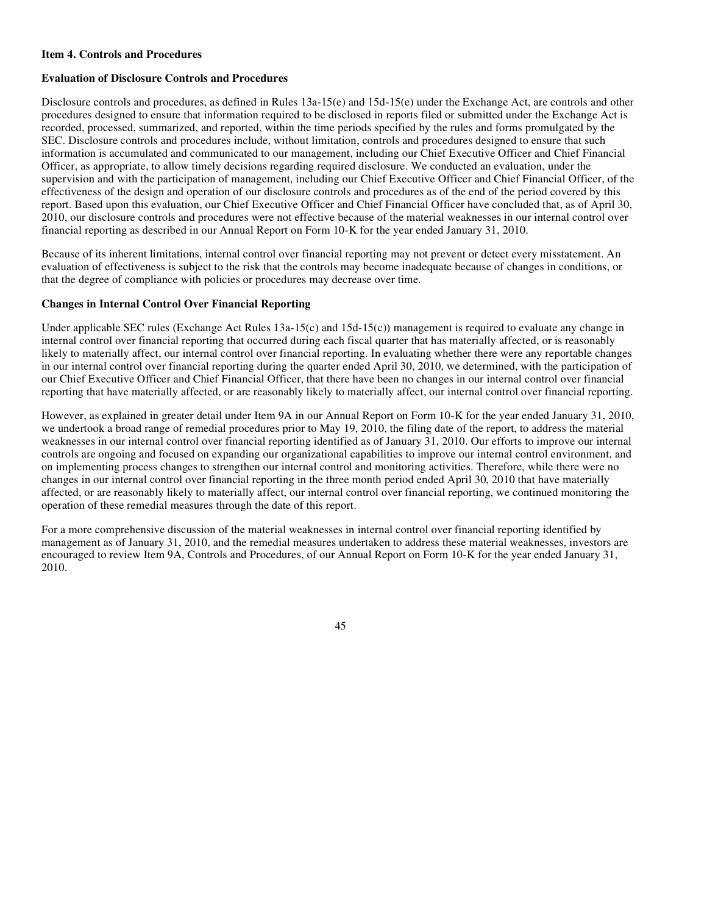#### **Item 4. Controls and Procedures**

#### **Evaluation of Disclosure Controls and Procedures**

Disclosure controls and procedures, as defined in Rules 13a-15(e) and 15d-15(e) under the Exchange Act, are controls and other procedures designed to ensure that information required to be disclosed in reports filed or submitted under the Exchange Act is recorded, processed, summarized, and reported, within the time periods specified by the rules and forms promulgated by the SEC. Disclosure controls and procedures include, without limitation, controls and procedures designed to ensure that such information is accumulated and communicated to our management, including our Chief Executive Officer and Chief Financial Officer, as appropriate, to allow timely decisions regarding required disclosure. We conducted an evaluation, under the supervision and with the participation of management, including our Chief Executive Officer and Chief Financial Officer, of the effectiveness of the design and operation of our disclosure controls and procedures as of the end of the period covered by this report. Based upon this evaluation, our Chief Executive Officer and Chief Financial Officer have concluded that, as of April 30, 2010, our disclosure controls and procedures were not effective because of the material weaknesses in our internal control over financial reporting as described in our Annual Report on Form 10-K for the year ended January 31, 2010.

Because of its inherent limitations, internal control over financial reporting may not prevent or detect every misstatement. An evaluation of effectiveness is subject to the risk that the controls may become inadequate because of changes in conditions, or that the degree of compliance with policies or procedures may decrease over time.

#### **Changes in Internal Control Over Financial Reporting**

Under applicable SEC rules (Exchange Act Rules 13a-15(c) and 15d-15(c)) management is required to evaluate any change in internal control over financial reporting that occurred during each fiscal quarter that has materially affected, or is reasonably likely to materially affect, our internal control over financial reporting. In evaluating whether there were any reportable changes in our internal control over financial reporting during the quarter ended April 30, 2010, we determined, with the participation of our Chief Executive Officer and Chief Financial Officer, that there have been no changes in our internal control over financial reporting that have materially affected, or are reasonably likely to materially affect, our internal control over financial reporting.

However, as explained in greater detail under Item 9A in our Annual Report on Form 10-K for the year ended January 31, 2010, we undertook a broad range of remedial procedures prior to May 19, 2010, the filing date of the report, to address the material weaknesses in our internal control over financial reporting identified as of January 31, 2010. Our efforts to improve our internal controls are ongoing and focused on expanding our organizational capabilities to improve our internal control environment, and on implementing process changes to strengthen our internal control and monitoring activities. Therefore, while there were no changes in our internal control over financial reporting in the three month period ended April 30, 2010 that have materially affected, or are reasonably likely to materially affect, our internal control over financial reporting, we continued monitoring the operation of these remedial measures through the date of this report.

For a more comprehensive discussion of the material weaknesses in internal control over financial reporting identified by management as of January 31, 2010, and the remedial measures undertaken to address these material weaknesses, investors are encouraged to review Item 9A, Controls and Procedures, of our Annual Report on Form 10-K for the year ended January 31, 2010.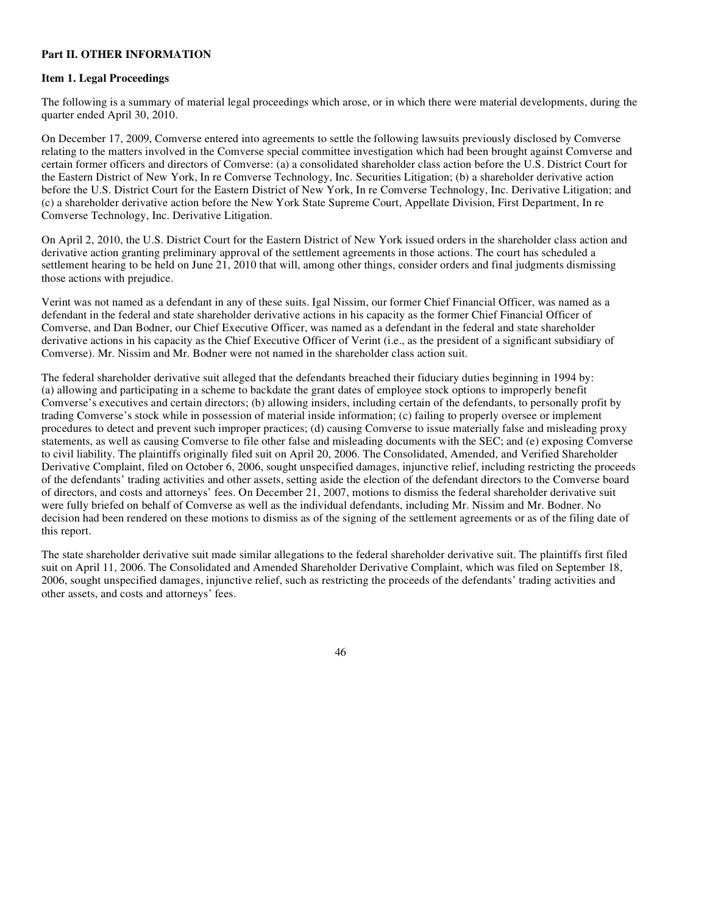#### **Part II. OTHER INFORMATION**

#### **Item 1. Legal Proceedings**

The following is a summary of material legal proceedings which arose, or in which there were material developments, during the quarter ended April 30, 2010.

On December 17, 2009, Comverse entered into agreements to settle the following lawsuits previously disclosed by Comverse relating to the matters involved in the Comverse special committee investigation which had been brought against Comverse and certain former officers and directors of Comverse: (a) a consolidated shareholder class action before the U.S. District Court for the Eastern District of New York, In re Comverse Technology, Inc. Securities Litigation; (b) a shareholder derivative action before the U.S. District Court for the Eastern District of New York, In re Comverse Technology, Inc. Derivative Litigation; and (c) a shareholder derivative action before the New York State Supreme Court, Appellate Division, First Department, In re Comverse Technology, Inc. Derivative Litigation.

On April 2, 2010, the U.S. District Court for the Eastern District of New York issued orders in the shareholder class action and derivative action granting preliminary approval of the settlement agreements in those actions. The court has scheduled a settlement hearing to be held on June 21, 2010 that will, among other things, consider orders and final judgments dismissing those actions with prejudice.

Verint was not named as a defendant in any of these suits. Igal Nissim, our former Chief Financial Officer, was named as a defendant in the federal and state shareholder derivative actions in his capacity as the former Chief Financial Officer of Comverse, and Dan Bodner, our Chief Executive Officer, was named as a defendant in the federal and state shareholder derivative actions in his capacity as the Chief Executive Officer of Verint (i.e., as the president of a significant subsidiary of Comverse). Mr. Nissim and Mr. Bodner were not named in the shareholder class action suit.

The federal shareholder derivative suit alleged that the defendants breached their fiduciary duties beginning in 1994 by: (a) allowing and participating in a scheme to backdate the grant dates of employee stock options to improperly benefit Comverse's executives and certain directors; (b) allowing insiders, including certain of the defendants, to personally profit by trading Comverse's stock while in possession of material inside information; (c) failing to properly oversee or implement procedures to detect and prevent such improper practices; (d) causing Comverse to issue materially false and misleading proxy statements, as well as causing Comverse to file other false and misleading documents with the SEC; and (e) exposing Comverse to civil liability. The plaintiffs originally filed suit on April 20, 2006. The Consolidated, Amended, and Verified Shareholder Derivative Complaint, filed on October 6, 2006, sought unspecified damages, injunctive relief, including restricting the proceeds of the defendants' trading activities and other assets, setting aside the election of the defendant directors to the Comverse board of directors, and costs and attorneys' fees. On December 21, 2007, motions to dismiss the federal shareholder derivative suit were fully briefed on behalf of Comverse as well as the individual defendants, including Mr. Nissim and Mr. Bodner. No decision had been rendered on these motions to dismiss as of the signing of the settlement agreements or as of the filing date of this report.

The state shareholder derivative suit made similar allegations to the federal shareholder derivative suit. The plaintiffs first filed suit on April 11, 2006. The Consolidated and Amended Shareholder Derivative Complaint, which was filed on September 18, 2006, sought unspecified damages, injunctive relief, such as restricting the proceeds of the defendants' trading activities and other assets, and costs and attorneys' fees.

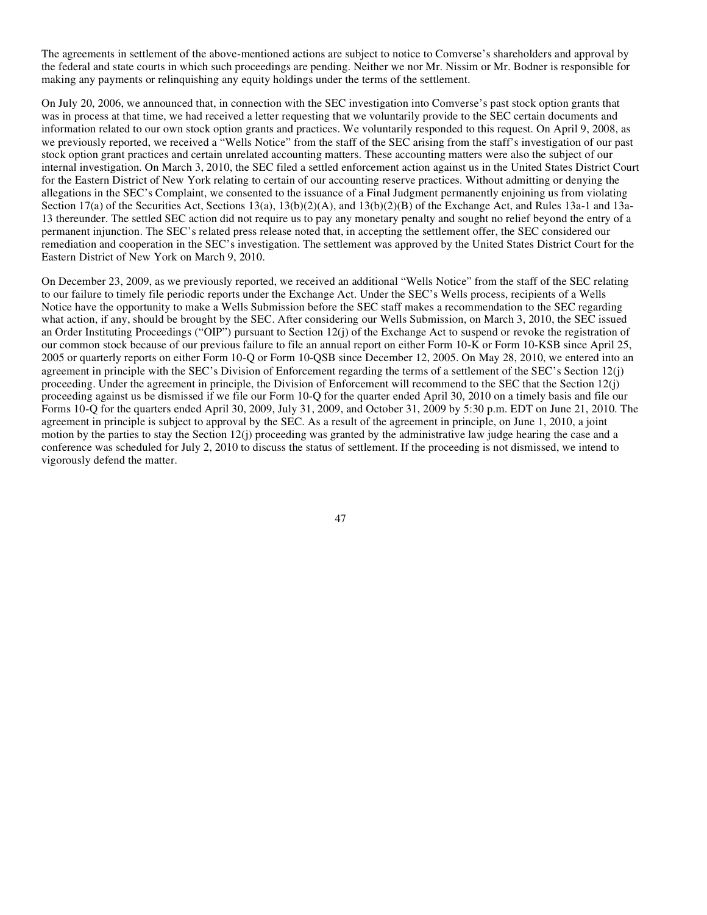The agreements in settlement of the above-mentioned actions are subject to notice to Comverse's shareholders and approval by the federal and state courts in which such proceedings are pending. Neither we nor Mr. Nissim or Mr. Bodner is responsible for making any payments or relinquishing any equity holdings under the terms of the settlement.

On July 20, 2006, we announced that, in connection with the SEC investigation into Comverse's past stock option grants that was in process at that time, we had received a letter requesting that we voluntarily provide to the SEC certain documents and information related to our own stock option grants and practices. We voluntarily responded to this request. On April 9, 2008, as we previously reported, we received a "Wells Notice" from the staff of the SEC arising from the staff's investigation of our past stock option grant practices and certain unrelated accounting matters. These accounting matters were also the subject of our internal investigation. On March 3, 2010, the SEC filed a settled enforcement action against us in the United States District Court for the Eastern District of New York relating to certain of our accounting reserve practices. Without admitting or denying the allegations in the SEC's Complaint, we consented to the issuance of a Final Judgment permanently enjoining us from violating Section 17(a) of the Securities Act, Sections 13(a), 13(b)(2)(A), and 13(b)(2)(B) of the Exchange Act, and Rules 13a-1 and 13a-13 thereunder. The settled SEC action did not require us to pay any monetary penalty and sought no relief beyond the entry of a permanent injunction. The SEC's related press release noted that, in accepting the settlement offer, the SEC considered our remediation and cooperation in the SEC's investigation. The settlement was approved by the United States District Court for the Eastern District of New York on March 9, 2010.

On December 23, 2009, as we previously reported, we received an additional "Wells Notice" from the staff of the SEC relating to our failure to timely file periodic reports under the Exchange Act. Under the SEC's Wells process, recipients of a Wells Notice have the opportunity to make a Wells Submission before the SEC staff makes a recommendation to the SEC regarding what action, if any, should be brought by the SEC. After considering our Wells Submission, on March 3, 2010, the SEC issued an Order Instituting Proceedings ("OIP") pursuant to Section  $12(i)$  of the Exchange Act to suspend or revoke the registration of our common stock because of our previous failure to file an annual report on either Form 10-K or Form 10-KSB since April 25, 2005 or quarterly reports on either Form 10-Q or Form 10-QSB since December 12, 2005. On May 28, 2010, we entered into an agreement in principle with the SEC's Division of Enforcement regarding the terms of a settlement of the SEC's Section 12(j) proceeding. Under the agreement in principle, the Division of Enforcement will recommend to the SEC that the Section 12(j) proceeding against us be dismissed if we file our Form 10-Q for the quarter ended April 30, 2010 on a timely basis and file our Forms 10-Q for the quarters ended April 30, 2009, July 31, 2009, and October 31, 2009 by 5:30 p.m. EDT on June 21, 2010. The agreement in principle is subject to approval by the SEC. As a result of the agreement in principle, on June 1, 2010, a joint motion by the parties to stay the Section  $12(i)$  proceeding was granted by the administrative law judge hearing the case and a conference was scheduled for July 2, 2010 to discuss the status of settlement. If the proceeding is not dismissed, we intend to vigorously defend the matter.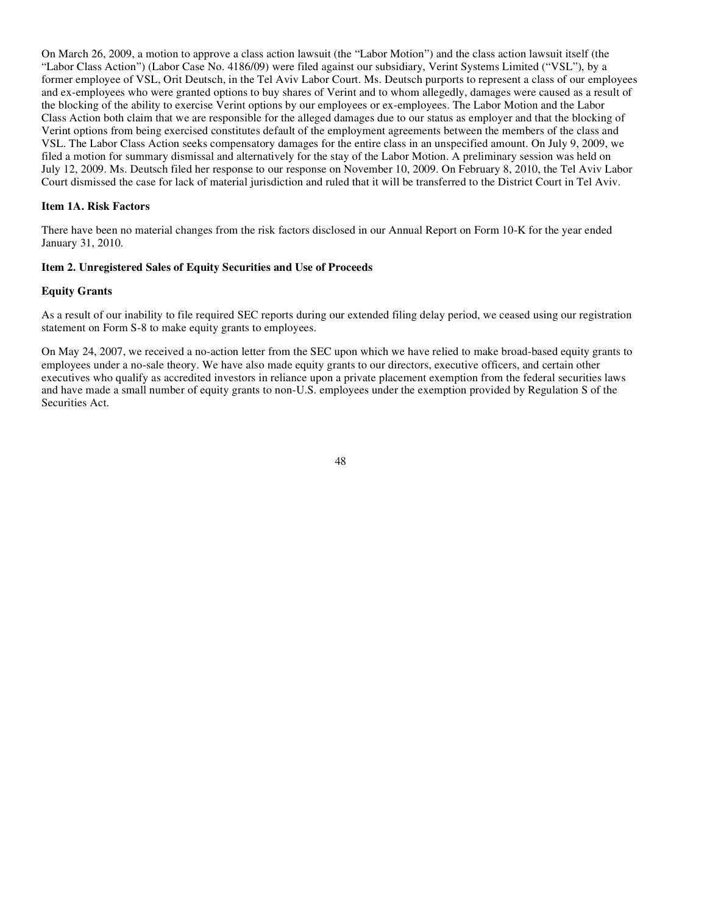On March 26, 2009, a motion to approve a class action lawsuit (the "Labor Motion") and the class action lawsuit itself (the "Labor Class Action") (Labor Case No. 4186/09) were filed against our subsidiary, Verint Systems Limited ("VSL"), by a former employee of VSL, Orit Deutsch, in the Tel Aviv Labor Court. Ms. Deutsch purports to represent a class of our employees and ex-employees who were granted options to buy shares of Verint and to whom allegedly, damages were caused as a result of the blocking of the ability to exercise Verint options by our employees or ex-employees. The Labor Motion and the Labor Class Action both claim that we are responsible for the alleged damages due to our status as employer and that the blocking of Verint options from being exercised constitutes default of the employment agreements between the members of the class and VSL. The Labor Class Action seeks compensatory damages for the entire class in an unspecified amount. On July 9, 2009, we filed a motion for summary dismissal and alternatively for the stay of the Labor Motion. A preliminary session was held on July 12, 2009. Ms. Deutsch filed her response to our response on November 10, 2009. On February 8, 2010, the Tel Aviv Labor Court dismissed the case for lack of material jurisdiction and ruled that it will be transferred to the District Court in Tel Aviv.

#### **Item 1A. Risk Factors**

There have been no material changes from the risk factors disclosed in our Annual Report on Form 10-K for the year ended January 31, 2010.

#### **Item 2. Unregistered Sales of Equity Securities and Use of Proceeds**

#### **Equity Grants**

As a result of our inability to file required SEC reports during our extended filing delay period, we ceased using our registration statement on Form S-8 to make equity grants to employees.

On May 24, 2007, we received a no-action letter from the SEC upon which we have relied to make broad-based equity grants to employees under a no-sale theory. We have also made equity grants to our directors, executive officers, and certain other executives who qualify as accredited investors in reliance upon a private placement exemption from the federal securities laws and have made a small number of equity grants to non-U.S. employees under the exemption provided by Regulation S of the Securities Act.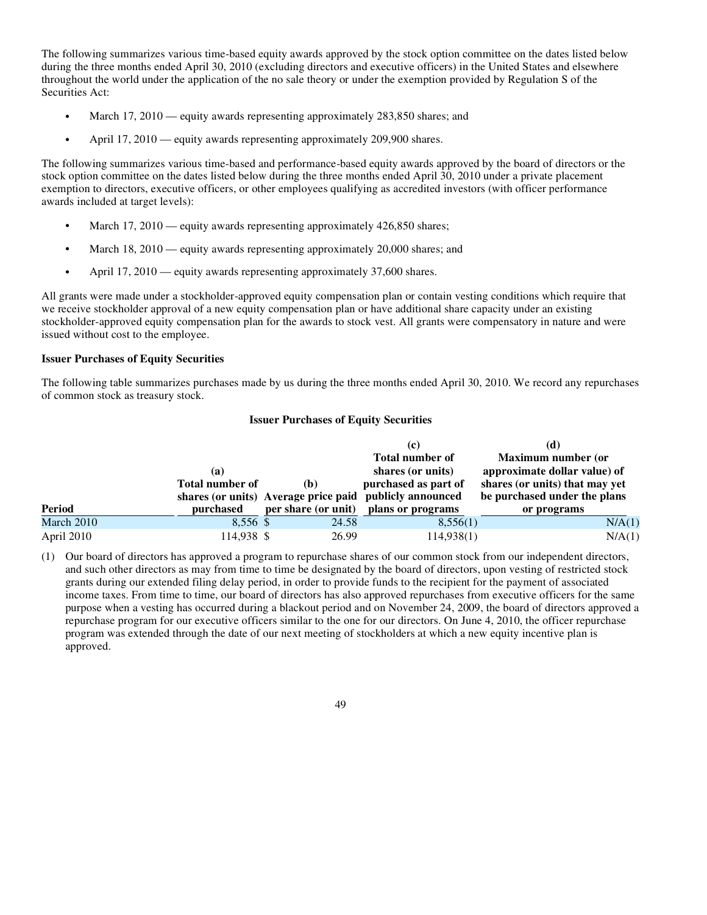The following summarizes various time-based equity awards approved by the stock option committee on the dates listed below during the three months ended April 30, 2010 (excluding directors and executive officers) in the United States and elsewhere throughout the world under the application of the no sale theory or under the exemption provided by Regulation S of the Securities Act:

- **•** March 17, 2010 equity awards representing approximately 283,850 shares; and
- **•** April 17, 2010 equity awards representing approximately 209,900 shares.

The following summarizes various time-based and performance-based equity awards approved by the board of directors or the stock option committee on the dates listed below during the three months ended April 30, 2010 under a private placement exemption to directors, executive officers, or other employees qualifying as accredited investors (with officer performance awards included at target levels):

- March 17, 2010 equity awards representing approximately 426,850 shares;
- **•** March 18, 2010 equity awards representing approximately 20,000 shares; and
- **•** April 17, 2010 equity awards representing approximately 37,600 shares.

All grants were made under a stockholder-approved equity compensation plan or contain vesting conditions which require that we receive stockholder approval of a new equity compensation plan or have additional share capacity under an existing stockholder-approved equity compensation plan for the awards to stock vest. All grants were compensatory in nature and were issued without cost to the employee.

#### **Issuer Purchases of Equity Securities**

The following table summarizes purchases made by us during the three months ended April 30, 2010. We record any repurchases of common stock as treasury stock.

#### **Issuer Purchases of Equity Securities**

|            |                        |                     | (c)                                                     | (d)                            |
|------------|------------------------|---------------------|---------------------------------------------------------|--------------------------------|
|            |                        |                     | <b>Total number of</b>                                  | <b>Maximum number (or</b>      |
|            | (a)                    |                     | shares (or units)                                       | approximate dollar value) of   |
|            | <b>Total number of</b> | (b)                 | purchased as part of                                    | shares (or units) that may yet |
|            |                        |                     | shares (or units) Average price paid publicly announced | be purchased under the plans   |
| Period     | purchased              | per share (or unit) | plans or programs                                       | or programs                    |
| March 2010 | 8,556 \$               | 24.58               | 8,556(1)                                                | N/A(1)                         |
| April 2010 | 114,938 \$             | 26.99               | 114,938(1)                                              | N/A(1)                         |

(1) Our board of directors has approved a program to repurchase shares of our common stock from our independent directors, and such other directors as may from time to time be designated by the board of directors, upon vesting of restricted stock grants during our extended filing delay period, in order to provide funds to the recipient for the payment of associated income taxes. From time to time, our board of directors has also approved repurchases from executive officers for the same purpose when a vesting has occurred during a blackout period and on November 24, 2009, the board of directors approved a repurchase program for our executive officers similar to the one for our directors. On June 4, 2010, the officer repurchase program was extended through the date of our next meeting of stockholders at which a new equity incentive plan is approved.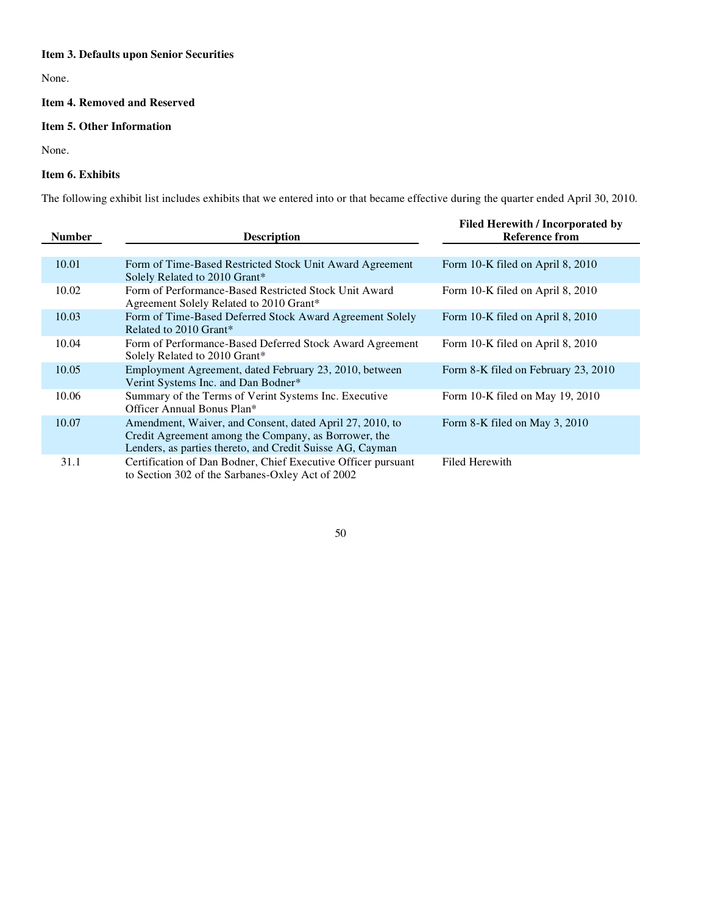#### **Item 3. Defaults upon Senior Securities**

None.

#### **Item 4. Removed and Reserved**

#### **Item 5. Other Information**

None.

#### **Item 6. Exhibits**

The following exhibit list includes exhibits that we entered into or that became effective during the quarter ended April 30, 2010.

| <b>Number</b> | <b>Description</b>                                                                                                                                                            | <b>Filed Herewith / Incorporated by</b><br><b>Reference from</b> |
|---------------|-------------------------------------------------------------------------------------------------------------------------------------------------------------------------------|------------------------------------------------------------------|
|               |                                                                                                                                                                               |                                                                  |
| 10.01         | Form of Time-Based Restricted Stock Unit Award Agreement<br>Solely Related to 2010 Grant*                                                                                     | Form 10-K filed on April 8, 2010                                 |
| 10.02         | Form of Performance-Based Restricted Stock Unit Award<br>Agreement Solely Related to 2010 Grant*                                                                              | Form 10-K filed on April 8, 2010                                 |
| 10.03         | Form of Time-Based Deferred Stock Award Agreement Solely<br>Related to 2010 Grant*                                                                                            | Form 10-K filed on April 8, 2010                                 |
| 10.04         | Form of Performance-Based Deferred Stock Award Agreement<br>Solely Related to 2010 Grant*                                                                                     | Form 10-K filed on April 8, 2010                                 |
| 10.05         | Employment Agreement, dated February 23, 2010, between<br>Verint Systems Inc. and Dan Bodner*                                                                                 | Form 8-K filed on February 23, 2010                              |
| 10.06         | Summary of the Terms of Verint Systems Inc. Executive<br>Officer Annual Bonus Plan*                                                                                           | Form 10-K filed on May 19, 2010                                  |
| 10.07         | Amendment, Waiver, and Consent, dated April 27, 2010, to<br>Credit Agreement among the Company, as Borrower, the<br>Lenders, as parties thereto, and Credit Suisse AG, Cayman | Form 8-K filed on May 3, 2010                                    |
| 31.1          | Certification of Dan Bodner, Chief Executive Officer pursuant<br>to Section 302 of the Sarbanes-Oxley Act of 2002                                                             | Filed Herewith                                                   |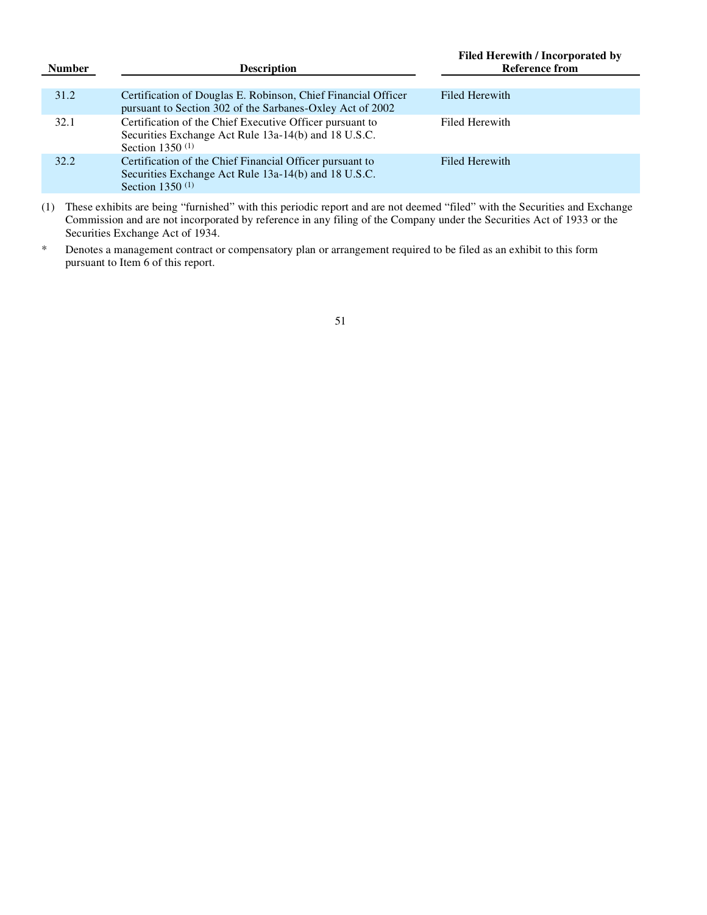| <b>Number</b> | <b>Description</b>                                                                                                                       | <b>Filed Herewith / Incorporated by</b><br><b>Reference from</b> |
|---------------|------------------------------------------------------------------------------------------------------------------------------------------|------------------------------------------------------------------|
| 31.2          | Certification of Douglas E. Robinson, Chief Financial Officer<br>pursuant to Section 302 of the Sarbanes-Oxley Act of 2002               | <b>Filed Herewith</b>                                            |
| 32.1          | Certification of the Chief Executive Officer pursuant to<br>Securities Exchange Act Rule 13a-14(b) and 18 U.S.C.<br>Section $1350^{(1)}$ | Filed Herewith                                                   |
| 32.2          | Certification of the Chief Financial Officer pursuant to<br>Securities Exchange Act Rule 13a-14(b) and 18 U.S.C.<br>Section $1350^{(1)}$ | <b>Filed Herewith</b>                                            |

 (1) These exhibits are being "furnished" with this periodic report and are not deemed "filed" with the Securities and Exchange Commission and are not incorporated by reference in any filing of the Company under the Securities Act of 1933 or the Securities Exchange Act of 1934.

\* Denotes a management contract or compensatory plan or arrangement required to be filed as an exhibit to this form pursuant to Item 6 of this report.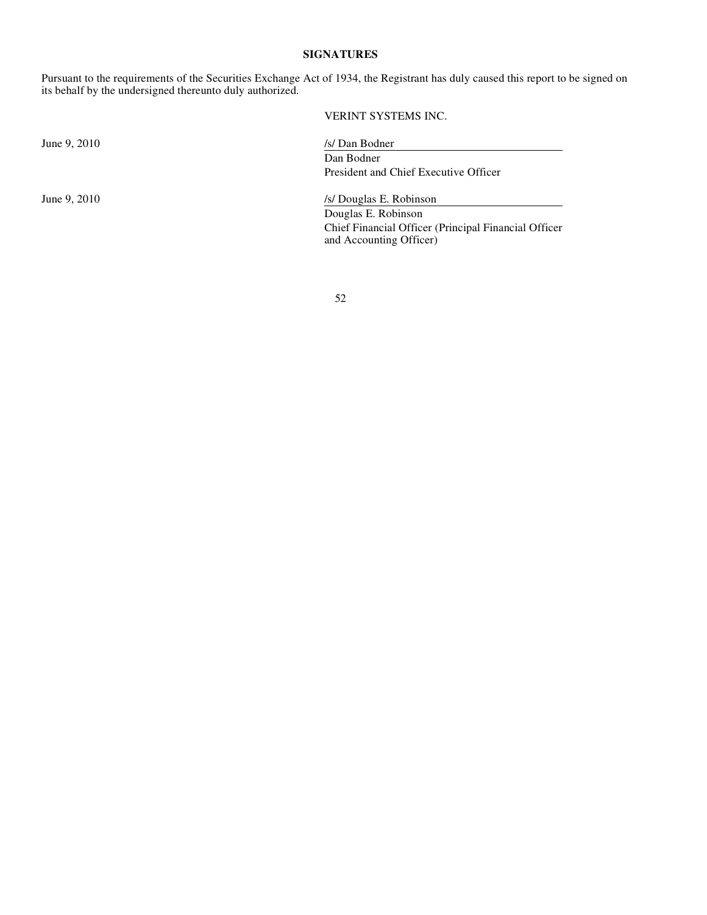#### **SIGNATURES**

Pursuant to the requirements of the Securities Exchange Act of 1934, the Registrant has duly caused this report to be signed on its behalf by the undersigned thereunto duly authorized.

#### VERINT SYSTEMS INC.

and Accounting Officer)

Chief Financial Officer (Principal Financial Officer

June 9, 2010 /s/ Dan Bodner Dan Bodner President and Chief Executive Officer June 9, 2010 /s/ Douglas E. Robinson Douglas E. Robinson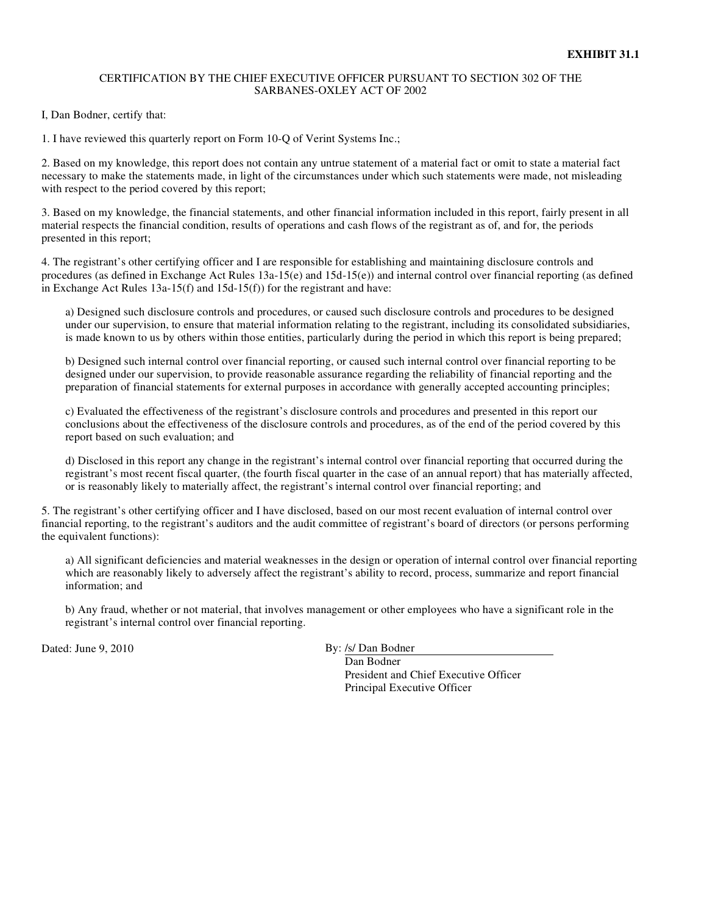#### CERTIFICATION BY THE CHIEF EXECUTIVE OFFICER PURSUANT TO SECTION 302 OF THE SARBANES-OXLEY ACT OF 2002

I, Dan Bodner, certify that:

1. I have reviewed this quarterly report on Form 10-Q of Verint Systems Inc.;

2. Based on my knowledge, this report does not contain any untrue statement of a material fact or omit to state a material fact necessary to make the statements made, in light of the circumstances under which such statements were made, not misleading with respect to the period covered by this report;

3. Based on my knowledge, the financial statements, and other financial information included in this report, fairly present in all material respects the financial condition, results of operations and cash flows of the registrant as of, and for, the periods presented in this report;

4. The registrant's other certifying officer and I are responsible for establishing and maintaining disclosure controls and procedures (as defined in Exchange Act Rules 13a-15(e) and 15d-15(e)) and internal control over financial reporting (as defined in Exchange Act Rules 13a-15(f) and 15d-15(f)) for the registrant and have:

a) Designed such disclosure controls and procedures, or caused such disclosure controls and procedures to be designed under our supervision, to ensure that material information relating to the registrant, including its consolidated subsidiaries, is made known to us by others within those entities, particularly during the period in which this report is being prepared;

b) Designed such internal control over financial reporting, or caused such internal control over financial reporting to be designed under our supervision, to provide reasonable assurance regarding the reliability of financial reporting and the preparation of financial statements for external purposes in accordance with generally accepted accounting principles;

c) Evaluated the effectiveness of the registrant's disclosure controls and procedures and presented in this report our conclusions about the effectiveness of the disclosure controls and procedures, as of the end of the period covered by this report based on such evaluation; and

d) Disclosed in this report any change in the registrant's internal control over financial reporting that occurred during the registrant's most recent fiscal quarter, (the fourth fiscal quarter in the case of an annual report) that has materially affected, or is reasonably likely to materially affect, the registrant's internal control over financial reporting; and

5. The registrant's other certifying officer and I have disclosed, based on our most recent evaluation of internal control over financial reporting, to the registrant's auditors and the audit committee of registrant's board of directors (or persons performing the equivalent functions):

a) All significant deficiencies and material weaknesses in the design or operation of internal control over financial reporting which are reasonably likely to adversely affect the registrant's ability to record, process, summarize and report financial information; and

b) Any fraud, whether or not material, that involves management or other employees who have a significant role in the registrant's internal control over financial reporting.

Dated: June 9, 2010 By: /s/ Dan Bodner

 Dan Bodner President and Chief Executive Officer Principal Executive Officer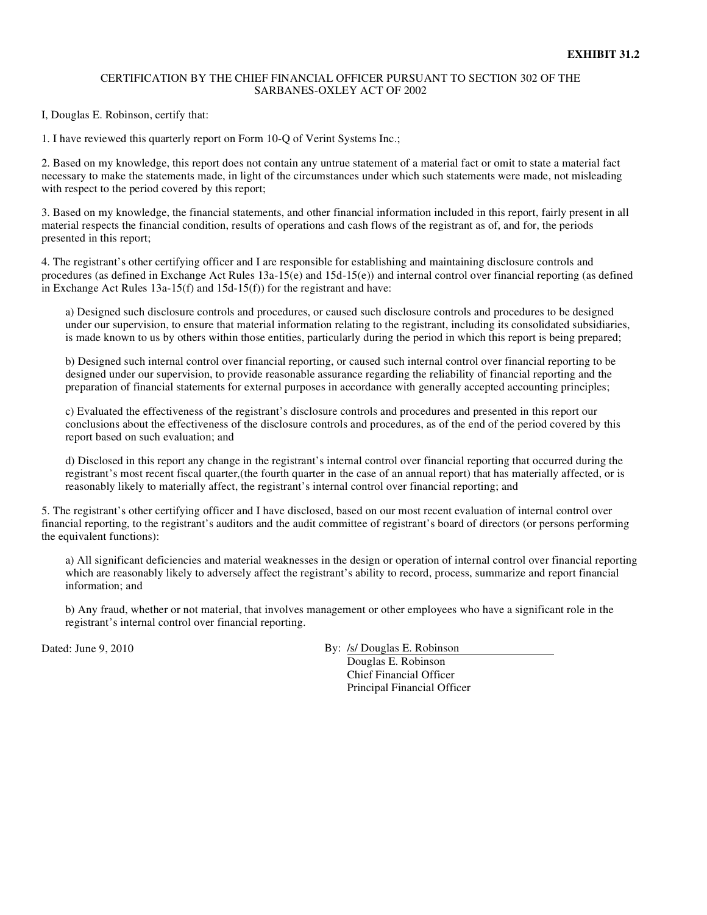#### CERTIFICATION BY THE CHIEF FINANCIAL OFFICER PURSUANT TO SECTION 302 OF THE SARBANES-OXLEY ACT OF 2002

I, Douglas E. Robinson, certify that:

1. I have reviewed this quarterly report on Form 10-Q of Verint Systems Inc.;

2. Based on my knowledge, this report does not contain any untrue statement of a material fact or omit to state a material fact necessary to make the statements made, in light of the circumstances under which such statements were made, not misleading with respect to the period covered by this report;

3. Based on my knowledge, the financial statements, and other financial information included in this report, fairly present in all material respects the financial condition, results of operations and cash flows of the registrant as of, and for, the periods presented in this report;

4. The registrant's other certifying officer and I are responsible for establishing and maintaining disclosure controls and procedures (as defined in Exchange Act Rules 13a-15(e) and 15d-15(e)) and internal control over financial reporting (as defined in Exchange Act Rules 13a-15(f) and 15d-15(f)) for the registrant and have:

a) Designed such disclosure controls and procedures, or caused such disclosure controls and procedures to be designed under our supervision, to ensure that material information relating to the registrant, including its consolidated subsidiaries, is made known to us by others within those entities, particularly during the period in which this report is being prepared;

b) Designed such internal control over financial reporting, or caused such internal control over financial reporting to be designed under our supervision, to provide reasonable assurance regarding the reliability of financial reporting and the preparation of financial statements for external purposes in accordance with generally accepted accounting principles;

c) Evaluated the effectiveness of the registrant's disclosure controls and procedures and presented in this report our conclusions about the effectiveness of the disclosure controls and procedures, as of the end of the period covered by this report based on such evaluation; and

d) Disclosed in this report any change in the registrant's internal control over financial reporting that occurred during the registrant's most recent fiscal quarter,(the fourth quarter in the case of an annual report) that has materially affected, or is reasonably likely to materially affect, the registrant's internal control over financial reporting; and

5. The registrant's other certifying officer and I have disclosed, based on our most recent evaluation of internal control over financial reporting, to the registrant's auditors and the audit committee of registrant's board of directors (or persons performing the equivalent functions):

a) All significant deficiencies and material weaknesses in the design or operation of internal control over financial reporting which are reasonably likely to adversely affect the registrant's ability to record, process, summarize and report financial information; and

b) Any fraud, whether or not material, that involves management or other employees who have a significant role in the registrant's internal control over financial reporting.

Dated: June 9, 2010 By: /s/ Douglas E. Robinson Douglas E. Robinson Chief Financial Officer Principal Financial Officer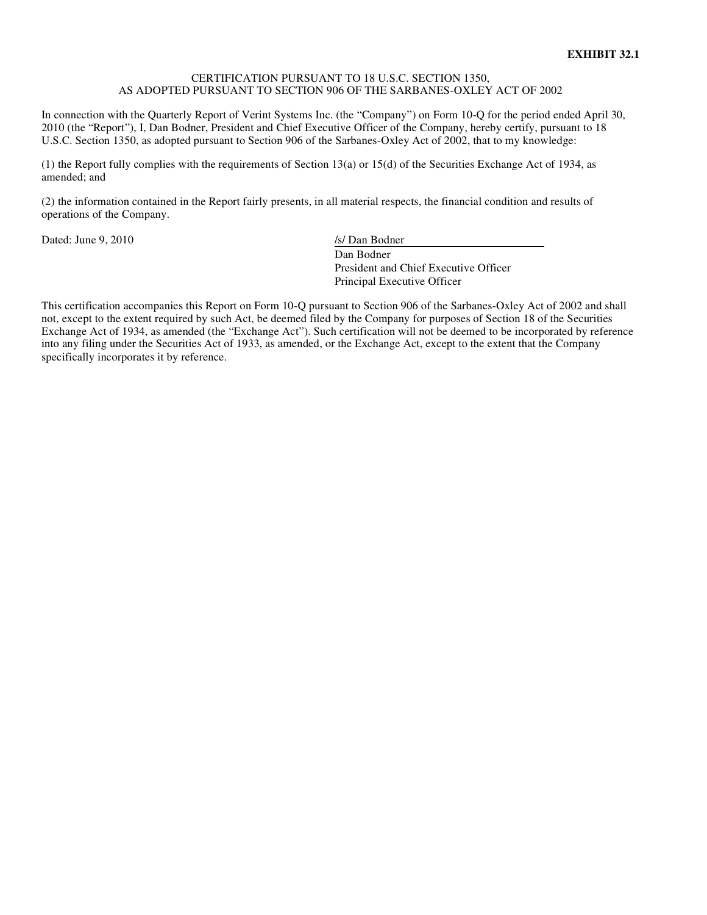#### CERTIFICATION PURSUANT TO 18 U.S.C. SECTION 1350, AS ADOPTED PURSUANT TO SECTION 906 OF THE SARBANES-OXLEY ACT OF 2002

In connection with the Quarterly Report of Verint Systems Inc. (the "Company") on Form 10-Q for the period ended April 30, 2010 (the "Report"), I, Dan Bodner, President and Chief Executive Officer of the Company, hereby certify, pursuant to 18 U.S.C. Section 1350, as adopted pursuant to Section 906 of the Sarbanes-Oxley Act of 2002, that to my knowledge:

(1) the Report fully complies with the requirements of Section 13(a) or 15(d) of the Securities Exchange Act of 1934, as amended; and

(2) the information contained in the Report fairly presents, in all material respects, the financial condition and results of operations of the Company.

Dated: June 9, 2010 /s/ Dan Bodner

Dan Bodner President and Chief Executive Officer Principal Executive Officer

This certification accompanies this Report on Form 10-Q pursuant to Section 906 of the Sarbanes-Oxley Act of 2002 and shall not, except to the extent required by such Act, be deemed filed by the Company for purposes of Section 18 of the Securities Exchange Act of 1934, as amended (the "Exchange Act"). Such certification will not be deemed to be incorporated by reference into any filing under the Securities Act of 1933, as amended, or the Exchange Act, except to the extent that the Company specifically incorporates it by reference.